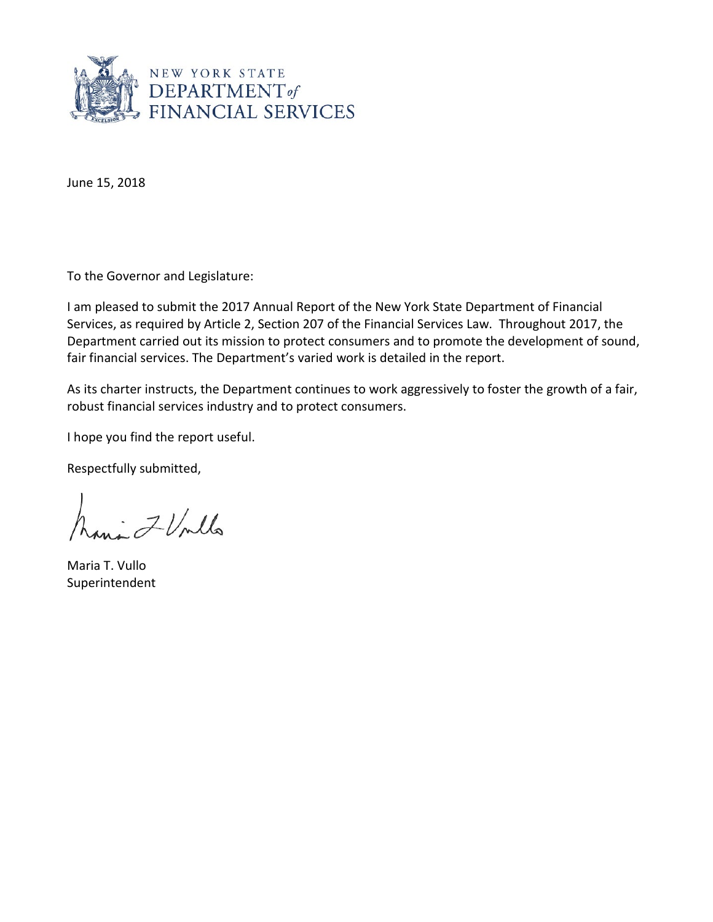

June 15, 2018

To the Governor and Legislature:

I am pleased to submit the 2017 Annual Report of the New York State Department of Financial Services, as required by Article 2, Section 207 of the Financial Services Law. Throughout 2017, the Department carried out its mission to protect consumers and to promote the development of sound, fair financial services. The Department's varied work is detailed in the report.

As its charter instructs, the Department continues to work aggressively to foster the growth of a fair, robust financial services industry and to protect consumers.

I hope you find the report useful.

Respectfully submitted,

Lavi FUnlla

Maria T. Vullo Superintendent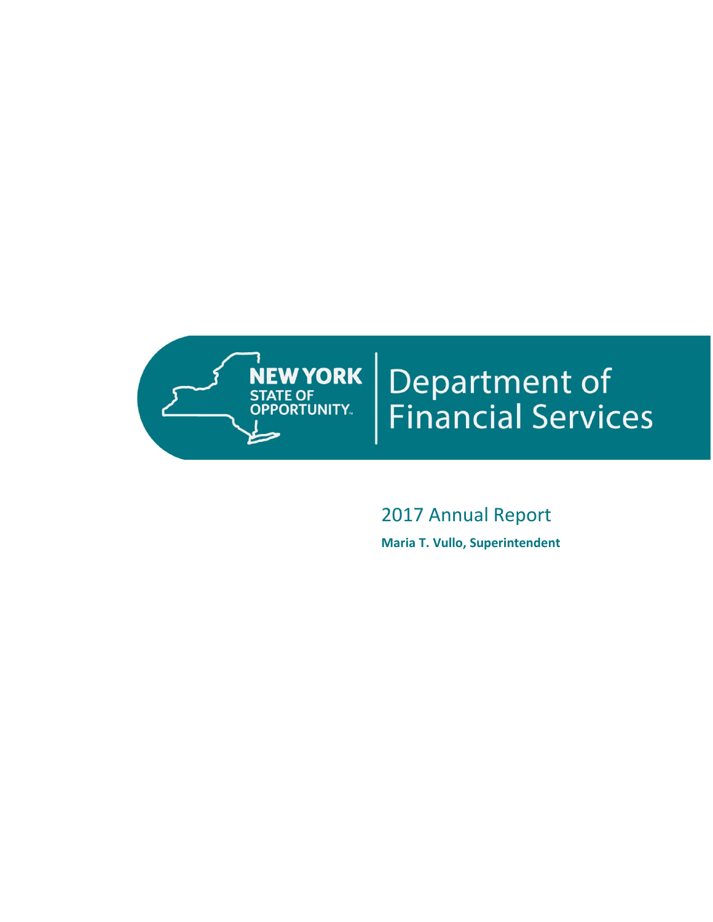

# **Department of<br>Financial Services**

# 2017 Annual Report **Maria T. Vullo, Superintendent**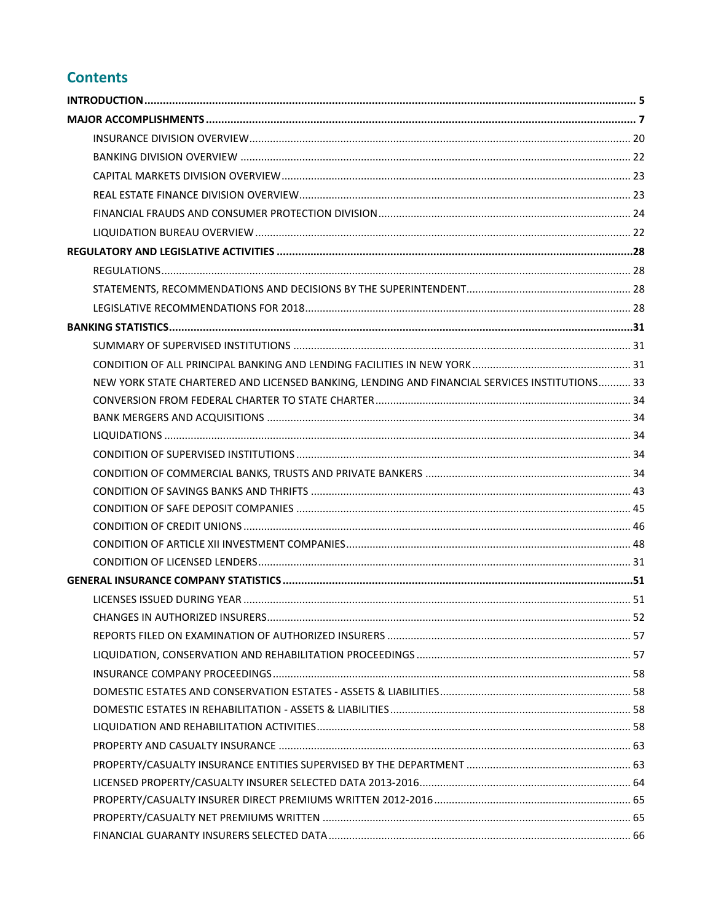# **Contents**

| NEW YORK STATE CHARTERED AND LICENSED BANKING, LENDING AND FINANCIAL SERVICES INSTITUTIONS 33 |  |
|-----------------------------------------------------------------------------------------------|--|
|                                                                                               |  |
|                                                                                               |  |
|                                                                                               |  |
|                                                                                               |  |
|                                                                                               |  |
|                                                                                               |  |
|                                                                                               |  |
|                                                                                               |  |
|                                                                                               |  |
|                                                                                               |  |
|                                                                                               |  |
|                                                                                               |  |
|                                                                                               |  |
|                                                                                               |  |
|                                                                                               |  |
|                                                                                               |  |
|                                                                                               |  |
|                                                                                               |  |
|                                                                                               |  |
|                                                                                               |  |
|                                                                                               |  |
|                                                                                               |  |
|                                                                                               |  |
|                                                                                               |  |
|                                                                                               |  |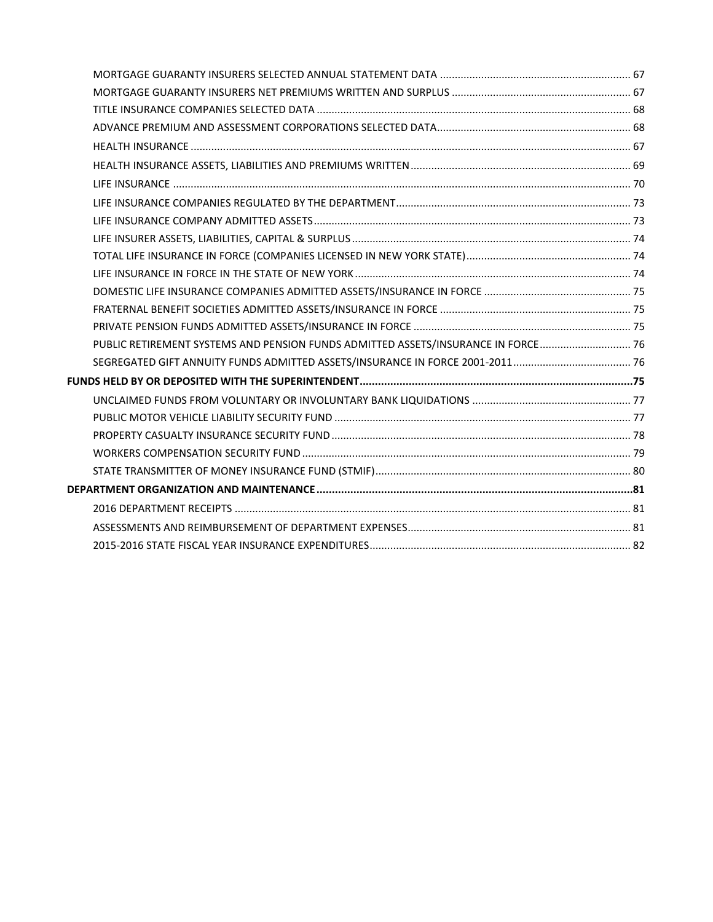| PUBLIC RETIREMENT SYSTEMS AND PENSION FUNDS ADMITTED ASSETS/INSURANCE IN FORCE 76 |  |
|-----------------------------------------------------------------------------------|--|
|                                                                                   |  |
|                                                                                   |  |
|                                                                                   |  |
|                                                                                   |  |
|                                                                                   |  |
|                                                                                   |  |
|                                                                                   |  |
|                                                                                   |  |
|                                                                                   |  |
|                                                                                   |  |
|                                                                                   |  |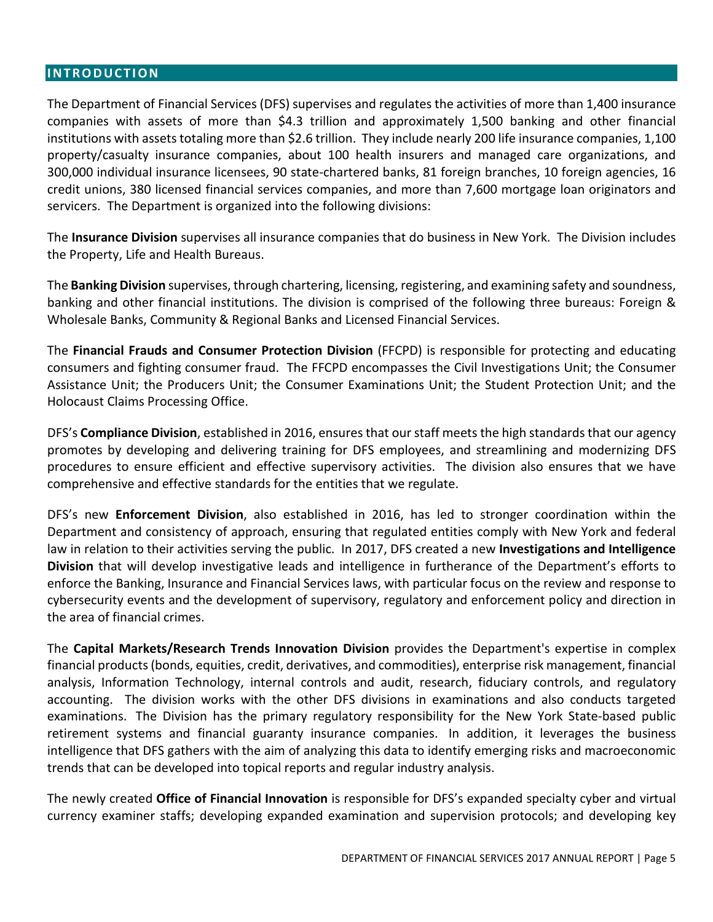#### <span id="page-4-0"></span>**INTRODUCTION**

The Department of Financial Services (DFS) supervises and regulates the activities of more than 1,400 insurance companies with assets of more than \$4.3 trillion and approximately 1,500 banking and other financial institutions with assets totaling more than \$2.6 trillion. They include nearly 200 life insurance companies, 1,100 property/casualty insurance companies, about 100 health insurers and managed care organizations, and 300,000 individual insurance licensees, 90 state-chartered banks, 81 foreign branches, 10 foreign agencies, 16 credit unions, 380 licensed financial services companies, and more than 7,600 mortgage loan originators and servicers. The Department is organized into the following divisions:

The **Insurance Division** supervises all insurance companies that do business in New York. The Division includes the Property, Life and Health Bureaus.

The **Banking Division** supervises, through chartering, licensing, registering, and examining safety and soundness, banking and other financial institutions. The division is comprised of the following three bureaus: Foreign & Wholesale Banks, Community & Regional Banks and Licensed Financial Services.

The **Financial Frauds and Consumer Protection Division** (FFCPD) is responsible for protecting and educating consumers and fighting consumer fraud. The FFCPD encompasses the Civil Investigations Unit; the Consumer Assistance Unit; the Producers Unit; the Consumer Examinations Unit; the Student Protection Unit; and the Holocaust Claims Processing Office.

DFS's **Compliance Division**, established in 2016, ensuresthat our staff meets the high standards that our agency promotes by developing and delivering training for DFS employees, and streamlining and modernizing DFS procedures to ensure efficient and effective supervisory activities. The division also ensures that we have comprehensive and effective standards for the entities that we regulate.

DFS's new **Enforcement Division**, also established in 2016, has led to stronger coordination within the Department and consistency of approach, ensuring that regulated entities comply with New York and federal law in relation to their activities serving the public. In 2017, DFS created a new **Investigations and Intelligence Division** that will develop investigative leads and intelligence in furtherance of the Department's efforts to enforce the Banking, Insurance and Financial Services laws, with particular focus on the review and response to cybersecurity events and the development of supervisory, regulatory and enforcement policy and direction in the area of financial crimes.

The **Capital Markets/Research Trends Innovation Division** provides the Department's expertise in complex financial products(bonds, equities, credit, derivatives, and commodities), enterprise risk management, financial analysis, Information Technology, internal controls and audit, research, fiduciary controls, and regulatory accounting. The division works with the other DFS divisions in examinations and also conducts targeted examinations. The Division has the primary regulatory responsibility for the New York State-based public retirement systems and financial guaranty insurance companies. In addition, it leverages the business intelligence that DFS gathers with the aim of analyzing this data to identify emerging risks and macroeconomic trends that can be developed into topical reports and regular industry analysis.

The newly created **Office of Financial Innovation** is responsible for DFS's expanded specialty cyber and virtual currency examiner staffs; developing expanded examination and supervision protocols; and developing key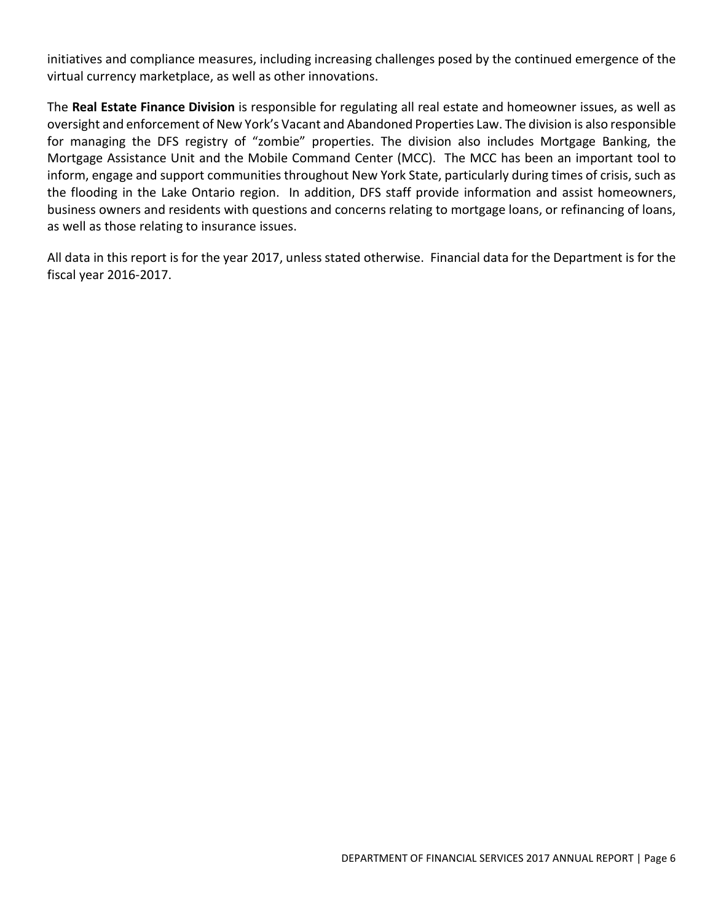initiatives and compliance measures, including increasing challenges posed by the continued emergence of the virtual currency marketplace, as well as other innovations.

The **Real Estate Finance Division** is responsible for regulating all real estate and homeowner issues, as well as oversight and enforcement of New York's Vacant and Abandoned Properties Law. The division is also responsible for managing the DFS registry of "zombie" properties. The division also includes Mortgage Banking, the Mortgage Assistance Unit and the Mobile Command Center (MCC). The MCC has been an important tool to inform, engage and support communities throughout New York State, particularly during times of crisis, such as the flooding in the Lake Ontario region. In addition, DFS staff provide information and assist homeowners, business owners and residents with questions and concerns relating to mortgage loans, or refinancing of loans, as well as those relating to insurance issues.

All data in this report is for the year 2017, unless stated otherwise. Financial data for the Department is for the fiscal year 2016-2017.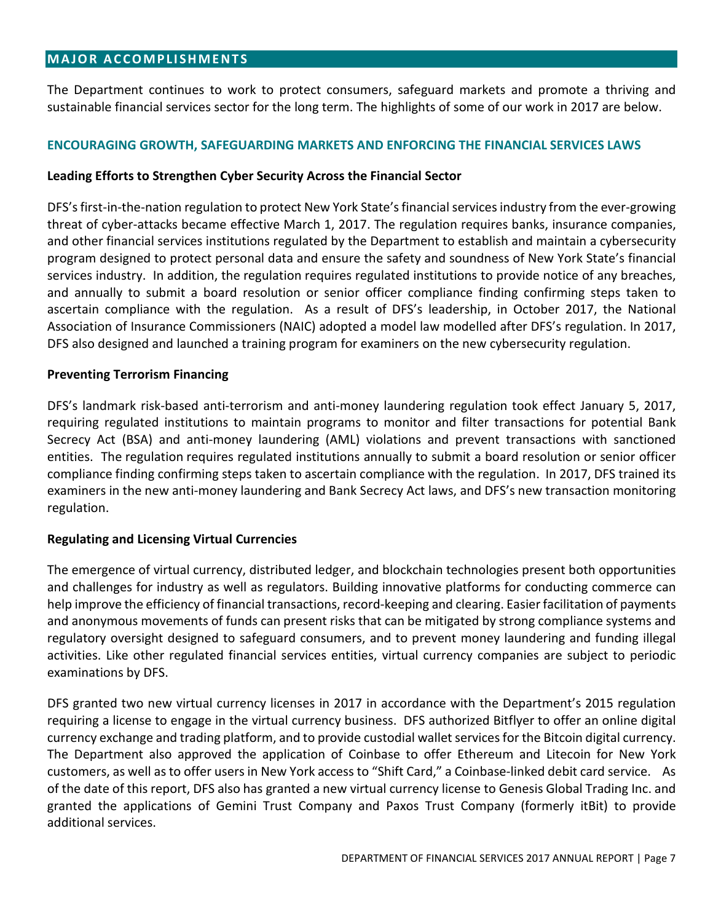#### <span id="page-6-0"></span>**MAJOR ACCOMPLISHMENTS**

The Department continues to work to protect consumers, safeguard markets and promote a thriving and sustainable financial services sector for the long term. The highlights of some of our work in 2017 are below.

#### **ENCOURAGING GROWTH, SAFEGUARDING MARKETS AND ENFORCING THE FINANCIAL SERVICES LAWS**

#### **Leading Efforts to Strengthen Cyber Security Across the Financial Sector**

DFS's first-in-the-nation regulation to protect New York State's financial services industry from the ever-growing threat of cyber-attacks became effective March 1, 2017. The regulation requires banks, insurance companies, and other financial services institutions regulated by the Department to establish and maintain a cybersecurity program designed to protect personal data and ensure the safety and soundness of New York State's financial services industry. In addition, the regulation requires regulated institutions to provide notice of any breaches, and annually to submit a board resolution or senior officer compliance finding confirming steps taken to ascertain compliance with the regulation. As a result of DFS's leadership, in October 2017, the National Association of Insurance Commissioners (NAIC) adopted a model law modelled after DFS's regulation. In 2017, DFS also designed and launched a training program for examiners on the new cybersecurity regulation.

#### **Preventing Terrorism Financing**

DFS's landmark risk-based anti-terrorism and anti-money laundering regulation took effect January 5, 2017, requiring regulated institutions to maintain programs to monitor and filter transactions for potential Bank Secrecy Act (BSA) and anti-money laundering (AML) violations and prevent transactions with sanctioned entities. The regulation requires regulated institutions annually to submit a board resolution or senior officer compliance finding confirming steps taken to ascertain compliance with the regulation. In 2017, DFS trained its examiners in the new anti-money laundering and Bank Secrecy Act laws, and DFS's new transaction monitoring regulation.

#### **Regulating and Licensing Virtual Currencies**

The emergence of virtual currency, distributed ledger, and blockchain technologies present both opportunities and challenges for industry as well as regulators. Building innovative platforms for conducting commerce can help improve the efficiency of financial transactions, record-keeping and clearing. Easier facilitation of payments and anonymous movements of funds can present risks that can be mitigated by strong compliance systems and regulatory oversight designed to safeguard consumers, and to prevent money laundering and funding illegal activities. Like other regulated financial services entities, virtual currency companies are subject to periodic examinations by DFS.

DFS granted two new virtual currency licenses in 2017 in accordance with the Department's 2015 regulation requiring a license to engage in the virtual currency business. DFS authorized Bitflyer to offer an online digital currency exchange and trading platform, and to provide custodial wallet services for the Bitcoin digital currency. The Department also approved the application of Coinbase to offer Ethereum and Litecoin for New York customers, as well as to offer users in New York access to "Shift Card," a Coinbase-linked debit card service. As of the date of this report, DFS also has granted a new virtual currency license to Genesis Global Trading Inc. and granted the applications of Gemini Trust Company and Paxos Trust Company (formerly itBit) to provide additional services.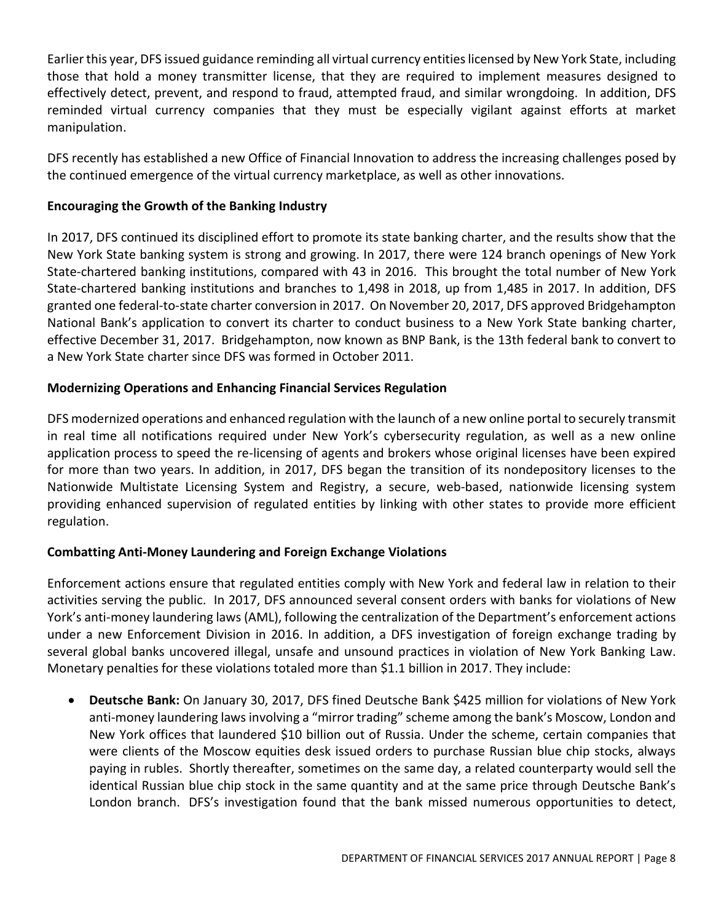Earlier this year, DFS issued guidance reminding all virtual currency entities licensed by New York State, including those that hold a money transmitter license, that they are required to implement measures designed to effectively detect, prevent, and respond to fraud, attempted fraud, and similar wrongdoing. In addition, DFS reminded virtual currency companies that they must be especially vigilant against efforts at market manipulation.

DFS recently has established a new Office of Financial Innovation to address the increasing challenges posed by the continued emergence of the virtual currency marketplace, as well as other innovations.

# **Encouraging the Growth of the Banking Industry**

In 2017, DFS continued its disciplined effort to promote its state banking charter, and the results show that the New York State banking system is strong and growing. In 2017, there were 124 branch openings of New York State-chartered banking institutions, compared with 43 in 2016. This brought the total number of New York State-chartered banking institutions and branches to 1,498 in 2018, up from 1,485 in 2017. In addition, DFS granted one federal-to-state charter conversion in 2017. On November 20, 2017, DFS approved Bridgehampton National Bank's application to convert its charter to conduct business to a New York State banking charter, effective December 31, 2017. Bridgehampton, now known as BNP Bank, is the 13th federal bank to convert to a New York State charter since DFS was formed in October 2011.

# **Modernizing Operations and Enhancing Financial Services Regulation**

DFS modernized operations and enhanced regulation with the launch of a new online portal to securely transmit in real time all notifications required under New York's cybersecurity regulation, as well as a new online application process to speed the re-licensing of agents and brokers whose original licenses have been expired for more than two years. In addition, in 2017, DFS began the transition of its nondepository licenses to the Nationwide Multistate Licensing System and Registry, a secure, web-based, nationwide licensing system providing enhanced supervision of regulated entities by linking with other states to provide more efficient regulation.

# **Combatting Anti-Money Laundering and Foreign Exchange Violations**

Enforcement actions ensure that regulated entities comply with New York and federal law in relation to their activities serving the public. In 2017, DFS announced several consent orders with banks for violations of New York's anti-money laundering laws (AML), following the centralization of the Department's enforcement actions under a new Enforcement Division in 2016. In addition, a DFS investigation of foreign exchange trading by several global banks uncovered illegal, unsafe and unsound practices in violation of New York Banking Law. Monetary penalties for these violations totaled more than \$1.1 billion in 2017. They include:

• **Deutsche Bank:** On January 30, 2017, DFS fined Deutsche Bank \$425 million for violations of New York anti-money laundering laws involving a "mirror trading" scheme among the bank's Moscow, London and New York offices that laundered \$10 billion out of Russia. Under the scheme, certain companies that were clients of the Moscow equities desk issued orders to purchase Russian blue chip stocks, always paying in rubles. Shortly thereafter, sometimes on the same day, a related counterparty would sell the identical Russian blue chip stock in the same quantity and at the same price through Deutsche Bank's London branch. DFS's investigation found that the bank missed numerous opportunities to detect,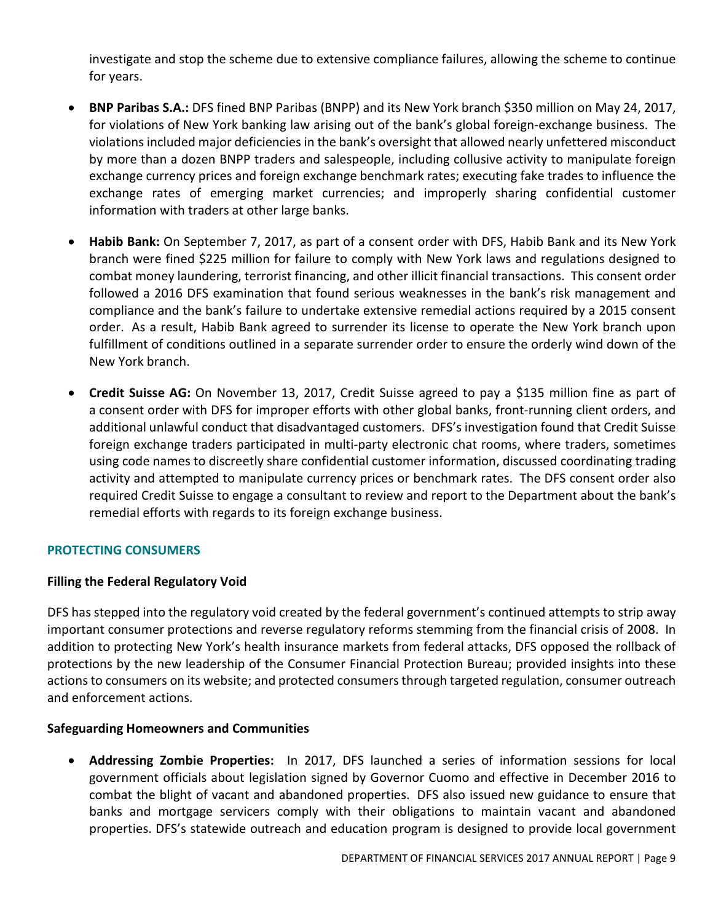investigate and stop the scheme due to extensive compliance failures, allowing the scheme to continue for years.

- **BNP Paribas S.A.:** DFS fined BNP Paribas (BNPP) and its New York branch \$350 million on May 24, 2017, for violations of New York banking law arising out of the bank's global foreign-exchange business. The violations included major deficiencies in the bank's oversight that allowed nearly unfettered misconduct by more than a dozen BNPP traders and salespeople, including collusive activity to manipulate foreign exchange currency prices and foreign exchange benchmark rates; executing fake trades to influence the exchange rates of emerging market currencies; and improperly sharing confidential customer information with traders at other large banks.
- **Habib Bank:** On September 7, 2017, as part of a consent order with DFS, Habib Bank and its New York branch were fined \$225 million for failure to comply with New York laws and regulations designed to combat money laundering, terrorist financing, and other illicit financial transactions. This consent order followed a 2016 DFS examination that found serious weaknesses in the bank's risk management and compliance and the bank's failure to undertake extensive remedial actions required by a 2015 consent order. As a result, Habib Bank agreed to surrender its license to operate the New York branch upon fulfillment of conditions outlined in a separate surrender order to ensure the orderly wind down of the New York branch.
- **Credit Suisse AG:** On November 13, 2017, Credit Suisse agreed to pay a \$135 million fine as part of a consent order with DFS for improper efforts with other global banks, front-running client orders, and additional unlawful conduct that disadvantaged customers. DFS's investigation found that Credit Suisse foreign exchange traders participated in multi-party electronic chat rooms, where traders, sometimes using code names to discreetly share confidential customer information, discussed coordinating trading activity and attempted to manipulate currency prices or benchmark rates. The DFS consent order also required Credit Suisse to engage a consultant to review and report to the Department about the bank's remedial efforts with regards to its foreign exchange business.

# **PROTECTING CONSUMERS**

#### **Filling the Federal Regulatory Void**

DFS has stepped into the regulatory void created by the federal government's continued attempts to strip away important consumer protections and reverse regulatory reforms stemming from the financial crisis of 2008. In addition to protecting New York's health insurance markets from federal attacks, DFS opposed the rollback of protections by the new leadership of the Consumer Financial Protection Bureau; provided insights into these actions to consumers on its website; and protected consumers through targeted regulation, consumer outreach and enforcement actions.

#### **Safeguarding Homeowners and Communities**

• **Addressing Zombie Properties:** In 2017, DFS launched a series of information sessions for local government officials about legislation signed by Governor Cuomo and effective in December 2016 to combat the blight of vacant and abandoned properties. DFS also issued new guidance to ensure that banks and mortgage servicers comply with their obligations to maintain vacant and abandoned properties. DFS's statewide outreach and education program is designed to provide local government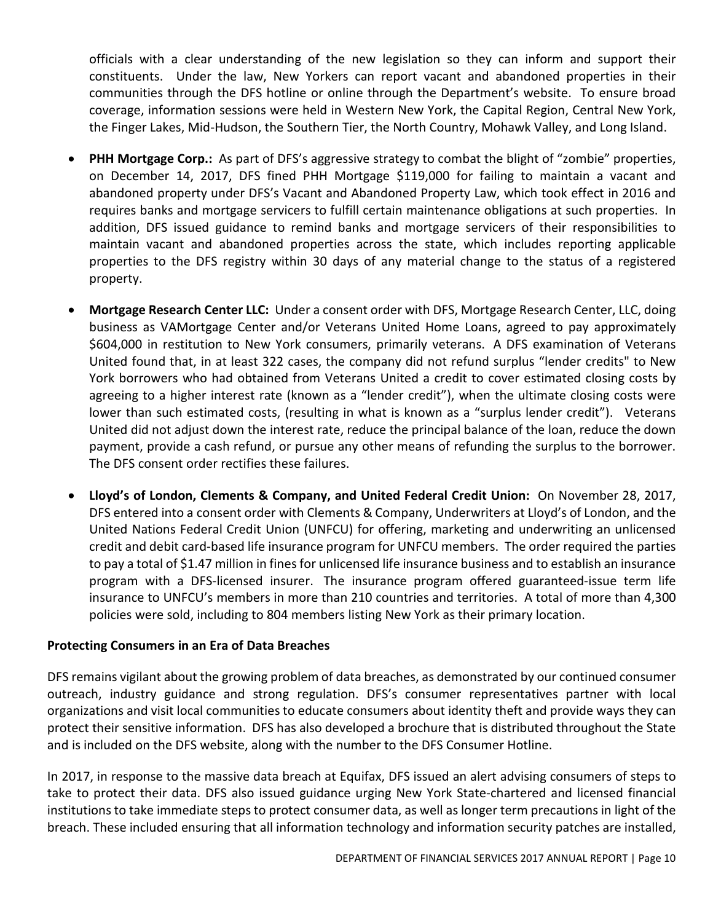officials with a clear understanding of the new legislation so they can inform and support their constituents. Under the law, New Yorkers can report vacant and abandoned properties in their communities through the DFS hotline or online through the Department's website. To ensure broad coverage, information sessions were held in Western New York, the Capital Region, Central New York, the Finger Lakes, Mid-Hudson, the Southern Tier, the North Country, Mohawk Valley, and Long Island.

- **PHH Mortgage Corp.:** As part of DFS's aggressive strategy to combat the blight of "zombie" properties, on December 14, 2017, DFS fined PHH Mortgage \$119,000 for failing to maintain a vacant and abandoned property under DFS's Vacant and Abandoned Property Law, which took effect in 2016 and requires banks and mortgage servicers to fulfill certain maintenance obligations at such properties. In addition, DFS issued guidance to remind banks and mortgage servicers of their responsibilities to maintain vacant and abandoned properties across the state, which includes reporting applicable properties to the DFS registry within 30 days of any material change to the status of a registered property.
- **Mortgage Research Center LLC:** Under a consent order with DFS, Mortgage Research Center, LLC, doing business as VAMortgage Center and/or Veterans United Home Loans, agreed to pay approximately \$604,000 in restitution to New York consumers, primarily veterans. A DFS examination of Veterans United found that, in at least 322 cases, the company did not refund surplus "lender credits" to New York borrowers who had obtained from Veterans United a credit to cover estimated closing costs by agreeing to a higher interest rate (known as a "lender credit"), when the ultimate closing costs were lower than such estimated costs, (resulting in what is known as a "surplus lender credit"). Veterans United did not adjust down the interest rate, reduce the principal balance of the loan, reduce the down payment, provide a cash refund, or pursue any other means of refunding the surplus to the borrower. The DFS consent order rectifies these failures.
- **Lloyd's of London, Clements & Company, and United Federal Credit Union:** On November 28, 2017, DFS entered into a consent order with Clements & Company, Underwriters at Lloyd's of London, and the United Nations Federal Credit Union (UNFCU) for offering, marketing and underwriting an unlicensed credit and debit card-based life insurance program for UNFCU members. The order required the parties to pay a total of \$1.47 million in fines for unlicensed life insurance business and to establish an insurance program with a DFS-licensed insurer. The insurance program offered guaranteed-issue term life insurance to UNFCU's members in more than 210 countries and territories. A total of more than 4,300 policies were sold, including to 804 members listing New York as their primary location.

#### **Protecting Consumers in an Era of Data Breaches**

DFS remains vigilant about the growing problem of data breaches, as demonstrated by our continued consumer outreach, industry guidance and strong regulation. DFS's consumer representatives partner with local organizations and visit local communities to educate consumers about identity theft and provide ways they can protect their sensitive information. DFS has also developed a brochure that is distributed throughout the State and is included on the DFS website, along with the number to the DFS Consumer Hotline.

In 2017, in response to the massive data breach at Equifax, DFS issued an alert advising consumers of steps to take to protect their data. DFS also issued guidance urging New York State-chartered and licensed financial institutions to take immediate steps to protect consumer data, as well as longer term precautions in light of the breach. These included ensuring that all information technology and information security patches are installed,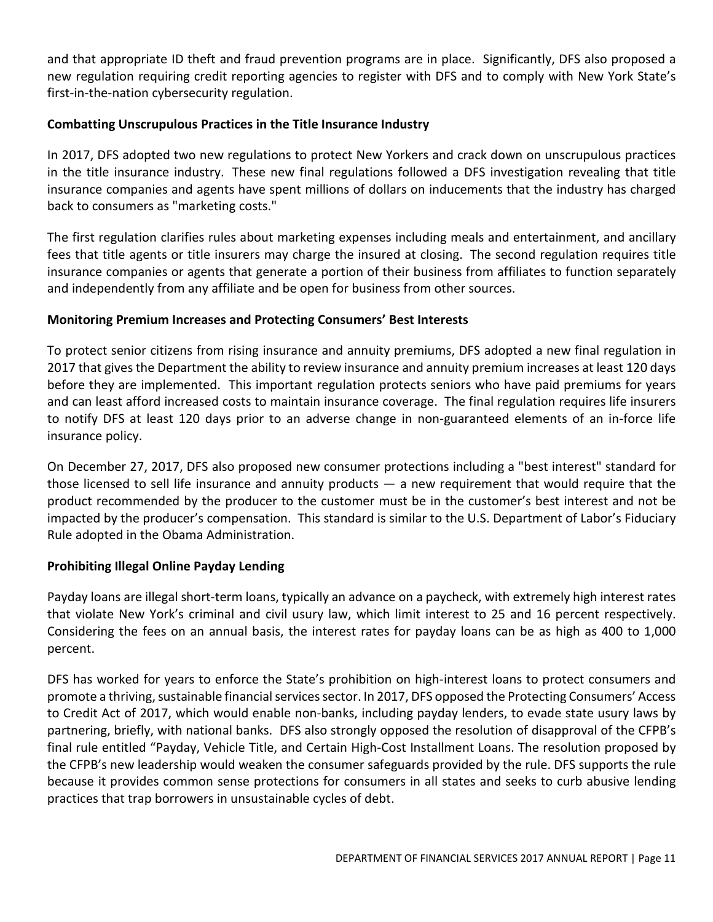and that appropriate ID theft and fraud prevention programs are in place. Significantly, DFS also proposed a new regulation requiring credit reporting agencies to register with DFS and to comply with New York State's first-in-the-nation cybersecurity regulation.

# **Combatting Unscrupulous Practices in the Title Insurance Industry**

In 2017, DFS adopted two new regulations to protect New Yorkers and crack down on unscrupulous practices in the title insurance industry. These new final regulations followed a DFS investigation revealing that title insurance companies and agents have spent millions of dollars on inducements that the industry has charged back to consumers as "marketing costs."

The first regulation clarifies rules about marketing expenses including meals and entertainment, and ancillary fees that title agents or title insurers may charge the insured at closing. The second regulation requires title insurance companies or agents that generate a portion of their business from affiliates to function separately and independently from any affiliate and be open for business from other sources.

### **Monitoring Premium Increases and Protecting Consumers' Best Interests**

To protect senior citizens from rising insurance and annuity premiums, DFS adopted a new final regulation in 2017 that gives the Department the ability to review insurance and annuity premium increases at least 120 days before they are implemented. This important regulation protects seniors who have paid premiums for years and can least afford increased costs to maintain insurance coverage. The final regulation requires life insurers to notify DFS at least 120 days prior to an adverse change in non-guaranteed elements of an in-force life insurance policy.

On December 27, 2017, DFS also proposed new consumer protections including a "best interest" standard for those licensed to sell life insurance and annuity products  $-$  a new requirement that would require that the product recommended by the producer to the customer must be in the customer's best interest and not be impacted by the producer's compensation. This standard is similar to the U.S. Department of Labor's Fiduciary Rule adopted in the Obama Administration.

# **Prohibiting Illegal Online Payday Lending**

Payday loans are illegal short-term loans, typically an advance on a paycheck, with extremely high interest rates that violate New York's criminal and civil usury law, which limit interest to 25 and 16 percent respectively. Considering the fees on an annual basis, the interest rates for payday loans can be as high as 400 to 1,000 percent.

DFS has worked for years to enforce the State's prohibition on high-interest loans to protect consumers and promote a thriving, sustainable financial services sector. In 2017, DFS opposed the Protecting Consumers' Access to Credit Act of 2017, which would enable non-banks, including payday lenders, to evade state usury laws by partnering, briefly, with national banks. DFS also strongly opposed the resolution of disapproval of the CFPB's final rule entitled "Payday, Vehicle Title, and Certain High-Cost Installment Loans. The resolution proposed by the CFPB's new leadership would weaken the consumer safeguards provided by the rule. DFS supports the rule because it provides common sense protections for consumers in all states and seeks to curb abusive lending practices that trap borrowers in unsustainable cycles of debt.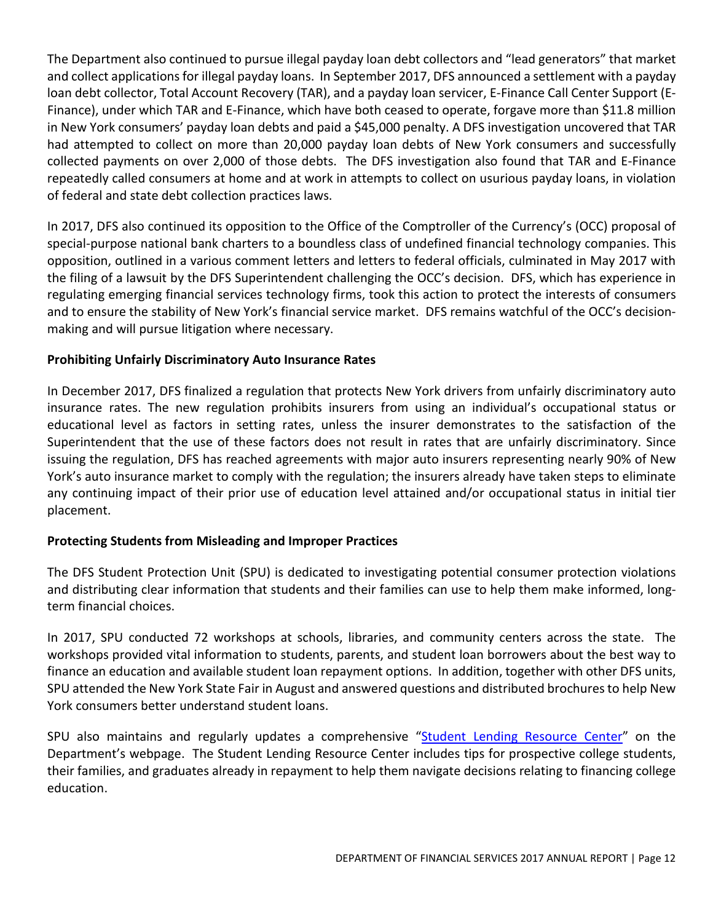The Department also continued to pursue illegal payday loan debt collectors and "lead generators" that market and collect applications for illegal payday loans. In September 2017, DFS announced a settlement with a payday loan debt collector, Total Account Recovery (TAR), and a payday loan servicer, E-Finance Call Center Support (E-Finance), under which TAR and E-Finance, which have both ceased to operate, forgave more than \$11.8 million in New York consumers' payday loan debts and paid a \$45,000 penalty. A DFS investigation uncovered that TAR had attempted to collect on more than 20,000 payday loan debts of New York consumers and successfully collected payments on over 2,000 of those debts. The DFS investigation also found that TAR and E-Finance repeatedly called consumers at home and at work in attempts to collect on usurious payday loans, in violation of federal and state debt collection practices laws.

In 2017, DFS also continued its opposition to the Office of the Comptroller of the Currency's (OCC) proposal of special-purpose national bank charters to a boundless class of undefined financial technology companies. This opposition, outlined in a various comment letters and letters to federal officials, culminated in May 2017 with the filing of a lawsuit by the DFS Superintendent challenging the OCC's decision. DFS, which has experience in regulating emerging financial services technology firms, took this action to protect the interests of consumers and to ensure the stability of New York's financial service market. DFS remains watchful of the OCC's decisionmaking and will pursue litigation where necessary.

# **Prohibiting Unfairly Discriminatory Auto Insurance Rates**

In December 2017, DFS finalized a regulation that protects New York drivers from unfairly discriminatory auto insurance rates. The new regulation prohibits insurers from using an individual's occupational status or educational level as factors in setting rates, unless the insurer demonstrates to the satisfaction of the Superintendent that the use of these factors does not result in rates that are unfairly discriminatory. Since issuing the regulation, DFS has reached agreements with major auto insurers representing nearly 90% of New York's auto insurance market to comply with the regulation; the insurers already have taken steps to eliminate any continuing impact of their prior use of education level attained and/or occupational status in initial tier placement.

#### **Protecting Students from Misleading and Improper Practices**

The DFS Student Protection Unit (SPU) is dedicated to investigating potential consumer protection violations and distributing clear information that students and their families can use to help them make informed, longterm financial choices.

In 2017, SPU conducted 72 workshops at schools, libraries, and community centers across the state. The workshops provided vital information to students, parents, and student loan borrowers about the best way to finance an education and available student loan repayment options. In addition, together with other DFS units, SPU attended the New York State Fair in August and answered questions and distributed brochures to help New York consumers better understand student loans.

SPU also maintains and regularly updates a comprehensive ["Student Lending Resource Center"](http://www.dfs.ny.gov/consumer/student_protection/dfs_student_protection.htm) on the Department's webpage. The Student Lending Resource Center includes tips for prospective college students, their families, and graduates already in repayment to help them navigate decisions relating to financing college education.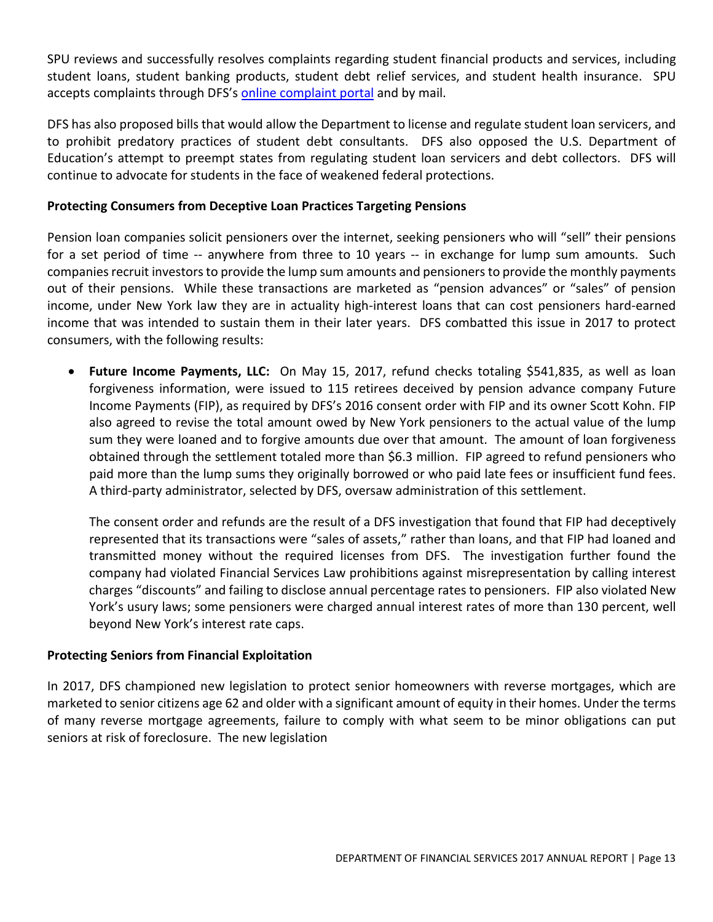SPU reviews and successfully resolves complaints regarding student financial products and services, including student loans, student banking products, student debt relief services, and student health insurance. SPU accepts complaints through DFS's [online complaint portal](http://www.dfs.ny.gov/consumer/fileacomplaint.htm) and by mail.

DFS has also proposed bills that would allow the Department to license and regulate student loan servicers, and to prohibit predatory practices of student debt consultants. DFS also opposed the U.S. Department of Education's attempt to preempt states from regulating student loan servicers and debt collectors. DFS will continue to advocate for students in the face of weakened federal protections.

# **Protecting Consumers from Deceptive Loan Practices Targeting Pensions**

Pension loan companies solicit pensioners over the internet, seeking pensioners who will "sell" their pensions for a set period of time -- anywhere from three to 10 years -- in exchange for lump sum amounts. Such companies recruit investors to provide the lump sum amounts and pensioners to provide the monthly payments out of their pensions. While these transactions are marketed as "pension advances" or "sales" of pension income, under New York law they are in actuality high-interest loans that can cost pensioners hard-earned income that was intended to sustain them in their later years. DFS combatted this issue in 2017 to protect consumers, with the following results:

• **Future Income Payments, LLC:** On May 15, 2017, refund checks totaling \$541,835, as well as loan forgiveness information, were issued to 115 retirees deceived by pension advance company Future Income Payments (FIP), as required by DFS's 2016 consent order with FIP and its owner Scott Kohn. FIP also agreed to revise the total amount owed by New York pensioners to the actual value of the lump sum they were loaned and to forgive amounts due over that amount. The amount of loan forgiveness obtained through the settlement totaled more than \$6.3 million. FIP agreed to refund pensioners who paid more than the lump sums they originally borrowed or who paid late fees or insufficient fund fees. A third-party administrator, selected by DFS, oversaw administration of this settlement.

The consent order and refunds are the result of a DFS investigation that found that FIP had deceptively represented that its transactions were "sales of assets," rather than loans, and that FIP had loaned and transmitted money without the required licenses from DFS. The investigation further found the company had violated Financial Services Law prohibitions against misrepresentation by calling interest charges "discounts" and failing to disclose annual percentage rates to pensioners. FIP also violated New York's usury laws; some pensioners were charged annual interest rates of more than 130 percent, well beyond New York's interest rate caps.

#### **Protecting Seniors from Financial Exploitation**

In 2017, DFS championed new legislation to protect senior homeowners with reverse mortgages, which are marketed to senior citizens age 62 and older with a significant amount of equity in their homes. Under the terms of many reverse mortgage agreements, failure to comply with what seem to be minor obligations can put seniors at risk of foreclosure. The new legislation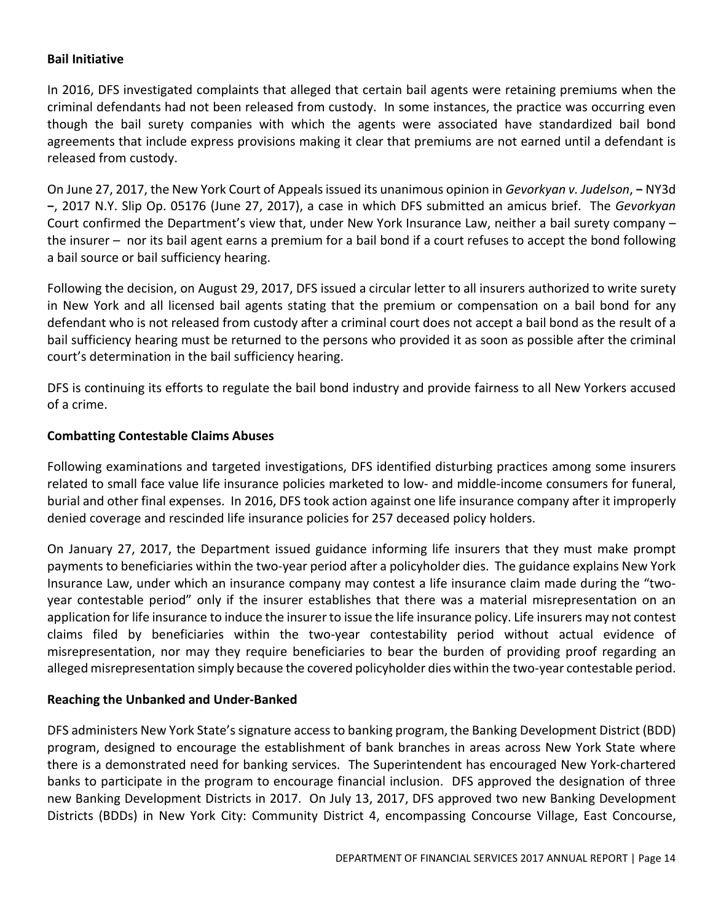#### **Bail Initiative**

In 2016, DFS investigated complaints that alleged that certain bail agents were retaining premiums when the criminal defendants had not been released from custody. In some instances, the practice was occurring even though the bail surety companies with which the agents were associated have standardized bail bond agreements that include express provisions making it clear that premiums are not earned until a defendant is released from custody.

On June 27, 2017, the New York Court of Appeals issued its unanimous opinion in *Gevorkyan v. Judelson*, **−** NY3d **−**, 2017 N.Y. Slip Op. 05176 (June 27, 2017), a case in which DFS submitted an amicus brief. The *Gevorkyan* Court confirmed the Department's view that, under New York Insurance Law, neither a bail surety company – the insurer – nor its bail agent earns a premium for a bail bond if a court refuses to accept the bond following a bail source or bail sufficiency hearing.

Following the decision, on August 29, 2017, DFS issued a circular letter to all insurers authorized to write surety in New York and all licensed bail agents stating that the premium or compensation on a bail bond for any defendant who is not released from custody after a criminal court does not accept a bail bond as the result of a bail sufficiency hearing must be returned to the persons who provided it as soon as possible after the criminal court's determination in the bail sufficiency hearing.

DFS is continuing its efforts to regulate the bail bond industry and provide fairness to all New Yorkers accused of a crime.

### **Combatting Contestable Claims Abuses**

Following examinations and targeted investigations, DFS identified disturbing practices among some insurers related to small face value life insurance policies marketed to low- and middle-income consumers for funeral, burial and other final expenses. In 2016, DFS took action against one life insurance company after it improperly denied coverage and rescinded life insurance policies for 257 deceased policy holders.

On January 27, 2017, the Department issued guidance informing life insurers that they must make prompt payments to beneficiaries within the two-year period after a policyholder dies. The guidance explains New York Insurance Law, under which an insurance company may contest a life insurance claim made during the "twoyear contestable period" only if the insurer establishes that there was a material misrepresentation on an application for life insurance to induce the insurer to issue the life insurance policy. Life insurers may not contest claims filed by beneficiaries within the two-year contestability period without actual evidence of misrepresentation, nor may they require beneficiaries to bear the burden of providing proof regarding an alleged misrepresentation simply because the covered policyholder dies within the two-year contestable period.

#### **Reaching the Unbanked and Under-Banked**

DFS administers New York State's signature access to banking program, the Banking Development District (BDD) program, designed to encourage the establishment of bank branches in areas across New York State where there is a demonstrated need for banking services. The Superintendent has encouraged New York-chartered banks to participate in the program to encourage financial inclusion. DFS approved the designation of three new Banking Development Districts in 2017. On July 13, 2017, DFS approved two new Banking Development Districts (BDDs) in New York City: Community District 4, encompassing Concourse Village, East Concourse,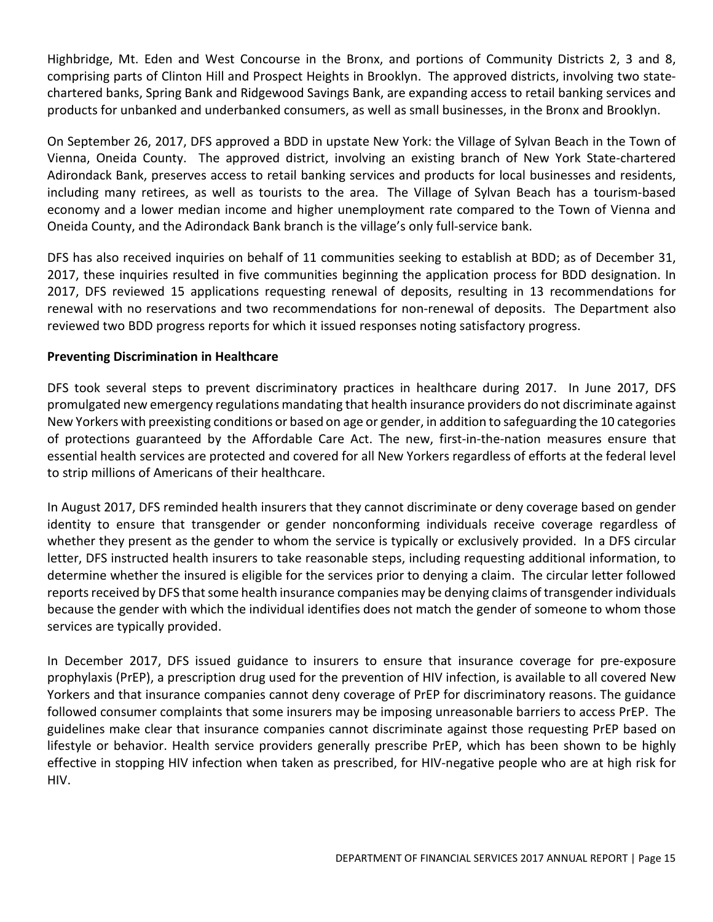Highbridge, Mt. Eden and West Concourse in the Bronx, and portions of Community Districts 2, 3 and 8, comprising parts of Clinton Hill and Prospect Heights in Brooklyn. The approved districts, involving two statechartered banks, Spring Bank and Ridgewood Savings Bank, are expanding access to retail banking services and products for unbanked and underbanked consumers, as well as small businesses, in the Bronx and Brooklyn.

On September 26, 2017, DFS approved a BDD in upstate New York: the Village of Sylvan Beach in the Town of Vienna, Oneida County. The approved district, involving an existing branch of New York State-chartered Adirondack Bank, preserves access to retail banking services and products for local businesses and residents, including many retirees, as well as tourists to the area. The Village of Sylvan Beach has a tourism-based economy and a lower median income and higher unemployment rate compared to the Town of Vienna and Oneida County, and the Adirondack Bank branch is the village's only full-service bank.

DFS has also received inquiries on behalf of 11 communities seeking to establish at BDD; as of December 31, 2017, these inquiries resulted in five communities beginning the application process for BDD designation. In 2017, DFS reviewed 15 applications requesting renewal of deposits, resulting in 13 recommendations for renewal with no reservations and two recommendations for non-renewal of deposits. The Department also reviewed two BDD progress reports for which it issued responses noting satisfactory progress.

### **Preventing Discrimination in Healthcare**

DFS took several steps to prevent discriminatory practices in healthcare during 2017. In June 2017, DFS promulgated new emergency regulations mandating that health insurance providers do not discriminate against New Yorkers with preexisting conditions or based on age or gender, in addition to safeguarding the 10 categories of protections guaranteed by the Affordable Care Act. The new, first-in-the-nation measures ensure that essential health services are protected and covered for all New Yorkers regardless of efforts at the federal level to strip millions of Americans of their healthcare.

In August 2017, DFS reminded health insurers that they cannot discriminate or deny coverage based on gender identity to ensure that transgender or gender nonconforming individuals receive coverage regardless of whether they present as the gender to whom the service is typically or exclusively provided. In a DFS circular letter, DFS instructed health insurers to take reasonable steps, including requesting additional information, to determine whether the insured is eligible for the services prior to denying a claim. The circular letter followed reports received by DFS that some health insurance companies may be denying claims of transgender individuals because the gender with which the individual identifies does not match the gender of someone to whom those services are typically provided.

In December 2017, DFS issued guidance to insurers to ensure that insurance coverage for pre-exposure prophylaxis (PrEP), a prescription drug used for the prevention of HIV infection, is available to all covered New Yorkers and that insurance companies cannot deny coverage of PrEP for discriminatory reasons. The guidance followed consumer complaints that some insurers may be imposing unreasonable barriers to access PrEP. The guidelines make clear that insurance companies cannot discriminate against those requesting PrEP based on lifestyle or behavior. Health service providers generally prescribe PrEP, which has been shown to be highly effective in stopping HIV infection when taken as prescribed, for HIV-negative people who are at high risk for HIV.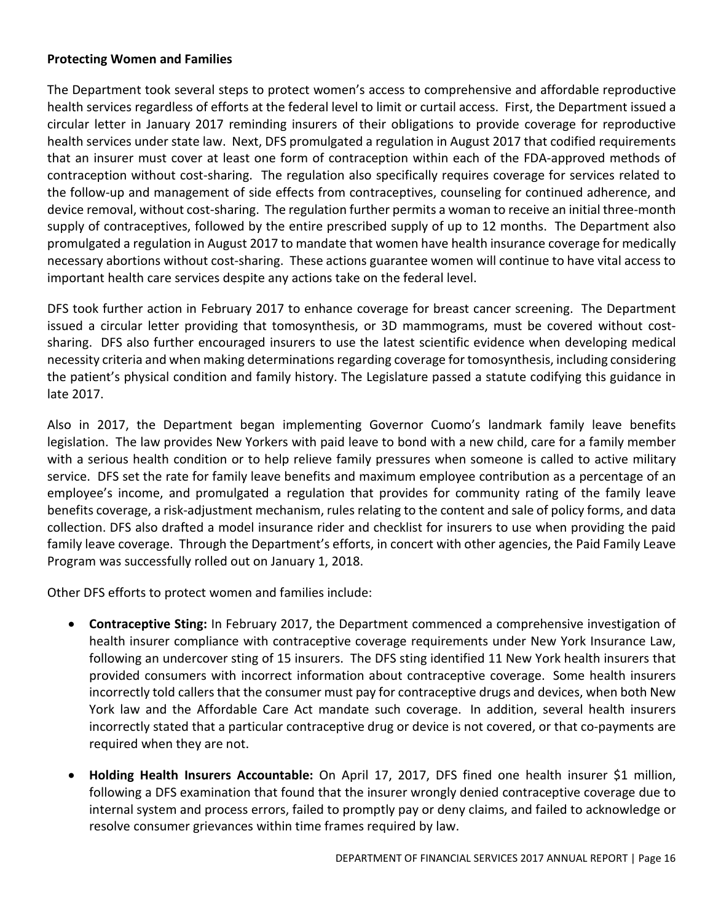#### **Protecting Women and Families**

The Department took several steps to protect women's access to comprehensive and affordable reproductive health services regardless of efforts at the federal level to limit or curtail access. First, the Department issued a circular letter in January 2017 reminding insurers of their obligations to provide coverage for reproductive health services under state law. Next, DFS promulgated a regulation in August 2017 that codified requirements that an insurer must cover at least one form of contraception within each of the FDA-approved methods of contraception without cost-sharing. The regulation also specifically requires coverage for services related to the follow-up and management of side effects from contraceptives, counseling for continued adherence, and device removal, without cost-sharing. The regulation further permits a woman to receive an initial three-month supply of contraceptives, followed by the entire prescribed supply of up to 12 months. The Department also promulgated a regulation in August 2017 to mandate that women have health insurance coverage for medically necessary abortions without cost-sharing. These actions guarantee women will continue to have vital access to important health care services despite any actions take on the federal level.

DFS took further action in February 2017 to enhance coverage for breast cancer screening. The Department issued a circular letter providing that tomosynthesis, or 3D mammograms, must be covered without costsharing. DFS also further encouraged insurers to use the latest scientific evidence when developing medical necessity criteria and when making determinations regarding coverage for tomosynthesis, including considering the patient's physical condition and family history. The Legislature passed a statute codifying this guidance in late 2017.

Also in 2017, the Department began implementing Governor Cuomo's landmark family leave benefits legislation. The law provides New Yorkers with paid leave to bond with a new child, care for a family member with a serious health condition or to help relieve family pressures when someone is called to active military service. DFS set the rate for family leave benefits and maximum employee contribution as a percentage of an employee's income, and promulgated a regulation that provides for community rating of the family leave benefits coverage, a risk-adjustment mechanism, rules relating to the content and sale of policy forms, and data collection. DFS also drafted a model insurance rider and checklist for insurers to use when providing the paid family leave coverage. Through the Department's efforts, in concert with other agencies, the Paid Family Leave Program was successfully rolled out on January 1, 2018.

Other DFS efforts to protect women and families include:

- **Contraceptive Sting:** In February 2017, the Department commenced a comprehensive investigation of health insurer compliance with contraceptive coverage requirements under New York Insurance Law, following an undercover sting of 15 insurers. The DFS sting identified 11 New York health insurers that provided consumers with incorrect information about contraceptive coverage. Some health insurers incorrectly told callers that the consumer must pay for contraceptive drugs and devices, when both New York law and the Affordable Care Act mandate such coverage. In addition, several health insurers incorrectly stated that a particular contraceptive drug or device is not covered, or that co-payments are required when they are not.
- **Holding Health Insurers Accountable:** On April 17, 2017, DFS fined one health insurer \$1 million, following a DFS examination that found that the insurer wrongly denied contraceptive coverage due to internal system and process errors, failed to promptly pay or deny claims, and failed to acknowledge or resolve consumer grievances within time frames required by law.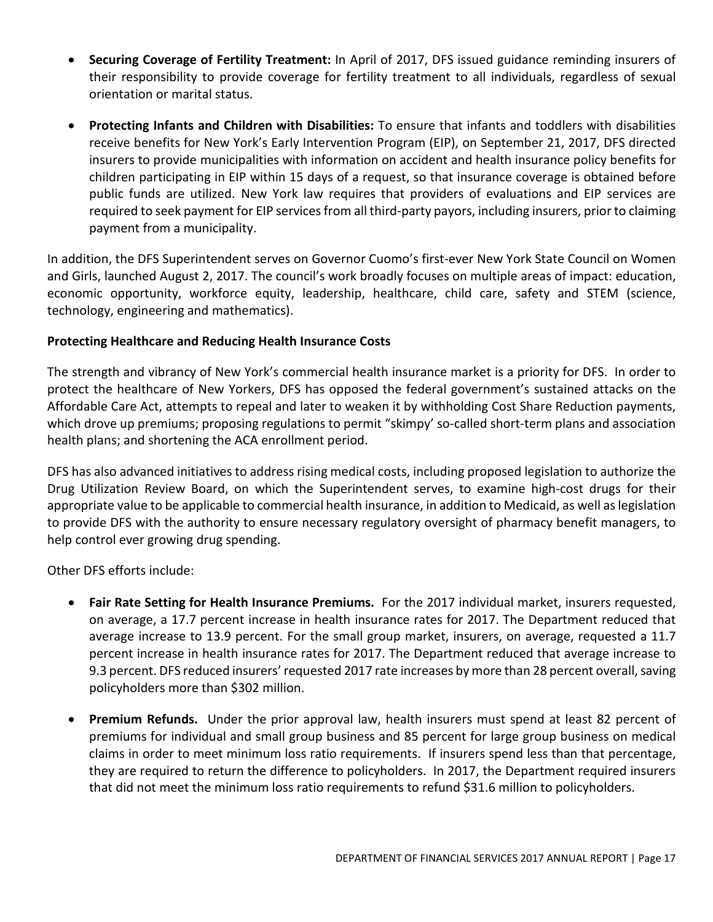- **Securing Coverage of Fertility Treatment:** In April of 2017, DFS issued guidance reminding insurers of their responsibility to provide coverage for fertility treatment to all individuals, regardless of sexual orientation or marital status.
- **Protecting Infants and Children with Disabilities:** To ensure that infants and toddlers with disabilities receive benefits for New York's Early Intervention Program (EIP), on September 21, 2017, DFS directed insurers to provide municipalities with information on accident and health insurance policy benefits for children participating in EIP within 15 days of a request, so that insurance coverage is obtained before public funds are utilized. New York law requires that providers of evaluations and EIP services are required to seek payment for EIP services from all third-party payors, including insurers, prior to claiming payment from a municipality.

In addition, the DFS Superintendent serves on Governor Cuomo's first-ever New York State Council on Women and Girls, launched August 2, 2017. The council's work broadly focuses on multiple areas of impact: education, economic opportunity, workforce equity, leadership, healthcare, child care, safety and STEM (science, technology, engineering and mathematics).

# **Protecting Healthcare and Reducing Health Insurance Costs**

The strength and vibrancy of New York's commercial health insurance market is a priority for DFS. In order to protect the healthcare of New Yorkers, DFS has opposed the federal government's sustained attacks on the Affordable Care Act, attempts to repeal and later to weaken it by withholding Cost Share Reduction payments, which drove up premiums; proposing regulations to permit "skimpy' so-called short-term plans and association health plans; and shortening the ACA enrollment period.

DFS has also advanced initiatives to address rising medical costs, including proposed legislation to authorize the Drug Utilization Review Board, on which the Superintendent serves, to examine high-cost drugs for their appropriate value to be applicable to commercial health insurance, in addition to Medicaid, as well as legislation to provide DFS with the authority to ensure necessary regulatory oversight of pharmacy benefit managers, to help control ever growing drug spending.

Other DFS efforts include:

- **Fair Rate Setting for Health Insurance Premiums.** For the 2017 individual market, insurers requested, on average, a 17.7 percent increase in health insurance rates for 2017. The Department reduced that average increase to 13.9 percent. For the small group market, insurers, on average, requested a 11.7 percent increase in health insurance rates for 2017. The Department reduced that average increase to 9.3 percent. DFS reduced insurers' requested 2017 rate increases by more than 28 percent overall, saving policyholders more than \$302 million.
- **Premium Refunds.** Under the prior approval law, health insurers must spend at least 82 percent of premiums for individual and small group business and 85 percent for large group business on medical claims in order to meet minimum loss ratio requirements. If insurers spend less than that percentage, they are required to return the difference to policyholders. In 2017, the Department required insurers that did not meet the minimum loss ratio requirements to refund \$31.6 million to policyholders.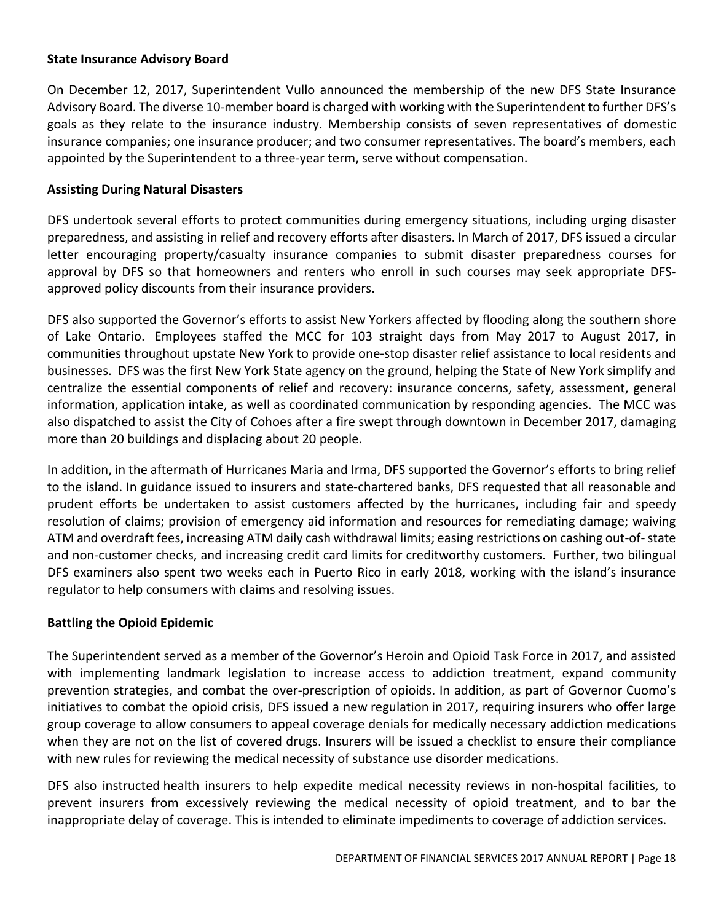#### **State Insurance Advisory Board**

On December 12, 2017, Superintendent Vullo announced the membership of the new DFS State Insurance Advisory Board. The diverse 10-member board is charged with working with the Superintendent to further DFS's goals as they relate to the insurance industry. Membership consists of seven representatives of domestic insurance companies; one insurance producer; and two consumer representatives. The board's members, each appointed by the Superintendent to a three-year term, serve without compensation.

#### **Assisting During Natural Disasters**

DFS undertook several efforts to protect communities during emergency situations, including urging disaster preparedness, and assisting in relief and recovery efforts after disasters. In March of 2017, DFS issued a circular letter encouraging property/casualty insurance companies to submit disaster preparedness courses for approval by DFS so that homeowners and renters who enroll in such courses may seek appropriate DFSapproved policy discounts from their insurance providers.

DFS also supported the Governor's efforts to assist New Yorkers affected by flooding along the southern shore of Lake Ontario. Employees staffed the MCC for 103 straight days from May 2017 to August 2017, in communities throughout upstate New York to provide one-stop disaster relief assistance to local residents and businesses. DFS was the first New York State agency on the ground, helping the State of New York simplify and centralize the essential components of relief and recovery: insurance concerns, safety, assessment, general information, application intake, as well as coordinated communication by responding agencies. The MCC was also dispatched to assist the City of Cohoes after a fire swept through downtown in December 2017, damaging more than 20 buildings and displacing about 20 people.

In addition, in the aftermath of Hurricanes Maria and Irma, DFS supported the Governor's efforts to bring relief to the island. In guidance issued to insurers and state-chartered banks, DFS requested that all reasonable and prudent efforts be undertaken to assist customers affected by the hurricanes, including fair and speedy resolution of claims; provision of emergency aid information and resources for remediating damage; waiving ATM and overdraft fees, increasing ATM daily cash withdrawal limits; easing restrictions on cashing out-of-state and non-customer checks, and increasing credit card limits for creditworthy customers. Further, two bilingual DFS examiners also spent two weeks each in Puerto Rico in early 2018, working with the island's insurance regulator to help consumers with claims and resolving issues.

#### **Battling the Opioid Epidemic**

The Superintendent served as a member of the Governor's Heroin and Opioid Task Force in 2017, and assisted with implementing landmark legislation to increase access to addiction treatment, expand community prevention strategies, and combat the over-prescription of opioids. In addition, as part of Governor Cuomo's initiatives to combat the opioid crisis, DFS issued a new regulation in 2017, requiring insurers who offer large group coverage to allow consumers to appeal coverage denials for medically necessary addiction medications when they are not on the list of covered drugs. Insurers will be issued a checklist to ensure their compliance with new rules for reviewing the medical necessity of substance use disorder medications.

DFS also instructed health insurers to help expedite medical necessity reviews in non-hospital facilities, to prevent insurers from excessively reviewing the medical necessity of opioid treatment, and to bar the inappropriate delay of coverage. This is intended to eliminate impediments to coverage of addiction services.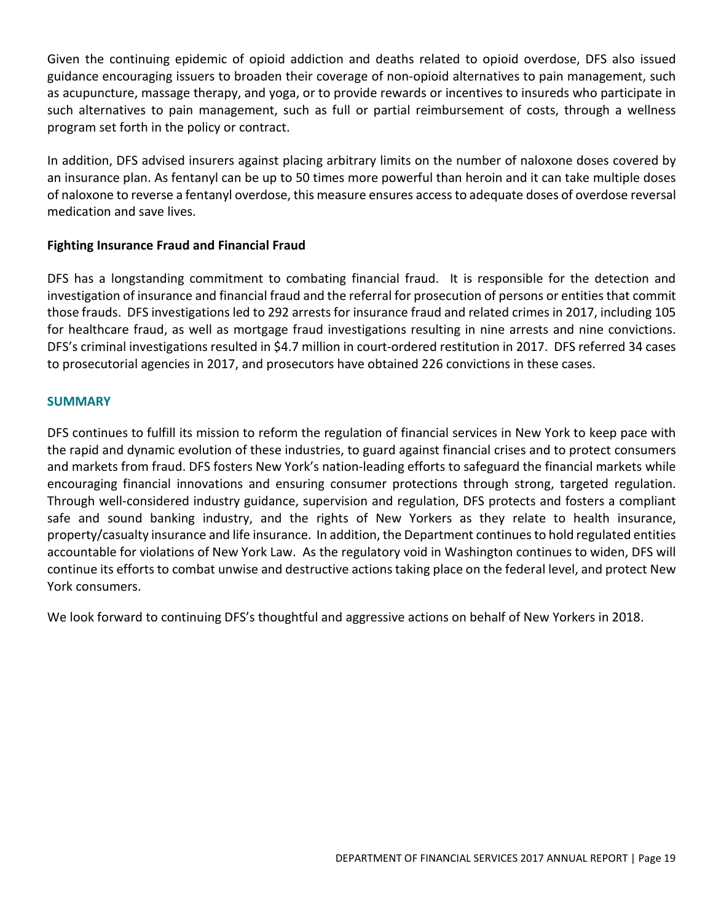Given the continuing epidemic of opioid addiction and deaths related to opioid overdose, DFS also issued guidance encouraging issuers to broaden their coverage of non-opioid alternatives to pain management, such as acupuncture, massage therapy, and yoga, or to provide rewards or incentives to insureds who participate in such alternatives to pain management, such as full or partial reimbursement of costs, through a wellness program set forth in the policy or contract.

In addition, DFS advised insurers against placing arbitrary limits on the number of naloxone doses covered by an insurance plan. As fentanyl can be up to 50 times more powerful than heroin and it can take multiple doses of naloxone to reverse a fentanyl overdose, this measure ensures access to adequate doses of overdose reversal medication and save lives.

# **Fighting Insurance Fraud and Financial Fraud**

DFS has a longstanding commitment to combating financial fraud. It is responsible for the detection and investigation of insurance and financial fraud and the referral for prosecution of persons or entities that commit those frauds. DFS investigations led to 292 arrests for insurance fraud and related crimes in 2017, including 105 for healthcare fraud, as well as mortgage fraud investigations resulting in nine arrests and nine convictions. DFS's criminal investigations resulted in \$4.7 million in court-ordered restitution in 2017. DFS referred 34 cases to prosecutorial agencies in 2017, and prosecutors have obtained 226 convictions in these cases.

### **SUMMARY**

DFS continues to fulfill its mission to reform the regulation of financial services in New York to keep pace with the rapid and dynamic evolution of these industries, to guard against financial crises and to protect consumers and markets from fraud. DFS fosters New York's nation-leading efforts to safeguard the financial markets while encouraging financial innovations and ensuring consumer protections through strong, targeted regulation. Through well-considered industry guidance, supervision and regulation, DFS protects and fosters a compliant safe and sound banking industry, and the rights of New Yorkers as they relate to health insurance, property/casualty insurance and life insurance. In addition, the Department continues to hold regulated entities accountable for violations of New York Law. As the regulatory void in Washington continues to widen, DFS will continue its efforts to combat unwise and destructive actions taking place on the federal level, and protect New York consumers.

We look forward to continuing DFS's thoughtful and aggressive actions on behalf of New Yorkers in 2018.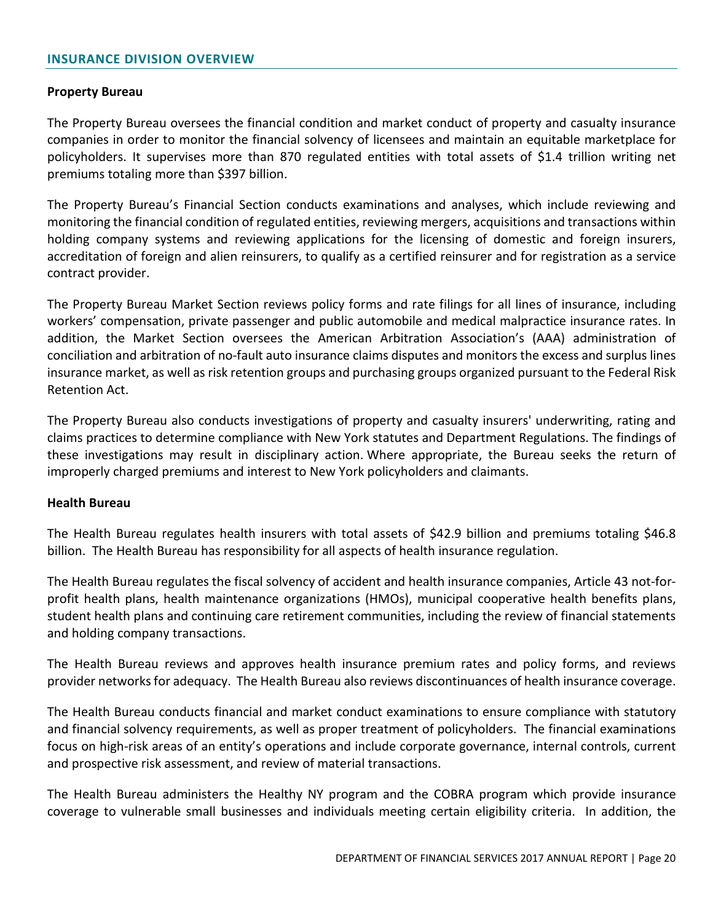#### **Property Bureau**

The Property Bureau oversees the financial condition and market conduct of property and casualty insurance companies in order to monitor the financial solvency of licensees and maintain an equitable marketplace for policyholders. It supervises more than 870 regulated entities with total assets of \$1.4 trillion writing net premiums totaling more than \$397 billion.

The Property Bureau's Financial Section conducts examinations and analyses, which include reviewing and monitoring the financial condition of regulated entities, reviewing mergers, acquisitions and transactions within holding company systems and reviewing applications for the licensing of domestic and foreign insurers, accreditation of foreign and alien reinsurers, to qualify as a certified reinsurer and for registration as a service contract provider.

The Property Bureau Market Section reviews policy forms and rate filings for all lines of insurance, including workers' compensation, private passenger and public automobile and medical malpractice insurance rates. In addition, the Market Section oversees the American Arbitration Association's (AAA) administration of conciliation and arbitration of no-fault auto insurance claims disputes and monitors the excess and surplus lines insurance market, as well as risk retention groups and purchasing groups organized pursuant to the Federal Risk Retention Act.

The Property Bureau also conducts investigations of property and casualty insurers' underwriting, rating and claims practices to determine compliance with New York statutes and Department Regulations. The findings of these investigations may result in disciplinary action. Where appropriate, the Bureau seeks the return of improperly charged premiums and interest to New York policyholders and claimants.

#### **Health Bureau**

The Health Bureau regulates health insurers with total assets of \$42.9 billion and premiums totaling \$46.8 billion. The Health Bureau has responsibility for all aspects of health insurance regulation.

The Health Bureau regulates the fiscal solvency of accident and health insurance companies, Article 43 not-forprofit health plans, health maintenance organizations (HMOs), municipal cooperative health benefits plans, student health plans and continuing care retirement communities, including the review of financial statements and holding company transactions.

The Health Bureau reviews and approves health insurance premium rates and policy forms, and reviews provider networks for adequacy. The Health Bureau also reviews discontinuances of health insurance coverage.

The Health Bureau conducts financial and market conduct examinations to ensure compliance with statutory and financial solvency requirements, as well as proper treatment of policyholders. The financial examinations focus on high-risk areas of an entity's operations and include corporate governance, internal controls, current and prospective risk assessment, and review of material transactions.

The Health Bureau administers the Healthy NY program and the COBRA program which provide insurance coverage to vulnerable small businesses and individuals meeting certain eligibility criteria. In addition, the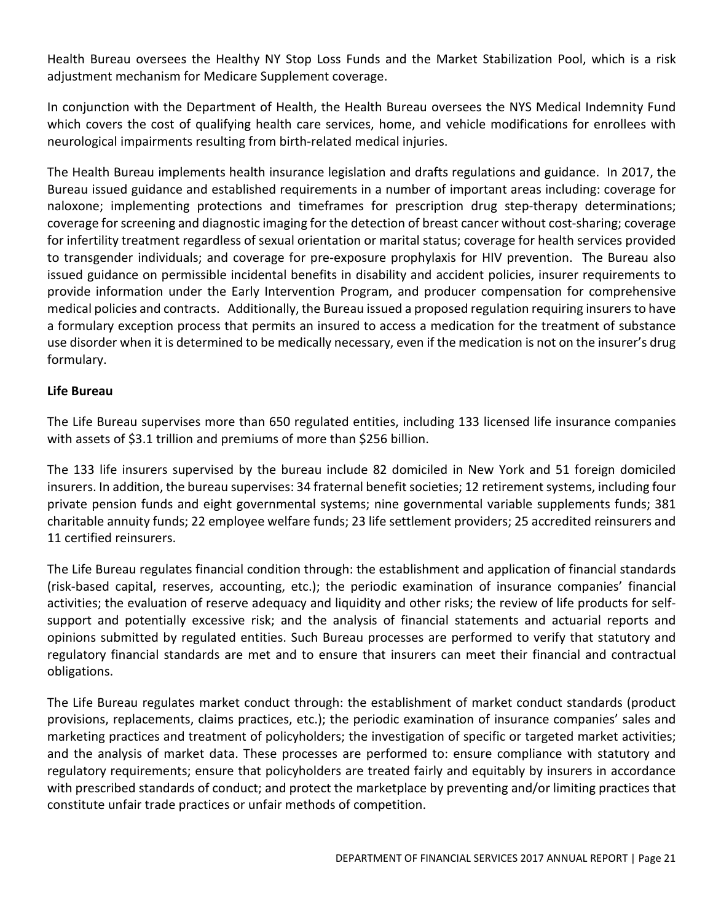Health Bureau oversees the Healthy NY Stop Loss Funds and the Market Stabilization Pool, which is a risk adjustment mechanism for Medicare Supplement coverage.

In conjunction with the Department of Health, the Health Bureau oversees the NYS Medical Indemnity Fund which covers the cost of qualifying health care services, home, and vehicle modifications for enrollees with neurological impairments resulting from birth-related medical injuries.

The Health Bureau implements health insurance legislation and drafts regulations and guidance. In 2017, the Bureau issued guidance and established requirements in a number of important areas including: coverage for naloxone; implementing protections and timeframes for prescription drug step-therapy determinations; coverage for screening and diagnostic imaging for the detection of breast cancer without cost-sharing; coverage for infertility treatment regardless of sexual orientation or marital status; coverage for health services provided to transgender individuals; and coverage for pre-exposure prophylaxis for HIV prevention. The Bureau also issued guidance on permissible incidental benefits in disability and accident policies, insurer requirements to provide information under the Early Intervention Program, and producer compensation for comprehensive medical policies and contracts. Additionally, the Bureau issued a proposed regulation requiring insurers to have a formulary exception process that permits an insured to access a medication for the treatment of substance use disorder when it is determined to be medically necessary, even if the medication is not on the insurer's drug formulary.

### **Life Bureau**

The Life Bureau supervises more than 650 regulated entities, including 133 licensed life insurance companies with assets of \$3.1 trillion and premiums of more than \$256 billion.

The 133 life insurers supervised by the bureau include 82 domiciled in New York and 51 foreign domiciled insurers. In addition, the bureau supervises: 34 fraternal benefit societies; 12 retirement systems, including four private pension funds and eight governmental systems; nine governmental variable supplements funds; 381 charitable annuity funds; 22 employee welfare funds; 23 life settlement providers; 25 accredited reinsurers and 11 certified reinsurers.

The Life Bureau regulates financial condition through: the establishment and application of financial standards (risk-based capital, reserves, accounting, etc.); the periodic examination of insurance companies' financial activities; the evaluation of reserve adequacy and liquidity and other risks; the review of life products for selfsupport and potentially excessive risk; and the analysis of financial statements and actuarial reports and opinions submitted by regulated entities. Such Bureau processes are performed to verify that statutory and regulatory financial standards are met and to ensure that insurers can meet their financial and contractual obligations.

The Life Bureau regulates market conduct through: the establishment of market conduct standards (product provisions, replacements, claims practices, etc.); the periodic examination of insurance companies' sales and marketing practices and treatment of policyholders; the investigation of specific or targeted market activities; and the analysis of market data. These processes are performed to: ensure compliance with statutory and regulatory requirements; ensure that policyholders are treated fairly and equitably by insurers in accordance with prescribed standards of conduct; and protect the marketplace by preventing and/or limiting practices that constitute unfair trade practices or unfair methods of competition.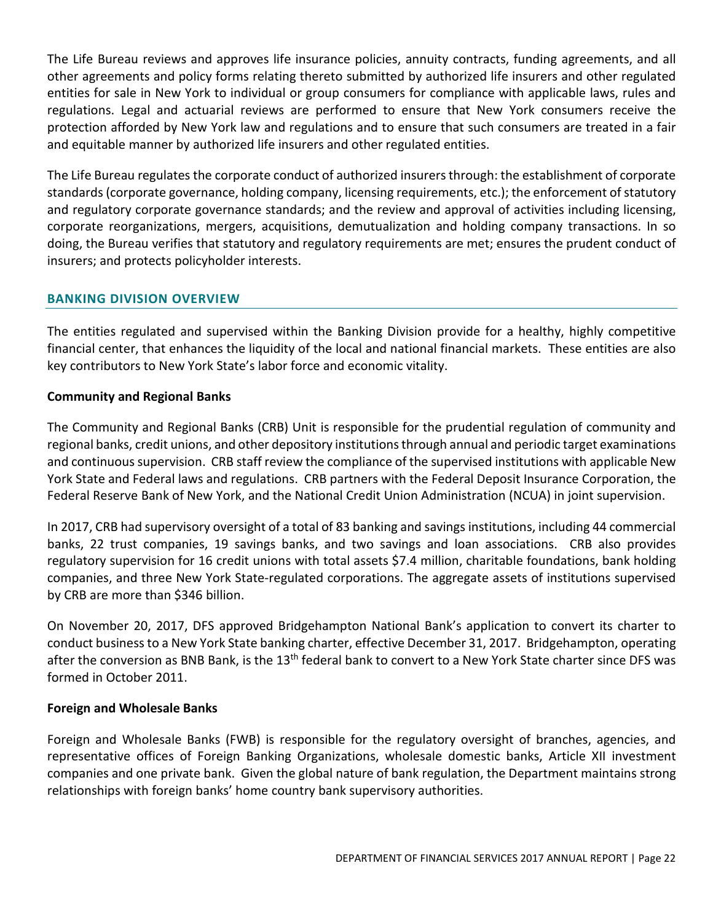The Life Bureau reviews and approves life insurance policies, annuity contracts, funding agreements, and all other agreements and policy forms relating thereto submitted by authorized life insurers and other regulated entities for sale in New York to individual or group consumers for compliance with applicable laws, rules and regulations. Legal and actuarial reviews are performed to ensure that New York consumers receive the protection afforded by New York law and regulations and to ensure that such consumers are treated in a fair and equitable manner by authorized life insurers and other regulated entities.

The Life Bureau regulates the corporate conduct of authorized insurers through: the establishment of corporate standards (corporate governance, holding company, licensing requirements, etc.); the enforcement of statutory and regulatory corporate governance standards; and the review and approval of activities including licensing, corporate reorganizations, mergers, acquisitions, demutualization and holding company transactions. In so doing, the Bureau verifies that statutory and regulatory requirements are met; ensures the prudent conduct of insurers; and protects policyholder interests.

### <span id="page-21-0"></span>**BANKING DIVISION OVERVIEW**

The entities regulated and supervised within the Banking Division provide for a healthy, highly competitive financial center, that enhances the liquidity of the local and national financial markets. These entities are also key contributors to New York State's labor force and economic vitality.

### **Community and Regional Banks**

The Community and Regional Banks (CRB) Unit is responsible for the prudential regulation of community and regional banks, credit unions, and other depository institutions through annual and periodic target examinations and continuous supervision. CRB staff review the compliance of the supervised institutions with applicable New York State and Federal laws and regulations. CRB partners with the Federal Deposit Insurance Corporation, the Federal Reserve Bank of New York, and the National Credit Union Administration (NCUA) in joint supervision.

In 2017, CRB had supervisory oversight of a total of 83 banking and savings institutions, including 44 commercial banks, 22 trust companies, 19 savings banks, and two savings and loan associations. CRB also provides regulatory supervision for 16 credit unions with total assets \$7.4 million, charitable foundations, bank holding companies, and three New York State-regulated corporations. The aggregate assets of institutions supervised by CRB are more than \$346 billion.

On November 20, 2017, DFS approved Bridgehampton National Bank's application to convert its charter to conduct business to a New York State banking charter, effective December 31, 2017. Bridgehampton, operating after the conversion as BNB Bank, is the 13<sup>th</sup> federal bank to convert to a New York State charter since DFS was formed in October 2011.

#### **Foreign and Wholesale Banks**

Foreign and Wholesale Banks (FWB) is responsible for the regulatory oversight of branches, agencies, and representative offices of Foreign Banking Organizations, wholesale domestic banks, Article XII investment companies and one private bank. Given the global nature of bank regulation, the Department maintains strong relationships with foreign banks' home country bank supervisory authorities.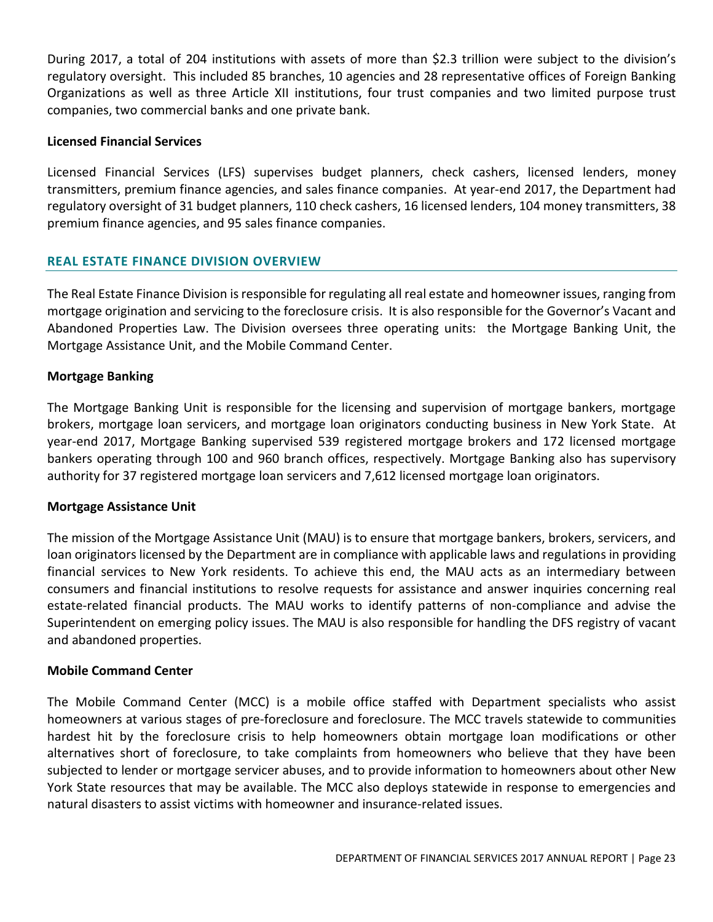During 2017, a total of 204 institutions with assets of more than \$2.3 trillion were subject to the division's regulatory oversight. This included 85 branches, 10 agencies and 28 representative offices of Foreign Banking Organizations as well as three Article XII institutions, four trust companies and two limited purpose trust companies, two commercial banks and one private bank.

#### **Licensed Financial Services**

Licensed Financial Services (LFS) supervises budget planners, check cashers, licensed lenders, money transmitters, premium finance agencies, and sales finance companies. At year-end 2017, the Department had regulatory oversight of 31 budget planners, 110 check cashers, 16 licensed lenders, 104 money transmitters, 38 premium finance agencies, and 95 sales finance companies.

# <span id="page-22-0"></span>**REAL ESTATE FINANCE DIVISION OVERVIEW**

The Real Estate Finance Division is responsible for regulating all real estate and homeowner issues, ranging from mortgage origination and servicing to the foreclosure crisis. It is also responsible for the Governor's Vacant and Abandoned Properties Law. The Division oversees three operating units: the Mortgage Banking Unit, the Mortgage Assistance Unit, and the Mobile Command Center.

### **Mortgage Banking**

The Mortgage Banking Unit is responsible for the licensing and supervision of mortgage bankers, mortgage brokers, mortgage loan servicers, and mortgage loan originators conducting business in New York State. At year-end 2017, Mortgage Banking supervised 539 registered mortgage brokers and 172 licensed mortgage bankers operating through 100 and 960 branch offices, respectively. Mortgage Banking also has supervisory authority for 37 registered mortgage loan servicers and 7,612 licensed mortgage loan originators.

#### **Mortgage Assistance Unit**

The mission of the Mortgage Assistance Unit (MAU) is to ensure that mortgage bankers, brokers, servicers, and loan originators licensed by the Department are in compliance with applicable laws and regulations in providing financial services to New York residents. To achieve this end, the MAU acts as an intermediary between consumers and financial institutions to resolve requests for assistance and answer inquiries concerning real estate-related financial products. The MAU works to identify patterns of non-compliance and advise the Superintendent on emerging policy issues. The MAU is also responsible for handling the DFS registry of vacant and abandoned properties.

# **Mobile Command Center**

The Mobile Command Center (MCC) is a mobile office staffed with Department specialists who assist homeowners at various stages of pre-foreclosure and foreclosure. The MCC travels statewide to communities hardest hit by the foreclosure crisis to help homeowners obtain mortgage loan modifications or other alternatives short of foreclosure, to take complaints from homeowners who believe that they have been subjected to lender or mortgage servicer abuses, and to provide information to homeowners about other New York State resources that may be available. The MCC also deploys statewide in response to emergencies and natural disasters to assist victims with homeowner and insurance-related issues.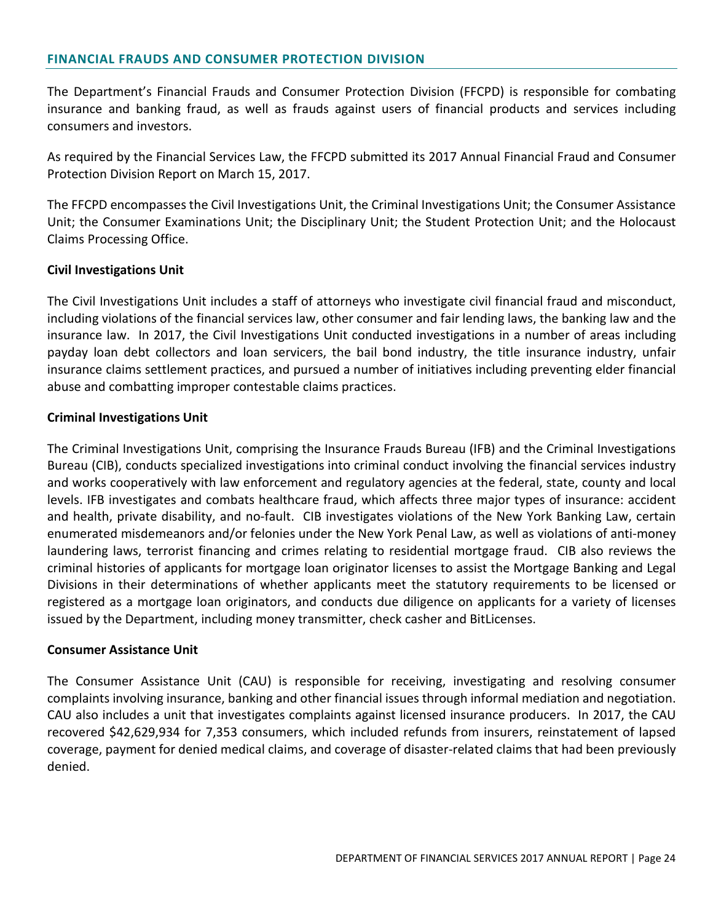<span id="page-23-0"></span>The Department's Financial Frauds and Consumer Protection Division (FFCPD) is responsible for combating insurance and banking fraud, as well as frauds against users of financial products and services including consumers and investors.

As required by the Financial Services Law, the FFCPD submitted its 2017 Annual Financial Fraud and Consumer Protection Division Report on March 15, 2017.

The FFCPD encompasses the Civil Investigations Unit, the Criminal Investigations Unit; the Consumer Assistance Unit; the Consumer Examinations Unit; the Disciplinary Unit; the Student Protection Unit; and the Holocaust Claims Processing Office.

#### **Civil Investigations Unit**

The Civil Investigations Unit includes a staff of attorneys who investigate civil financial fraud and misconduct, including violations of the financial services law, other consumer and fair lending laws, the banking law and the insurance law. In 2017, the Civil Investigations Unit conducted investigations in a number of areas including payday loan debt collectors and loan servicers, the bail bond industry, the title insurance industry, unfair insurance claims settlement practices, and pursued a number of initiatives including preventing elder financial abuse and combatting improper contestable claims practices.

#### **Criminal Investigations Unit**

The Criminal Investigations Unit, comprising the Insurance Frauds Bureau (IFB) and the Criminal Investigations Bureau (CIB), conducts specialized investigations into criminal conduct involving the financial services industry and works cooperatively with law enforcement and regulatory agencies at the federal, state, county and local levels. IFB investigates and combats healthcare fraud, which affects three major types of insurance: accident and health, private disability, and no-fault. CIB investigates violations of the New York Banking Law, certain enumerated misdemeanors and/or felonies under the New York Penal Law, as well as violations of anti-money laundering laws, terrorist financing and crimes relating to residential mortgage fraud. CIB also reviews the criminal histories of applicants for mortgage loan originator licenses to assist the Mortgage Banking and Legal Divisions in their determinations of whether applicants meet the statutory requirements to be licensed or registered as a mortgage loan originators, and conducts due diligence on applicants for a variety of licenses issued by the Department, including money transmitter, check casher and BitLicenses.

#### **Consumer Assistance Unit**

The Consumer Assistance Unit (CAU) is responsible for receiving, investigating and resolving consumer complaints involving insurance, banking and other financial issues through informal mediation and negotiation. CAU also includes a unit that investigates complaints against licensed insurance producers. In 2017, the CAU recovered \$42,629,934 for 7,353 consumers, which included refunds from insurers, reinstatement of lapsed coverage, payment for denied medical claims, and coverage of disaster-related claims that had been previously denied.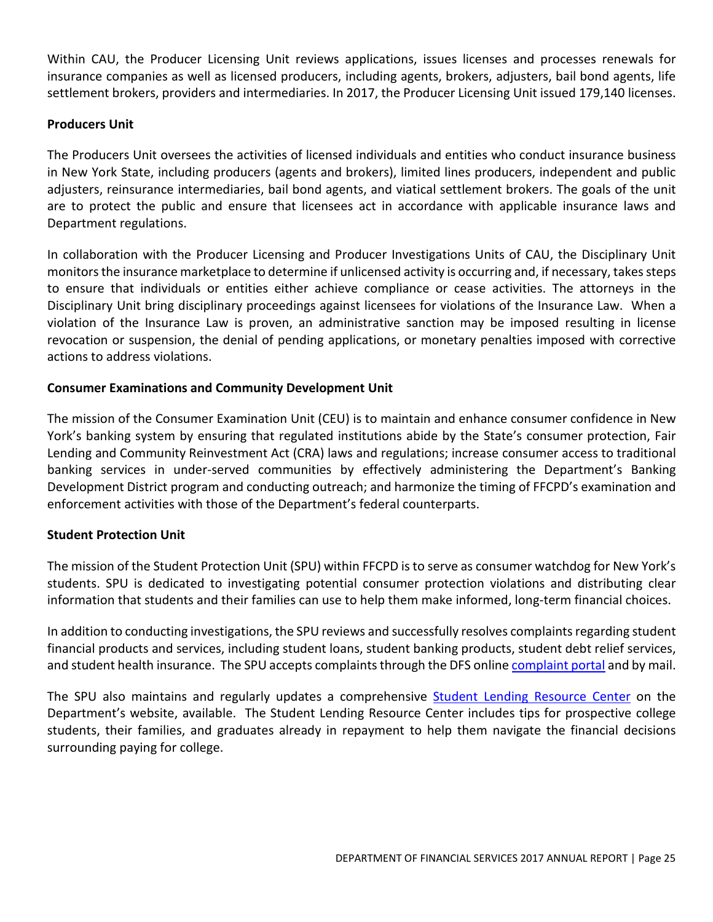Within CAU, the Producer Licensing Unit reviews applications, issues licenses and processes renewals for insurance companies as well as licensed producers, including agents, brokers, adjusters, bail bond agents, life settlement brokers, providers and intermediaries. In 2017, the Producer Licensing Unit issued 179,140 licenses.

# **Producers Unit**

The Producers Unit oversees the activities of licensed individuals and entities who conduct insurance business in New York State, including producers (agents and brokers), limited lines producers, independent and public adjusters, reinsurance intermediaries, bail bond agents, and viatical settlement brokers. The goals of the unit are to protect the public and ensure that licensees act in accordance with applicable insurance laws and Department regulations.

In collaboration with the Producer Licensing and Producer Investigations Units of CAU, the Disciplinary Unit monitors the insurance marketplace to determine if unlicensed activity is occurring and, if necessary, takes steps to ensure that individuals or entities either achieve compliance or cease activities. The attorneys in the Disciplinary Unit bring disciplinary proceedings against licensees for violations of the Insurance Law. When a violation of the Insurance Law is proven, an administrative sanction may be imposed resulting in license revocation or suspension, the denial of pending applications, or monetary penalties imposed with corrective actions to address violations.

### **Consumer Examinations and Community Development Unit**

The mission of the Consumer Examination Unit (CEU) is to maintain and enhance consumer confidence in New York's banking system by ensuring that regulated institutions abide by the State's consumer protection, Fair Lending and Community Reinvestment Act (CRA) laws and regulations; increase consumer access to traditional banking services in under-served communities by effectively administering the Department's Banking Development District program and conducting outreach; and harmonize the timing of FFCPD's examination and enforcement activities with those of the Department's federal counterparts.

#### **Student Protection Unit**

The mission of the Student Protection Unit (SPU) within FFCPD is to serve as consumer watchdog for New York's students. SPU is dedicated to investigating potential consumer protection violations and distributing clear information that students and their families can use to help them make informed, long-term financial choices.

In addition to conducting investigations, the SPU reviews and successfully resolves complaints regarding student financial products and services, including student loans, student banking products, student debt relief services, and student health insurance. The SPU accepts complaints through the DFS onlin[e complaint portal](http://www.dfs.ny.gov/consumer/fileacomplaint.htm) and by mail.

The SPU also maintains and regularly updates a comprehensive [Student Lending Resource Center](http://www.dfs.ny.gov/studentprotection) on the Department's website, available. The Student Lending Resource Center includes tips for prospective college students, their families, and graduates already in repayment to help them navigate the financial decisions surrounding paying for college.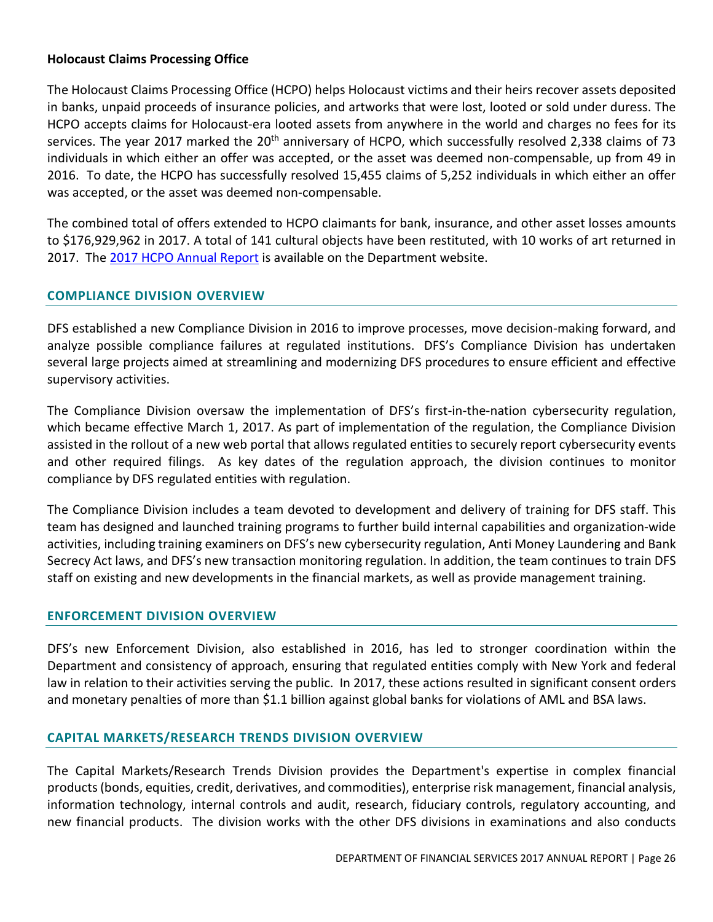#### **Holocaust Claims Processing Office**

The Holocaust Claims Processing Office (HCPO) helps Holocaust victims and their heirs recover assets deposited in banks, unpaid proceeds of insurance policies, and artworks that were lost, looted or sold under duress. The HCPO accepts claims for Holocaust-era looted assets from anywhere in the world and charges no fees for its services. The year 2017 marked the 20<sup>th</sup> anniversary of HCPO, which successfully resolved 2,338 claims of 73 individuals in which either an offer was accepted, or the asset was deemed non-compensable, up from 49 in 2016. To date, the HCPO has successfully resolved 15,455 claims of 5,252 individuals in which either an offer was accepted, or the asset was deemed non-compensable.

The combined total of offers extended to HCPO claimants for bank, insurance, and other asset losses amounts to \$176,929,962 in 2017. A total of 141 cultural objects have been restituted, with 10 works of art returned in 2017. The 2017 [HCPO Annual Report](https://www.dfs.ny.gov/reportpub/hcpo/hcporeport17.pdf) is available on the Department website.

#### **COMPLIANCE DIVISION OVERVIEW**

DFS established a new Compliance Division in 2016 to improve processes, move decision-making forward, and analyze possible compliance failures at regulated institutions. DFS's Compliance Division has undertaken several large projects aimed at streamlining and modernizing DFS procedures to ensure efficient and effective supervisory activities.

The Compliance Division oversaw the implementation of DFS's first-in-the-nation cybersecurity regulation, which became effective March 1, 2017. As part of implementation of the regulation, the Compliance Division assisted in the rollout of a new web portal that allows regulated entities to securely report cybersecurity events and other required filings. As key dates of the regulation approach, the division continues to monitor compliance by DFS regulated entities with regulation.

The Compliance Division includes a team devoted to development and delivery of training for DFS staff. This team has designed and launched training programs to further build internal capabilities and organization-wide activities, including training examiners on DFS's new cybersecurity regulation, Anti Money Laundering and Bank Secrecy Act laws, and DFS's new transaction monitoring regulation. In addition, the team continues to train DFS staff on existing and new developments in the financial markets, as well as provide management training.

#### **ENFORCEMENT DIVISION OVERVIEW**

DFS's new Enforcement Division, also established in 2016, has led to stronger coordination within the Department and consistency of approach, ensuring that regulated entities comply with New York and federal law in relation to their activities serving the public. In 2017, these actions resulted in significant consent orders and monetary penalties of more than \$1.1 billion against global banks for violations of AML and BSA laws.

#### **CAPITAL MARKETS/RESEARCH TRENDS DIVISION OVERVIEW**

The Capital Markets/Research Trends Division provides the Department's expertise in complex financial products (bonds, equities, credit, derivatives, and commodities), enterprise risk management, financial analysis, information technology, internal controls and audit, research, fiduciary controls, regulatory accounting, and new financial products. The division works with the other DFS divisions in examinations and also conducts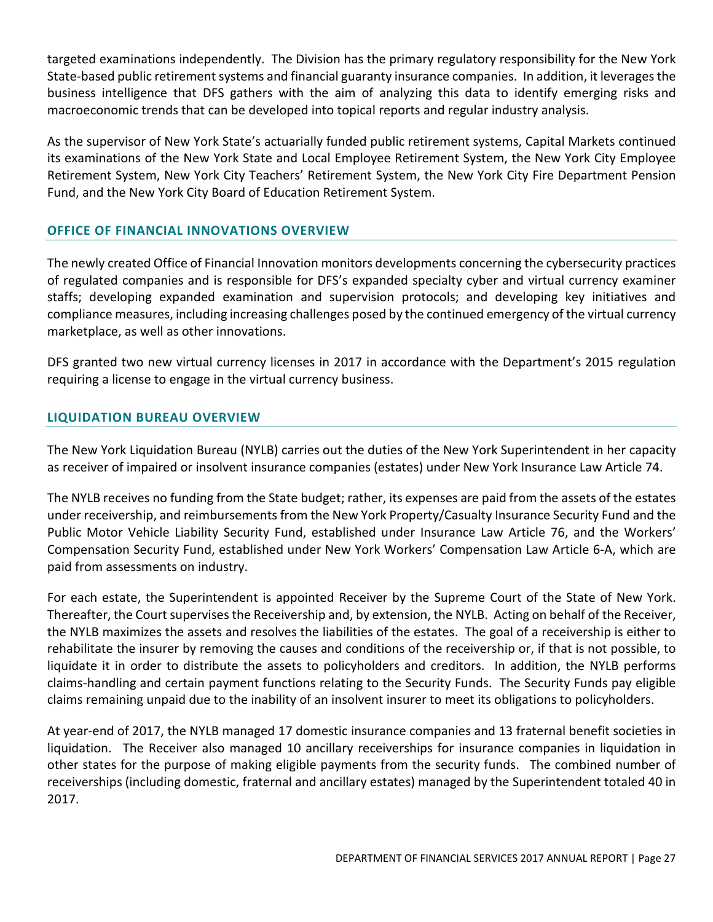targeted examinations independently. The Division has the primary regulatory responsibility for the New York State-based public retirement systems and financial guaranty insurance companies. In addition, it leverages the business intelligence that DFS gathers with the aim of analyzing this data to identify emerging risks and macroeconomic trends that can be developed into topical reports and regular industry analysis.

As the supervisor of New York State's actuarially funded public retirement systems, Capital Markets continued its examinations of the New York State and Local Employee Retirement System, the New York City Employee Retirement System, New York City Teachers' Retirement System, the New York City Fire Department Pension Fund, and the New York City Board of Education Retirement System.

# **OFFICE OF FINANCIAL INNOVATIONS OVERVIEW**

The newly created Office of Financial Innovation monitors developments concerning the cybersecurity practices of regulated companies and is responsible for DFS's expanded specialty cyber and virtual currency examiner staffs; developing expanded examination and supervision protocols; and developing key initiatives and compliance measures, including increasing challenges posed by the continued emergency of the virtual currency marketplace, as well as other innovations.

DFS granted two new virtual currency licenses in 2017 in accordance with the Department's 2015 regulation requiring a license to engage in the virtual currency business.

# **LIQUIDATION BUREAU OVERVIEW**

The New York Liquidation Bureau (NYLB) carries out the duties of the New York Superintendent in her capacity as receiver of impaired or insolvent insurance companies (estates) under New York Insurance Law Article 74.

The NYLB receives no funding from the State budget; rather, its expenses are paid from the assets of the estates under receivership, and reimbursements from the New York Property/Casualty Insurance Security Fund and the Public Motor Vehicle Liability Security Fund, established under Insurance Law Article 76, and the Workers' Compensation Security Fund, established under New York Workers' Compensation Law Article 6-A, which are paid from assessments on industry.

For each estate, the Superintendent is appointed Receiver by the Supreme Court of the State of New York. Thereafter, the Court supervises the Receivership and, by extension, the NYLB. Acting on behalf of the Receiver, the NYLB maximizes the assets and resolves the liabilities of the estates. The goal of a receivership is either to rehabilitate the insurer by removing the causes and conditions of the receivership or, if that is not possible, to liquidate it in order to distribute the assets to policyholders and creditors. In addition, the NYLB performs claims-handling and certain payment functions relating to the Security Funds. The Security Funds pay eligible claims remaining unpaid due to the inability of an insolvent insurer to meet its obligations to policyholders.

At year-end of 2017, the NYLB managed 17 domestic insurance companies and 13 fraternal benefit societies in liquidation. The Receiver also managed 10 ancillary receiverships for insurance companies in liquidation in other states for the purpose of making eligible payments from the security funds. The combined number of receiverships (including domestic, fraternal and ancillary estates) managed by the Superintendent totaled 40 in 2017.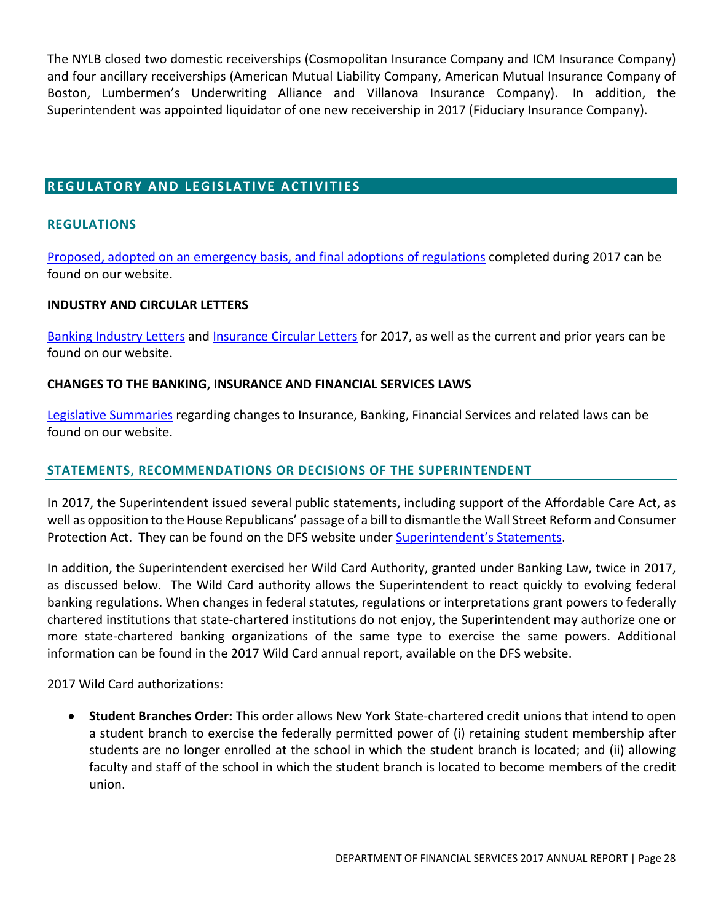The NYLB closed two domestic receiverships (Cosmopolitan Insurance Company and ICM Insurance Company) and four ancillary receiverships (American Mutual Liability Company, American Mutual Insurance Company of Boston, Lumbermen's Underwriting Alliance and Villanova Insurance Company). In addition, the Superintendent was appointed liquidator of one new receivership in 2017 (Fiduciary Insurance Company).

# <span id="page-27-0"></span>**REGULATORY AND LEGISLATIVE ACTIVITIES**

#### <span id="page-27-1"></span>**REGULATIONS**

[Proposed, adopted on an emergency basis, and final adoptions of regulations](http://www.dfs.ny.gov/legal/regulations.htm) completed during 2017 can be found on our website.

#### **INDUSTRY AND CIRCULAR LETTERS**

[Banking Industry Letters](http://www.dfs.ny.gov/legal/industry/il.htm) an[d Insurance Circular Letters](http://www.dfs.ny.gov/insurance/circindx.htm) for 2017, as well as the current and prior years can be found on our website.

#### **CHANGES TO THE BANKING, INSURANCE AND FINANCIAL SERVICES LAWS**

[Legislative Summaries](http://www.dfs.ny.gov/legal/leg_summ/leg_summ.htm) regarding changes to Insurance, Banking, Financial Services and related laws can be found on our website.

#### **STATEMENTS, RECOMMENDATIONS OR DECISIONS OF THE SUPERINTENDENT**

In 2017, the Superintendent issued several public statements, including support of the Affordable Care Act, as well as opposition to the House Republicans' passage of a bill to dismantle the Wall Street Reform and Consumer Protection Act. They can be found on the DFS website under [Superintendent's Statements.](https://www.dfs.ny.gov/about/stmt_2017.htm)

In addition, the Superintendent exercised her Wild Card Authority, granted under Banking Law, twice in 2017, as discussed below. The Wild Card authority allows the Superintendent to react quickly to evolving federal banking regulations. When changes in federal statutes, regulations or interpretations grant powers to federally chartered institutions that state-chartered institutions do not enjoy, the Superintendent may authorize one or more state-chartered banking organizations of the same type to exercise the same powers. Additional information can be found in the 2017 Wild Card annual report, available on the DFS website.

2017 Wild Card authorizations:

• **Student Branches Order:** This order allows New York State-chartered credit unions that intend to open a student branch to exercise the federally permitted power of (i) retaining student membership after students are no longer enrolled at the school in which the student branch is located; and (ii) allowing faculty and staff of the school in which the student branch is located to become members of the credit union.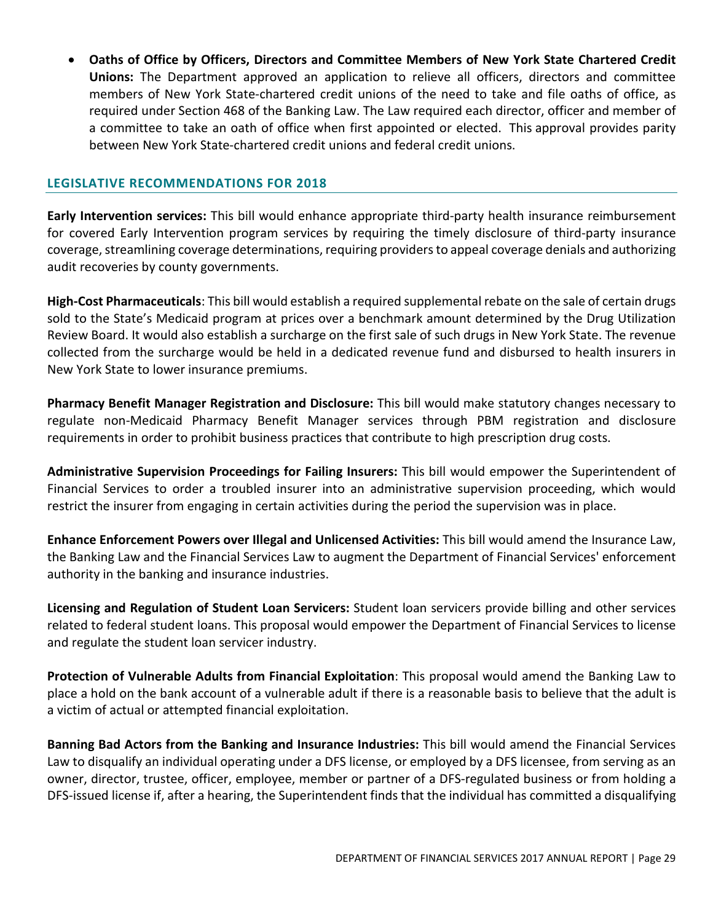• **Oaths of Office by Officers, Directors and Committee Members of New York State Chartered Credit Unions:** The Department approved an application to relieve all officers, directors and committee members of New York State-chartered credit unions of the need to take and file oaths of office, as required under Section 468 of the Banking Law. The Law required each director, officer and member of a committee to take an oath of office when first appointed or elected. This approval provides parity between New York State-chartered credit unions and federal credit unions.

#### **LEGISLATIVE RECOMMENDATIONS FOR 2018**

**Early Intervention services:** This bill would enhance appropriate third-party health insurance reimbursement for covered Early Intervention program services by requiring the timely disclosure of third-party insurance coverage, streamlining coverage determinations, requiring providers to appeal coverage denials and authorizing audit recoveries by county governments.

**High-Cost Pharmaceuticals**: This bill would establish a required supplemental rebate on the sale of certain drugs sold to the State's Medicaid program at prices over a benchmark amount determined by the Drug Utilization Review Board. It would also establish a surcharge on the first sale of such drugs in New York State. The revenue collected from the surcharge would be held in a dedicated revenue fund and disbursed to health insurers in New York State to lower insurance premiums.

**Pharmacy Benefit Manager Registration and Disclosure:** This bill would make statutory changes necessary to regulate non-Medicaid Pharmacy Benefit Manager services through PBM registration and disclosure requirements in order to prohibit business practices that contribute to high prescription drug costs.

**Administrative Supervision Proceedings for Failing Insurers:** This bill would empower the Superintendent of Financial Services to order a troubled insurer into an administrative supervision proceeding, which would restrict the insurer from engaging in certain activities during the period the supervision was in place.

**Enhance Enforcement Powers over Illegal and Unlicensed Activities:** This bill would amend the Insurance Law, the Banking Law and the Financial Services Law to augment the Department of Financial Services' enforcement authority in the banking and insurance industries.

**Licensing and Regulation of Student Loan Servicers:** Student loan servicers provide billing and other services related to federal student loans. This proposal would empower the Department of Financial Services to license and regulate the student loan servicer industry.

**Protection of Vulnerable Adults from Financial Exploitation**: This proposal would amend the Banking Law to place a hold on the bank account of a vulnerable adult if there is a reasonable basis to believe that the adult is a victim of actual or attempted financial exploitation.

**Banning Bad Actors from the Banking and Insurance Industries:** This bill would amend the Financial Services Law to disqualify an individual operating under a DFS license, or employed by a DFS licensee, from serving as an owner, director, trustee, officer, employee, member or partner of a DFS-regulated business or from holding a DFS-issued license if, after a hearing, the Superintendent finds that the individual has committed a disqualifying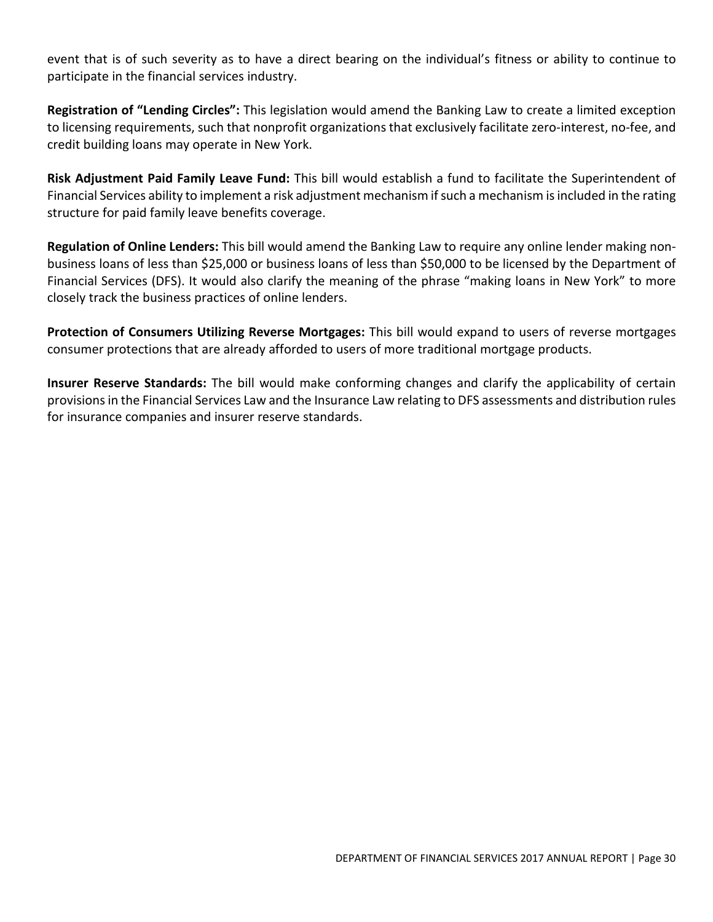event that is of such severity as to have a direct bearing on the individual's fitness or ability to continue to participate in the financial services industry.

**Registration of "Lending Circles":** This legislation would amend the Banking Law to create a limited exception to licensing requirements, such that nonprofit organizations that exclusively facilitate zero-interest, no-fee, and credit building loans may operate in New York.

**Risk Adjustment Paid Family Leave Fund:** This bill would establish a fund to facilitate the Superintendent of Financial Services ability to implement a risk adjustment mechanism if such a mechanism is included in the rating structure for paid family leave benefits coverage.

**Regulation of Online Lenders:** This bill would amend the Banking Law to require any online lender making nonbusiness loans of less than \$25,000 or business loans of less than \$50,000 to be licensed by the Department of Financial Services (DFS). It would also clarify the meaning of the phrase "making loans in New York" to more closely track the business practices of online lenders.

**Protection of Consumers Utilizing Reverse Mortgages:** This bill would expand to users of reverse mortgages consumer protections that are already afforded to users of more traditional mortgage products.

**Insurer Reserve Standards:** The bill would make conforming changes and clarify the applicability of certain provisions in the Financial Services Law and the Insurance Law relating to DFS assessments and distribution rules for insurance companies and insurer reserve standards.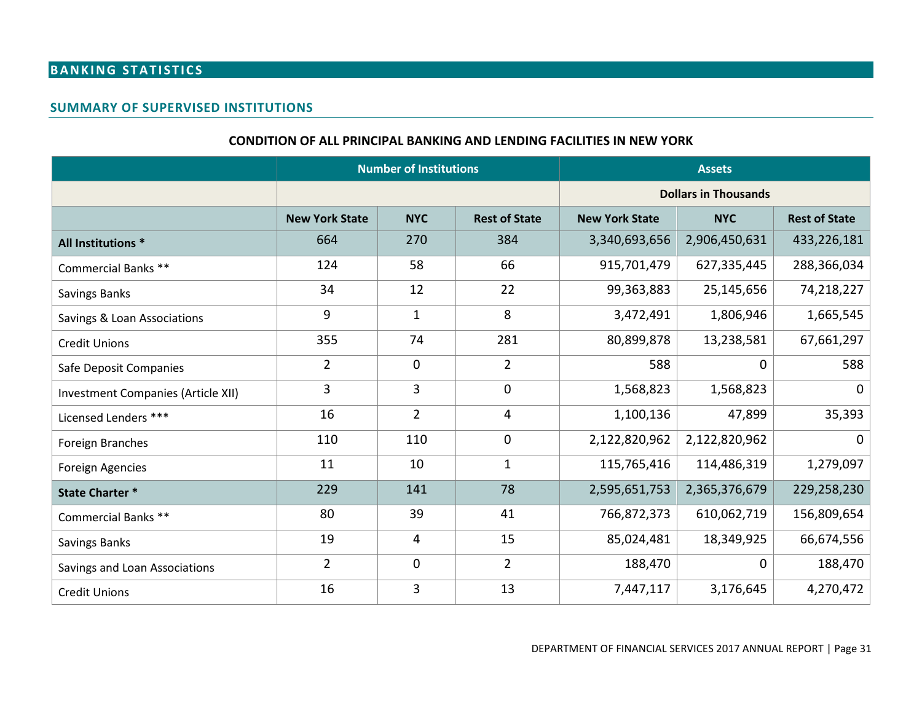# **BANKING STATISTICS**

#### **SUMMARY OF SUPERVISED INSTITUTIONS**

#### **CONDITION OF ALL PRINCIPAL BANKING AND LENDING FACILITIES IN NEW YORK**

<span id="page-30-0"></span>

|                                    | <b>Number of Institutions</b> |                |                      |                       | <b>Assets</b>               |                      |  |  |
|------------------------------------|-------------------------------|----------------|----------------------|-----------------------|-----------------------------|----------------------|--|--|
|                                    |                               |                |                      |                       | <b>Dollars in Thousands</b> |                      |  |  |
|                                    | <b>New York State</b>         | <b>NYC</b>     | <b>Rest of State</b> | <b>New York State</b> | <b>NYC</b>                  | <b>Rest of State</b> |  |  |
| All Institutions *                 | 664                           | 270            | 384                  | 3,340,693,656         | 2,906,450,631               | 433,226,181          |  |  |
| <b>Commercial Banks **</b>         | 124                           | 58             | 66                   | 915,701,479           | 627,335,445                 | 288,366,034          |  |  |
| Savings Banks                      | 34                            | 12             | 22                   | 99,363,883            | 25,145,656                  | 74,218,227           |  |  |
| Savings & Loan Associations        | 9                             | $\mathbf{1}$   | 8                    | 3,472,491             | 1,806,946                   | 1,665,545            |  |  |
| <b>Credit Unions</b>               | 355                           | 74             | 281                  | 80,899,878            | 13,238,581                  | 67,661,297           |  |  |
| Safe Deposit Companies             | $\overline{2}$                | $\mathbf 0$    | $\overline{2}$       | 588                   | 0                           | 588                  |  |  |
| Investment Companies (Article XII) | 3                             | 3              | 0                    | 1,568,823             | 1,568,823                   | $\Omega$             |  |  |
| Licensed Lenders ***               | 16                            | $\overline{2}$ | 4                    | 1,100,136             | 47,899                      | 35,393               |  |  |
| Foreign Branches                   | 110                           | 110            | 0                    | 2,122,820,962         | 2,122,820,962               | $\Omega$             |  |  |
| <b>Foreign Agencies</b>            | 11                            | 10             | $\mathbf{1}$         | 115,765,416           | 114,486,319                 | 1,279,097            |  |  |
| <b>State Charter *</b>             | 229                           | 141            | 78                   | 2,595,651,753         | 2,365,376,679               | 229,258,230          |  |  |
| Commercial Banks **                | 80                            | 39             | 41                   | 766,872,373           | 610,062,719                 | 156,809,654          |  |  |
| Savings Banks                      | 19                            | 4              | 15                   | 85,024,481            | 18,349,925                  | 66,674,556           |  |  |
| Savings and Loan Associations      | $\overline{2}$                | $\mathbf 0$    | $\overline{2}$       | 188,470               | $\mathbf 0$                 | 188,470              |  |  |
| <b>Credit Unions</b>               | 16                            | 3              | 13                   | 7,447,117             | 3,176,645                   | 4,270,472            |  |  |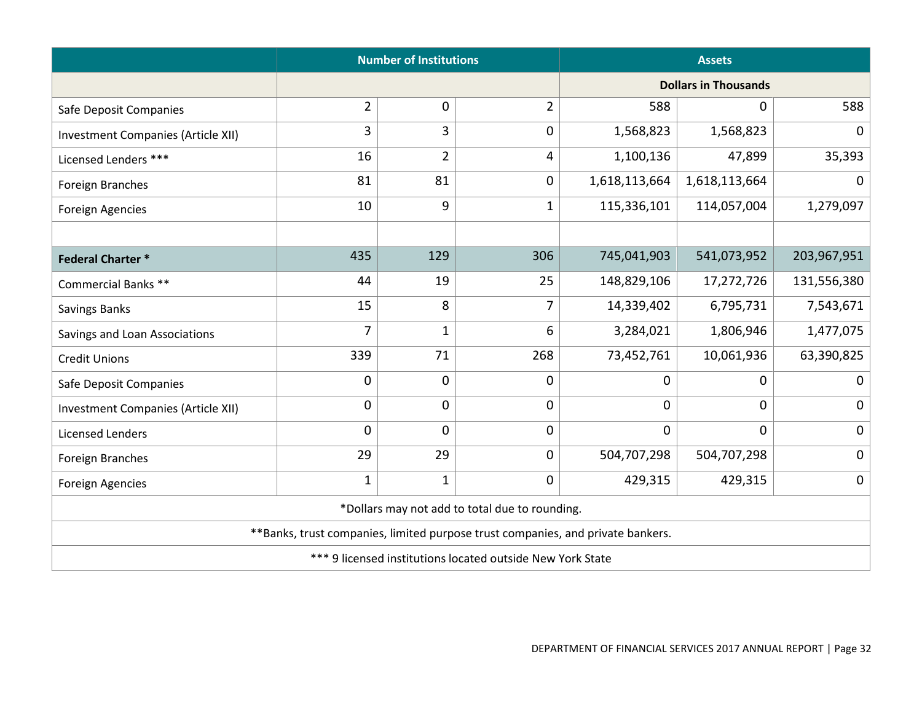|                                                                                 | <b>Number of Institutions</b>                  |                | <b>Assets</b>  |                             |               |             |  |
|---------------------------------------------------------------------------------|------------------------------------------------|----------------|----------------|-----------------------------|---------------|-------------|--|
|                                                                                 |                                                |                |                | <b>Dollars in Thousands</b> |               |             |  |
| Safe Deposit Companies                                                          | $\overline{2}$                                 | 0              | $\overline{2}$ | 588                         | 0             | 588         |  |
| <b>Investment Companies (Article XII)</b>                                       | 3                                              | $\overline{3}$ | $\mathbf 0$    | 1,568,823                   | 1,568,823     | $\mathbf 0$ |  |
| Licensed Lenders ***                                                            | 16                                             | $\overline{2}$ | 4              | 1,100,136                   | 47,899        | 35,393      |  |
| Foreign Branches                                                                | 81                                             | 81             | $\mathbf 0$    | 1,618,113,664               | 1,618,113,664 | $\Omega$    |  |
| <b>Foreign Agencies</b>                                                         | 10                                             | 9              | 1              | 115,336,101                 | 114,057,004   | 1,279,097   |  |
|                                                                                 |                                                |                |                |                             |               |             |  |
| <b>Federal Charter*</b>                                                         | 435                                            | 129            | 306            | 745,041,903                 | 541,073,952   | 203,967,951 |  |
| Commercial Banks **                                                             | 44                                             | 19             | 25             | 148,829,106                 | 17,272,726    | 131,556,380 |  |
| Savings Banks                                                                   | 15                                             | 8              | 7              | 14,339,402                  | 6,795,731     | 7,543,671   |  |
| Savings and Loan Associations                                                   | $\overline{7}$<br>$\mathbf{1}$                 |                | 6              | 3,284,021                   | 1,806,946     | 1,477,075   |  |
| <b>Credit Unions</b>                                                            | 339                                            |                | 268            | 73,452,761                  | 10,061,936    | 63,390,825  |  |
| Safe Deposit Companies                                                          | $\mathbf 0$<br>$\mathbf 0$<br>$\mathbf 0$<br>0 |                | 0              | $\mathbf 0$                 |               |             |  |
| <b>Investment Companies (Article XII)</b>                                       | 0                                              | $\mathbf 0$    | $\mathbf 0$    | $\pmb{0}$                   | $\mathbf 0$   | $\mathbf 0$ |  |
| <b>Licensed Lenders</b>                                                         | $\mathbf 0$                                    | 0              | $\mathbf 0$    | $\mathbf 0$                 | $\mathbf 0$   | $\mathbf 0$ |  |
| Foreign Branches                                                                | 29                                             | 29             | $\mathbf 0$    | 504,707,298                 | 504,707,298   | $\mathbf 0$ |  |
| Foreign Agencies                                                                | $\mathbf{1}$                                   | $\mathbf{1}$   | 0              | 429,315                     | 429,315       | $\mathbf 0$ |  |
| *Dollars may not add to total due to rounding.                                  |                                                |                |                |                             |               |             |  |
| **Banks, trust companies, limited purpose trust companies, and private bankers. |                                                |                |                |                             |               |             |  |
| *** 9 licensed institutions located outside New York State                      |                                                |                |                |                             |               |             |  |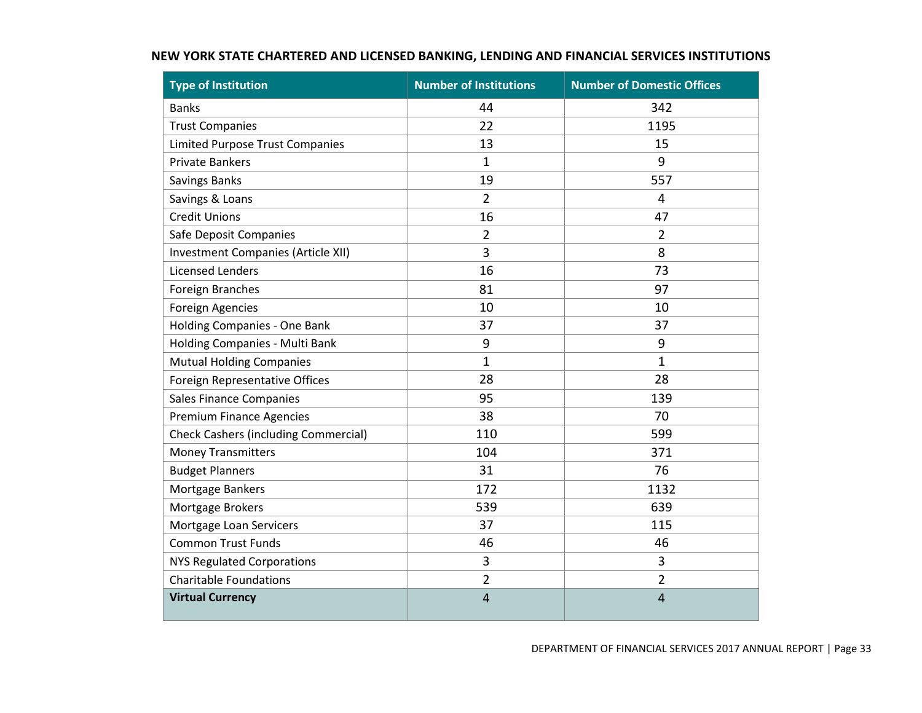| <b>Type of Institution</b>                  | <b>Number of Institutions</b> | <b>Number of Domestic Offices</b> |
|---------------------------------------------|-------------------------------|-----------------------------------|
| <b>Banks</b>                                | 44                            | 342                               |
| <b>Trust Companies</b>                      | 22                            | 1195                              |
| <b>Limited Purpose Trust Companies</b>      | 13                            | 15                                |
| <b>Private Bankers</b>                      | $\mathbf 1$                   | 9                                 |
| <b>Savings Banks</b>                        | 19                            | 557                               |
| Savings & Loans                             | $\overline{2}$                | $\overline{4}$                    |
| <b>Credit Unions</b>                        | 16                            | 47                                |
| Safe Deposit Companies                      | $\overline{2}$                | $\overline{2}$                    |
| <b>Investment Companies (Article XII)</b>   | 3                             | 8                                 |
| <b>Licensed Lenders</b>                     | 16                            | 73                                |
| <b>Foreign Branches</b>                     | 81                            | 97                                |
| <b>Foreign Agencies</b>                     | 10                            | 10                                |
| Holding Companies - One Bank                | 37                            | 37                                |
| Holding Companies - Multi Bank              | 9                             | 9                                 |
| <b>Mutual Holding Companies</b>             | $\mathbf{1}$                  | $\mathbf{1}$                      |
| Foreign Representative Offices              | 28                            | 28                                |
| <b>Sales Finance Companies</b>              | 95                            | 139                               |
| <b>Premium Finance Agencies</b>             | 38                            | 70                                |
| <b>Check Cashers (including Commercial)</b> | 110                           | 599                               |
| <b>Money Transmitters</b>                   | 104                           | 371                               |
| <b>Budget Planners</b>                      | 31                            | 76                                |
| Mortgage Bankers                            | 172                           | 1132                              |
| Mortgage Brokers                            | 539                           | 639                               |
| Mortgage Loan Servicers                     | 37                            | 115                               |
| <b>Common Trust Funds</b>                   | 46                            | 46                                |
| <b>NYS Regulated Corporations</b>           | 3                             | 3                                 |
| <b>Charitable Foundations</b>               | $\overline{2}$                | $\overline{2}$                    |
| <b>Virtual Currency</b>                     | 4                             | $\overline{4}$                    |

### **NEW YORK STATE CHARTERED AND LICENSED BANKING, LENDING AND FINANCIAL SERVICES INSTITUTIONS**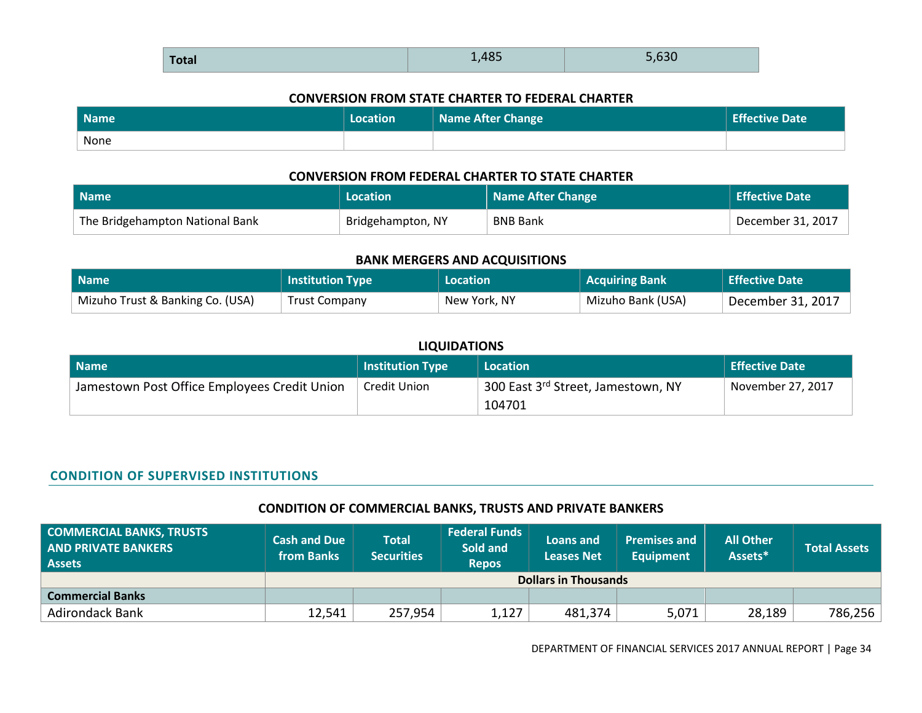#### **CONVERSION FROM STATE CHARTER TO FEDERAL CHARTER**

| Name | Location | Name After Change | <b>Effective Date</b> |
|------|----------|-------------------|-----------------------|
| None |          |                   |                       |

#### **CONVERSION FROM FEDERAL CHARTER TO STATE CHARTER**

| l Name                          | Location          | Name After Change | Effective Date    |
|---------------------------------|-------------------|-------------------|-------------------|
| The Bridgehampton National Bank | Bridgehampton, NY | <b>BNB Bank</b>   | December 31, 2017 |

#### **BANK MERGERS AND ACQUISITIONS**

| l Name                           | <b>Institution Type</b> | Location     | <b>Acquiring Bank</b> | <b>Effective Date</b> |
|----------------------------------|-------------------------|--------------|-----------------------|-----------------------|
| Mizuho Trust & Banking Co. (USA) | <b>Trust Company</b>    | New York, NY | Mizuho Bank (USA)     | December 31, 2017     |

#### **LIQUIDATIONS**

| <b>Name</b>                                  | <b>Institution Type</b> | Location                                                    | <b>Effective Date</b> |
|----------------------------------------------|-------------------------|-------------------------------------------------------------|-----------------------|
| Jamestown Post Office Employees Credit Union | Credit Union            | <sub>1</sub> 300 East 3 <sup>rd</sup> Street, Jamestown, NY | November 27, 2017     |
|                                              |                         | 104701                                                      |                       |

#### **CONDITION OF SUPERVISED INSTITUTIONS**

### **CONDITION OF COMMERCIAL BANKS, TRUSTS AND PRIVATE BANKERS**

| COMMERCIAL BANKS, TRUSTS<br><b>AND PRIVATE BANKERS</b><br>Assets | <b>Cash and Due</b><br>from Banks | <b>Total</b><br><b>Securities</b> | <b>Federal Funds</b><br>Sold and<br><b>Repos</b> | Loans and<br><b>Leases Net</b> | <b>Premises and</b><br><b>Equipment</b> | <b>All Other</b><br>Assets* | <b>Total Assets</b> |
|------------------------------------------------------------------|-----------------------------------|-----------------------------------|--------------------------------------------------|--------------------------------|-----------------------------------------|-----------------------------|---------------------|
|                                                                  | <b>Dollars in Thousands</b>       |                                   |                                                  |                                |                                         |                             |                     |
| <b>Commercial Banks</b>                                          |                                   |                                   |                                                  |                                |                                         |                             |                     |
| <b>Adirondack Bank</b>                                           | 12,541                            | 257,954                           | 1,127                                            | 481,374                        | 5,071                                   | 28,189                      | 786,256             |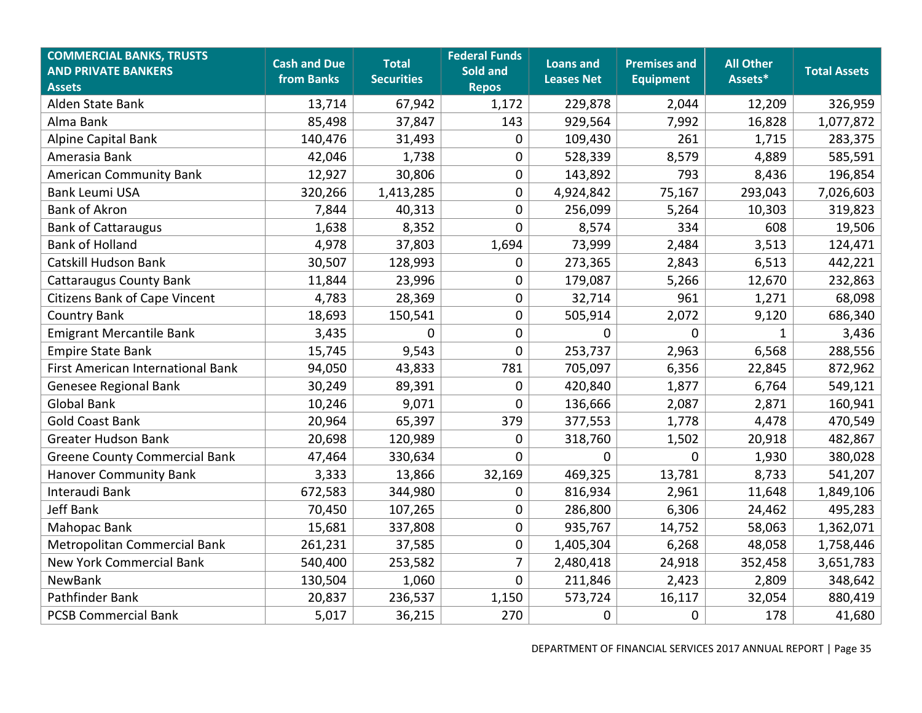| <b>COMMERCIAL BANKS, TRUSTS</b><br><b>AND PRIVATE BANKERS</b><br><b>Assets</b> | <b>Cash and Due</b><br>from Banks | <b>Total</b><br><b>Securities</b> | <b>Federal Funds</b><br>Sold and<br><b>Repos</b> | <b>Loans and</b><br><b>Leases Net</b> | <b>Premises and</b><br><b>Equipment</b> | <b>All Other</b><br>Assets* | <b>Total Assets</b> |
|--------------------------------------------------------------------------------|-----------------------------------|-----------------------------------|--------------------------------------------------|---------------------------------------|-----------------------------------------|-----------------------------|---------------------|
| Alden State Bank                                                               | 13,714                            | 67,942                            | 1,172                                            | 229,878                               | 2,044                                   | 12,209                      | 326,959             |
| Alma Bank                                                                      | 85,498                            | 37,847                            | 143                                              | 929,564                               | 7,992                                   | 16,828                      | 1,077,872           |
| Alpine Capital Bank                                                            | 140,476                           | 31,493                            | 0                                                | 109,430                               | 261                                     | 1,715                       | 283,375             |
| Amerasia Bank                                                                  | 42,046                            | 1,738                             | $\pmb{0}$                                        | 528,339                               | 8,579                                   | 4,889                       | 585,591             |
| <b>American Community Bank</b>                                                 | 12,927                            | 30,806                            | 0                                                | 143,892                               | 793                                     | 8,436                       | 196,854             |
| <b>Bank Leumi USA</b>                                                          | 320,266                           | 1,413,285                         | $\pmb{0}$                                        | 4,924,842                             | 75,167                                  | 293,043                     | 7,026,603           |
| <b>Bank of Akron</b>                                                           | 7,844                             | 40,313                            | 0                                                | 256,099                               | 5,264                                   | 10,303                      | 319,823             |
| <b>Bank of Cattaraugus</b>                                                     | 1,638                             | 8,352                             | $\mathbf 0$                                      | 8,574                                 | 334                                     | 608                         | 19,506              |
| <b>Bank of Holland</b>                                                         | 4,978                             | 37,803                            | 1,694                                            | 73,999                                | 2,484                                   | 3,513                       | 124,471             |
| Catskill Hudson Bank                                                           | 30,507                            | 128,993                           | 0                                                | 273,365                               | 2,843                                   | 6,513                       | 442,221             |
| <b>Cattaraugus County Bank</b>                                                 | 11,844                            | 23,996                            | $\mathbf 0$                                      | 179,087                               | 5,266                                   | 12,670                      | 232,863             |
| <b>Citizens Bank of Cape Vincent</b>                                           | 4,783                             | 28,369                            | 0                                                | 32,714                                | 961                                     | 1,271                       | 68,098              |
| <b>Country Bank</b>                                                            | 18,693                            | 150,541                           | $\mathbf 0$                                      | 505,914                               | 2,072                                   | 9,120                       | 686,340             |
| <b>Emigrant Mercantile Bank</b>                                                | 3,435                             | $\Omega$                          | 0                                                | $\mathbf 0$                           | $\Omega$                                | $\mathbf{1}$                | 3,436               |
| <b>Empire State Bank</b>                                                       | 15,745                            | 9,543                             | 0                                                | 253,737                               | 2,963                                   | 6,568                       | 288,556             |
| First American International Bank                                              | 94,050                            | 43,833                            | 781                                              | 705,097                               | 6,356                                   | 22,845                      | 872,962             |
| <b>Genesee Regional Bank</b>                                                   | 30,249                            | 89,391                            | 0                                                | 420,840                               | 1,877                                   | 6,764                       | 549,121             |
| <b>Global Bank</b>                                                             | 10,246                            | 9,071                             | 0                                                | 136,666                               | 2,087                                   | 2,871                       | 160,941             |
| <b>Gold Coast Bank</b>                                                         | 20,964                            | 65,397                            | 379                                              | 377,553                               | 1,778                                   | 4,478                       | 470,549             |
| <b>Greater Hudson Bank</b>                                                     | 20,698                            | 120,989                           | $\boldsymbol{0}$                                 | 318,760                               | 1,502                                   | 20,918                      | 482,867             |
| <b>Greene County Commercial Bank</b>                                           | 47,464                            | 330,634                           | $\mathbf 0$                                      | 0                                     | $\Omega$                                | 1,930                       | 380,028             |
| <b>Hanover Community Bank</b>                                                  | 3,333                             | 13,866                            | 32,169                                           | 469,325                               | 13,781                                  | 8,733                       | 541,207             |
| Interaudi Bank                                                                 | 672,583                           | 344,980                           | 0                                                | 816,934                               | 2,961                                   | 11,648                      | 1,849,106           |
| Jeff Bank                                                                      | 70,450                            | 107,265                           | $\pmb{0}$                                        | 286,800                               | 6,306                                   | 24,462                      | 495,283             |
| Mahopac Bank                                                                   | 15,681                            | 337,808                           | 0                                                | 935,767                               | 14,752                                  | 58,063                      | 1,362,071           |
| Metropolitan Commercial Bank                                                   | 261,231                           | 37,585                            | $\pmb{0}$                                        | 1,405,304                             | 6,268                                   | 48,058                      | 1,758,446           |
| <b>New York Commercial Bank</b>                                                | 540,400                           | 253,582                           | $\overline{7}$                                   | 2,480,418                             | 24,918                                  | 352,458                     | 3,651,783           |
| <b>NewBank</b>                                                                 | 130,504                           | 1,060                             | $\mathbf 0$                                      | 211,846                               | 2,423                                   | 2,809                       | 348,642             |
| Pathfinder Bank                                                                | 20,837                            | 236,537                           | 1,150                                            | 573,724                               | 16,117                                  | 32,054                      | 880,419             |
| <b>PCSB Commercial Bank</b>                                                    | 5,017                             | 36,215                            | 270                                              | 0                                     | 0                                       | 178                         | 41,680              |

DEPARTMENT OF FINANCIAL SERVICES 2017 ANNUAL REPORT | Page 35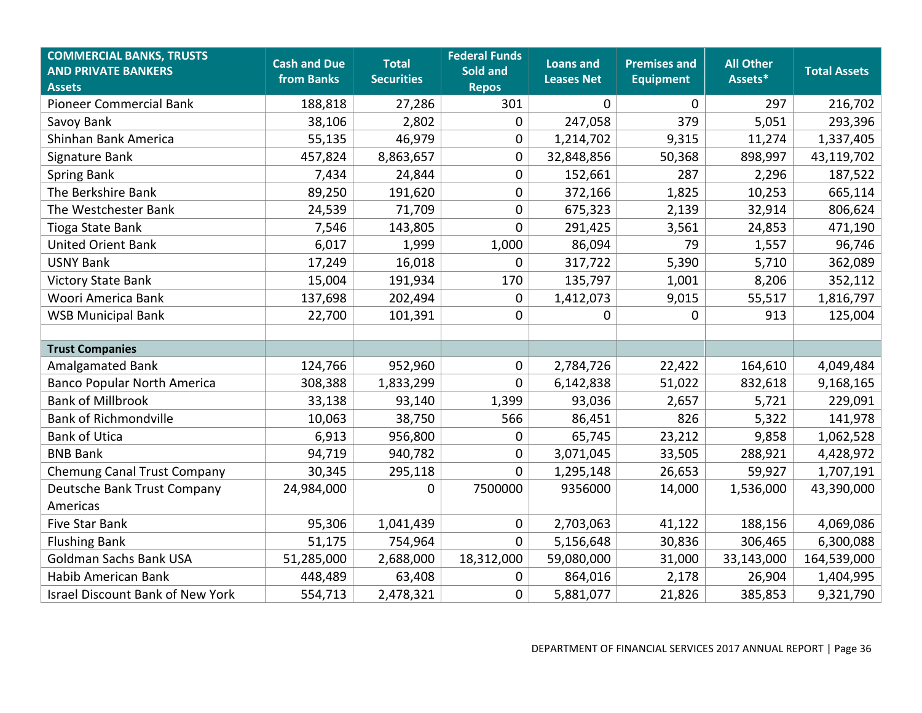| <b>COMMERCIAL BANKS, TRUSTS</b><br><b>AND PRIVATE BANKERS</b><br><b>Assets</b> | <b>Cash and Due</b><br>from Banks | <b>Total</b><br><b>Securities</b> | <b>Federal Funds</b><br>Sold and<br><b>Repos</b> | <b>Loans and</b><br><b>Leases Net</b> | <b>Premises and</b><br><b>Equipment</b> | <b>All Other</b><br>Assets* | <b>Total Assets</b> |
|--------------------------------------------------------------------------------|-----------------------------------|-----------------------------------|--------------------------------------------------|---------------------------------------|-----------------------------------------|-----------------------------|---------------------|
| <b>Pioneer Commercial Bank</b>                                                 | 188,818                           | 27,286                            | 301                                              | $\mathbf 0$                           | $\mathbf 0$                             | 297                         | 216,702             |
| Savoy Bank                                                                     | 38,106                            | 2,802                             | 0                                                | 247,058                               | 379                                     | 5,051                       | 293,396             |
| Shinhan Bank America                                                           | 55,135                            | 46,979                            | 0                                                | 1,214,702                             | 9,315                                   | 11,274                      | 1,337,405           |
| Signature Bank                                                                 | 457,824                           | 8,863,657                         | $\pmb{0}$                                        | 32,848,856                            | 50,368                                  | 898,997                     | 43,119,702          |
| <b>Spring Bank</b>                                                             | 7,434                             | 24,844                            | 0                                                | 152,661                               | 287                                     | 2,296                       | 187,522             |
| The Berkshire Bank                                                             | 89,250                            | 191,620                           | $\pmb{0}$                                        | 372,166                               | 1,825                                   | 10,253                      | 665,114             |
| The Westchester Bank                                                           | 24,539                            | 71,709                            | $\pmb{0}$                                        | 675,323                               | 2,139                                   | 32,914                      | 806,624             |
| Tioga State Bank                                                               | 7,546                             | 143,805                           | 0                                                | 291,425                               | 3,561                                   | 24,853                      | 471,190             |
| <b>United Orient Bank</b>                                                      | 6,017                             | 1,999                             | 1,000                                            | 86,094                                | 79                                      | 1,557                       | 96,746              |
| <b>USNY Bank</b>                                                               | 17,249                            | 16,018                            | 0                                                | 317,722                               | 5,390                                   | 5,710                       | 362,089             |
| <b>Victory State Bank</b>                                                      | 15,004                            | 191,934                           | 170                                              | 135,797                               | 1,001                                   | 8,206                       | 352,112             |
| Woori America Bank                                                             | 137,698                           | 202,494                           | 0                                                | 1,412,073                             | 9,015                                   | 55,517                      | 1,816,797           |
| <b>WSB Municipal Bank</b>                                                      | 22,700                            | 101,391                           | $\pmb{0}$                                        | 0                                     | $\mathbf 0$                             | 913                         | 125,004             |
|                                                                                |                                   |                                   |                                                  |                                       |                                         |                             |                     |
| <b>Trust Companies</b>                                                         |                                   |                                   |                                                  |                                       |                                         |                             |                     |
| <b>Amalgamated Bank</b>                                                        | 124,766                           | 952,960                           | $\pmb{0}$                                        | 2,784,726                             | 22,422                                  | 164,610                     | 4,049,484           |
| <b>Banco Popular North America</b>                                             | 308,388                           | 1,833,299                         | 0                                                | 6,142,838                             | 51,022                                  | 832,618                     | 9,168,165           |
| <b>Bank of Millbrook</b>                                                       | 33,138                            | 93,140                            | 1,399                                            | 93,036                                | 2,657                                   | 5,721                       | 229,091             |
| <b>Bank of Richmondville</b>                                                   | 10,063                            | 38,750                            | 566                                              | 86,451                                | 826                                     | 5,322                       | 141,978             |
| <b>Bank of Utica</b>                                                           | 6,913                             | 956,800                           | $\pmb{0}$                                        | 65,745                                | 23,212                                  | 9,858                       | 1,062,528           |
| <b>BNB Bank</b>                                                                | 94,719                            | 940,782                           | 0                                                | 3,071,045                             | 33,505                                  | 288,921                     | 4,428,972           |
| Chemung Canal Trust Company                                                    | 30,345                            | 295,118                           | 0                                                | 1,295,148                             | 26,653                                  | 59,927                      | 1,707,191           |
| Deutsche Bank Trust Company                                                    | 24,984,000                        | 0                                 | 7500000                                          | 9356000                               | 14,000                                  | 1,536,000                   | 43,390,000          |
| Americas                                                                       |                                   |                                   |                                                  |                                       |                                         |                             |                     |
| <b>Five Star Bank</b>                                                          | 95,306                            | 1,041,439                         | 0                                                | 2,703,063                             | 41,122                                  | 188,156                     | 4,069,086           |
| <b>Flushing Bank</b>                                                           | 51,175                            | 754,964                           | 0                                                | 5,156,648                             | 30,836                                  | 306,465                     | 6,300,088           |
| Goldman Sachs Bank USA                                                         | 51,285,000                        | 2,688,000                         | 18,312,000                                       | 59,080,000                            | 31,000                                  | 33,143,000                  | 164,539,000         |
| Habib American Bank                                                            | 448,489                           | 63,408                            | 0                                                | 864,016                               | 2,178                                   | 26,904                      | 1,404,995           |
| <b>Israel Discount Bank of New York</b>                                        | 554,713                           | 2,478,321                         | 0                                                | 5,881,077                             | 21,826                                  | 385,853                     | 9,321,790           |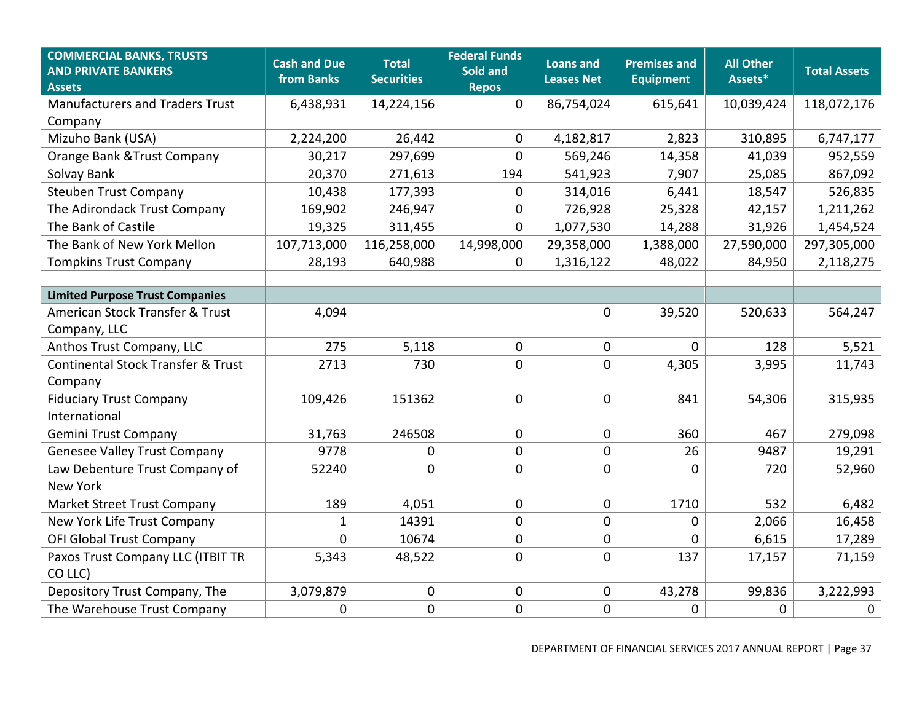| <b>COMMERCIAL BANKS, TRUSTS</b><br><b>AND PRIVATE BANKERS</b><br><b>Assets</b> | <b>Cash and Due</b><br>from Banks | <b>Total</b><br><b>Securities</b> | <b>Federal Funds</b><br>Sold and<br><b>Repos</b> | <b>Loans and</b><br><b>Leases Net</b> | <b>Premises and</b><br><b>Equipment</b> | <b>All Other</b><br>Assets* | <b>Total Assets</b> |
|--------------------------------------------------------------------------------|-----------------------------------|-----------------------------------|--------------------------------------------------|---------------------------------------|-----------------------------------------|-----------------------------|---------------------|
| <b>Manufacturers and Traders Trust</b>                                         | 6,438,931                         | 14,224,156                        | $\mathbf 0$                                      | 86,754,024                            | 615,641                                 | 10,039,424                  | 118,072,176         |
| Company                                                                        |                                   |                                   |                                                  |                                       |                                         |                             |                     |
| Mizuho Bank (USA)                                                              | 2,224,200                         | 26,442                            | $\mathbf 0$                                      | 4,182,817                             | 2,823                                   | 310,895                     | 6,747,177           |
| Orange Bank & Trust Company                                                    | 30,217                            | 297,699                           | $\mathbf 0$                                      | 569,246                               | 14,358                                  | 41,039                      | 952,559             |
| Solvay Bank                                                                    | 20,370                            | 271,613                           | 194                                              | 541,923                               | 7,907                                   | 25,085                      | 867,092             |
| <b>Steuben Trust Company</b>                                                   | 10,438                            | 177,393                           | 0                                                | 314,016                               | 6,441                                   | 18,547                      | 526,835             |
| The Adirondack Trust Company                                                   | 169,902                           | 246,947                           | $\mathbf 0$                                      | 726,928                               | 25,328                                  | 42,157                      | 1,211,262           |
| The Bank of Castile                                                            | 19,325                            | 311,455                           | $\mathbf 0$                                      | 1,077,530                             | 14,288                                  | 31,926                      | 1,454,524           |
| The Bank of New York Mellon                                                    | 107,713,000                       | 116,258,000                       | 14,998,000                                       | 29,358,000                            | 1,388,000                               | 27,590,000                  | 297,305,000         |
| <b>Tompkins Trust Company</b>                                                  | 28,193                            | 640,988                           | $\mathbf 0$                                      | 1,316,122                             | 48,022                                  | 84,950                      | 2,118,275           |
|                                                                                |                                   |                                   |                                                  |                                       |                                         |                             |                     |
| <b>Limited Purpose Trust Companies</b>                                         |                                   |                                   |                                                  |                                       |                                         |                             |                     |
| American Stock Transfer & Trust                                                | 4,094                             |                                   |                                                  | 0                                     | 39,520                                  | 520,633                     | 564,247             |
| Company, LLC                                                                   |                                   |                                   |                                                  |                                       |                                         |                             |                     |
| Anthos Trust Company, LLC                                                      | 275                               | 5,118                             | $\mathbf 0$                                      | 0                                     | $\mathbf 0$                             | 128                         | 5,521               |
| Continental Stock Transfer & Trust                                             | 2713                              | 730                               | $\mathbf 0$                                      | 0                                     | 4,305                                   | 3,995                       | 11,743              |
| Company                                                                        |                                   |                                   |                                                  |                                       |                                         |                             |                     |
| <b>Fiduciary Trust Company</b>                                                 | 109,426                           | 151362                            | $\mathbf 0$                                      | 0                                     | 841                                     | 54,306                      | 315,935             |
| International                                                                  |                                   |                                   |                                                  |                                       |                                         |                             |                     |
| <b>Gemini Trust Company</b>                                                    | 31,763                            | 246508                            | $\mathbf 0$                                      | 0                                     | 360                                     | 467                         | 279,098             |
| <b>Genesee Valley Trust Company</b>                                            | 9778                              | 0                                 | $\pmb{0}$                                        | 0                                     | 26                                      | 9487                        | 19,291              |
| Law Debenture Trust Company of                                                 | 52240                             | $\mathbf 0$                       | $\mathbf 0$                                      | 0                                     | $\mathbf 0$                             | 720                         | 52,960              |
| <b>New York</b>                                                                |                                   |                                   |                                                  |                                       |                                         |                             |                     |
| Market Street Trust Company                                                    | 189                               | 4,051                             | $\mathbf 0$                                      | 0                                     | 1710                                    | 532                         | 6,482               |
| New York Life Trust Company                                                    | 1                                 | 14391                             | $\pmb{0}$                                        | $\pmb{0}$                             | $\pmb{0}$                               | 2,066                       | 16,458              |
| <b>OFI Global Trust Company</b>                                                | 0                                 | 10674                             | $\pmb{0}$                                        | $\pmb{0}$                             | 0                                       | 6,615                       | 17,289              |
| Paxos Trust Company LLC (ITBIT TR                                              | 5,343                             | 48,522                            | $\mathbf 0$                                      | 0                                     | 137                                     | 17,157                      | 71,159              |
| CO LLC)                                                                        |                                   |                                   |                                                  |                                       |                                         |                             |                     |
| Depository Trust Company, The                                                  | 3,079,879                         | $\mathbf 0$                       | $\mathbf 0$                                      | 0                                     | 43,278                                  | 99,836                      | 3,222,993           |
| The Warehouse Trust Company                                                    | 0                                 | $\mathbf 0$                       | $\mathbf 0$                                      | 0                                     | 0                                       | 0                           | $\pmb{0}$           |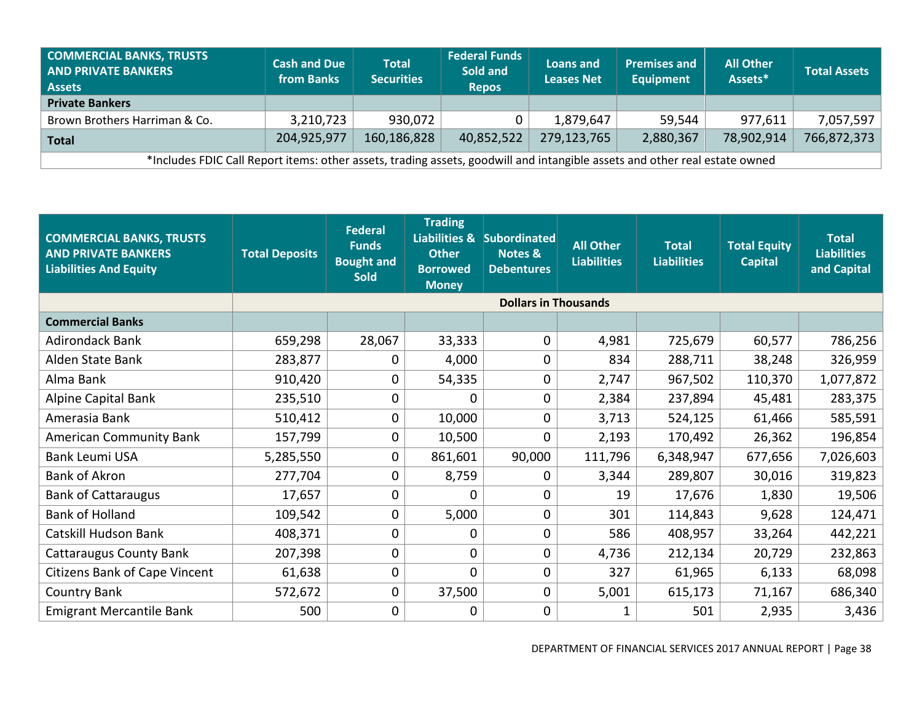| <b>COMMERCIAL BANKS, TRUSTS</b><br><b>AND PRIVATE BANKERS</b><br><b>Assets</b>                                             | <b>Cash and Due</b><br>from Banks | <b>Total</b><br><b>Securities</b> | <b>Federal Funds</b><br>Sold and<br><b>Repos</b> | Loans and<br><b>Leases Net</b> | <b>Premises and</b><br>Equipment | <b>All Other</b><br>Assets* | <b>Total Assets</b> |  |
|----------------------------------------------------------------------------------------------------------------------------|-----------------------------------|-----------------------------------|--------------------------------------------------|--------------------------------|----------------------------------|-----------------------------|---------------------|--|
| <b>Private Bankers</b>                                                                                                     |                                   |                                   |                                                  |                                |                                  |                             |                     |  |
| Brown Brothers Harriman & Co.                                                                                              | 3,210,723                         | 930,072                           |                                                  | 1,879,647                      | 59,544                           | 977,611                     | 7,057,597           |  |
| <b>Total</b>                                                                                                               | 204,925,977                       | 160,186,828                       | 40,852,522                                       | 279,123,765                    | 2,880,367                        | 78,902,914                  | 766,872,373         |  |
| *Includes FDIC Call Report items: other assets, trading assets, goodwill and intangible assets and other real estate owned |                                   |                                   |                                                  |                                |                                  |                             |                     |  |

| <b>COMMERCIAL BANKS, TRUSTS</b><br><b>AND PRIVATE BANKERS</b><br><b>Liabilities And Equity</b> | <b>Total Deposits</b> | <b>Federal</b><br><b>Funds</b><br><b>Bought and</b><br><b>Sold</b> | <b>Trading</b><br><b>Other</b><br><b>Borrowed</b><br><b>Money</b> | Liabilities & Subordinated<br>Notes &<br><b>Debentures</b> | <b>All Other</b><br><b>Liabilities</b> | <b>Total</b><br><b>Liabilities</b> | <b>Total Equity</b><br><b>Capital</b> | <b>Total</b><br><b>Liabilities</b><br>and Capital |
|------------------------------------------------------------------------------------------------|-----------------------|--------------------------------------------------------------------|-------------------------------------------------------------------|------------------------------------------------------------|----------------------------------------|------------------------------------|---------------------------------------|---------------------------------------------------|
|                                                                                                |                       |                                                                    |                                                                   | <b>Dollars in Thousands</b>                                |                                        |                                    |                                       |                                                   |
| <b>Commercial Banks</b>                                                                        |                       |                                                                    |                                                                   |                                                            |                                        |                                    |                                       |                                                   |
| <b>Adirondack Bank</b>                                                                         | 659,298               | 28,067                                                             | 33,333                                                            | 0                                                          | 4,981                                  | 725,679                            | 60,577                                | 786,256                                           |
| Alden State Bank                                                                               | 283,877               | 0                                                                  | 4,000                                                             | 0                                                          | 834                                    | 288,711                            | 38,248                                | 326,959                                           |
| Alma Bank                                                                                      | 910,420               | 0                                                                  | 54,335                                                            | 0                                                          | 2,747                                  | 967,502                            | 110,370                               | 1,077,872                                         |
| Alpine Capital Bank                                                                            | 235,510               | 0                                                                  | 0                                                                 | 0                                                          | 2,384                                  | 237,894                            | 45,481                                | 283,375                                           |
| Amerasia Bank                                                                                  | 510,412               | 0                                                                  | 10,000                                                            | 0                                                          | 3,713                                  | 524,125                            | 61,466                                | 585,591                                           |
| <b>American Community Bank</b>                                                                 | 157,799               | 0                                                                  | 10,500                                                            | 0                                                          | 2,193                                  | 170,492                            | 26,362                                | 196,854                                           |
| Bank Leumi USA                                                                                 | 5,285,550             | 0                                                                  | 861,601                                                           | 90,000                                                     | 111,796                                | 6,348,947                          | 677,656                               | 7,026,603                                         |
| <b>Bank of Akron</b>                                                                           | 277,704               | 0                                                                  | 8,759                                                             | 0                                                          | 3,344                                  | 289,807                            | 30,016                                | 319,823                                           |
| <b>Bank of Cattaraugus</b>                                                                     | 17,657                | 0                                                                  | 0                                                                 | 0                                                          | 19                                     | 17,676                             | 1,830                                 | 19,506                                            |
| <b>Bank of Holland</b>                                                                         | 109,542               | 0                                                                  | 5,000                                                             | 0                                                          | 301                                    | 114,843                            | 9,628                                 | 124,471                                           |
| Catskill Hudson Bank                                                                           | 408,371               | 0                                                                  | 0                                                                 | 0                                                          | 586                                    | 408,957                            | 33,264                                | 442,221                                           |
| <b>Cattaraugus County Bank</b>                                                                 | 207,398               | 0                                                                  | 0                                                                 | 0                                                          | 4,736                                  | 212,134                            | 20,729                                | 232,863                                           |
| Citizens Bank of Cape Vincent                                                                  | 61,638                | 0                                                                  | 0                                                                 | 0                                                          | 327                                    | 61,965                             | 6,133                                 | 68,098                                            |
| <b>Country Bank</b>                                                                            | 572,672               | 0                                                                  | 37,500                                                            | 0                                                          | 5,001                                  | 615,173                            | 71,167                                | 686,340                                           |
| <b>Emigrant Mercantile Bank</b>                                                                | 500                   | 0                                                                  | 0                                                                 | 0                                                          | 1                                      | 501                                | 2,935                                 | 3,436                                             |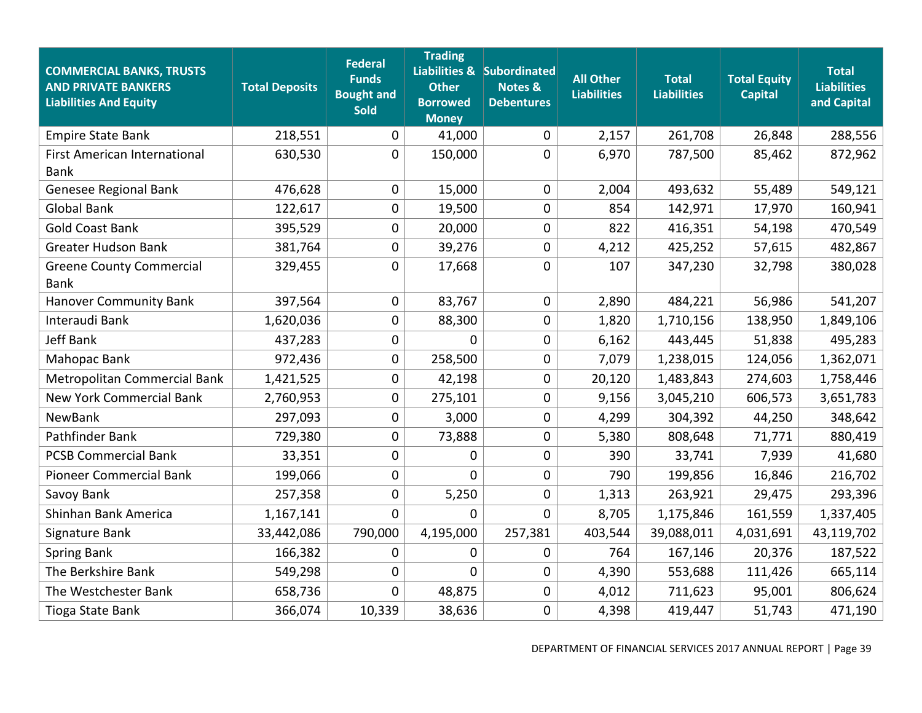| <b>COMMERCIAL BANKS, TRUSTS</b><br><b>AND PRIVATE BANKERS</b><br><b>Liabilities And Equity</b> | <b>Total Deposits</b> | <b>Federal</b><br><b>Funds</b><br><b>Bought and</b><br><b>Sold</b> | <b>Trading</b><br><b>Other</b><br><b>Borrowed</b><br><b>Money</b> | Liabilities & Subordinated<br><b>Notes &amp;</b><br><b>Debentures</b> | <b>All Other</b><br><b>Liabilities</b> | <b>Total</b><br><b>Liabilities</b> | <b>Total Equity</b><br><b>Capital</b> | <b>Total</b><br><b>Liabilities</b><br>and Capital |
|------------------------------------------------------------------------------------------------|-----------------------|--------------------------------------------------------------------|-------------------------------------------------------------------|-----------------------------------------------------------------------|----------------------------------------|------------------------------------|---------------------------------------|---------------------------------------------------|
| <b>Empire State Bank</b>                                                                       | 218,551               | 0                                                                  | 41,000                                                            | 0                                                                     | 2,157                                  | 261,708                            | 26,848                                | 288,556                                           |
| <b>First American International</b><br><b>Bank</b>                                             | 630,530               | 0                                                                  | 150,000                                                           | 0                                                                     | 6,970                                  | 787,500                            | 85,462                                | 872,962                                           |
| Genesee Regional Bank                                                                          | 476,628               | 0                                                                  | 15,000                                                            | 0                                                                     | 2,004                                  | 493,632                            | 55,489                                | 549,121                                           |
| <b>Global Bank</b>                                                                             | 122,617               | 0                                                                  | 19,500                                                            | 0                                                                     | 854                                    | 142,971                            | 17,970                                | 160,941                                           |
| <b>Gold Coast Bank</b>                                                                         | 395,529               | 0                                                                  | 20,000                                                            | 0                                                                     | 822                                    | 416,351                            | 54,198                                | 470,549                                           |
| <b>Greater Hudson Bank</b>                                                                     | 381,764               | 0                                                                  | 39,276                                                            | 0                                                                     | 4,212                                  | 425,252                            | 57,615                                | 482,867                                           |
| <b>Greene County Commercial</b><br><b>Bank</b>                                                 | 329,455               | 0                                                                  | 17,668                                                            | 0                                                                     | 107                                    | 347,230                            | 32,798                                | 380,028                                           |
| <b>Hanover Community Bank</b>                                                                  | 397,564               | 0                                                                  | 83,767                                                            | 0                                                                     | 2,890                                  | 484,221                            | 56,986                                | 541,207                                           |
| Interaudi Bank                                                                                 | 1,620,036             | 0                                                                  | 88,300                                                            | 0                                                                     | 1,820                                  | 1,710,156                          | 138,950                               | 1,849,106                                         |
| <b>Jeff Bank</b>                                                                               | 437,283               | 0                                                                  | 0                                                                 | 0                                                                     | 6,162                                  | 443,445                            | 51,838                                | 495,283                                           |
| Mahopac Bank                                                                                   | 972,436               | 0                                                                  | 258,500                                                           | 0                                                                     | 7,079                                  | 1,238,015                          | 124,056                               | 1,362,071                                         |
| Metropolitan Commercial Bank                                                                   | 1,421,525             | 0                                                                  | 42,198                                                            | 0                                                                     | 20,120                                 | 1,483,843                          | 274,603                               | 1,758,446                                         |
| <b>New York Commercial Bank</b>                                                                | 2,760,953             | 0                                                                  | 275,101                                                           | 0                                                                     | 9,156                                  | 3,045,210                          | 606,573                               | 3,651,783                                         |
| NewBank                                                                                        | 297,093               | 0                                                                  | 3,000                                                             | 0                                                                     | 4,299                                  | 304,392                            | 44,250                                | 348,642                                           |
| Pathfinder Bank                                                                                | 729,380               | 0                                                                  | 73,888                                                            | 0                                                                     | 5,380                                  | 808,648                            | 71,771                                | 880,419                                           |
| <b>PCSB Commercial Bank</b>                                                                    | 33,351                | 0                                                                  | 0                                                                 | 0                                                                     | 390                                    | 33,741                             | 7,939                                 | 41,680                                            |
| <b>Pioneer Commercial Bank</b>                                                                 | 199,066               | 0                                                                  | 0                                                                 | 0                                                                     | 790                                    | 199,856                            | 16,846                                | 216,702                                           |
| Savoy Bank                                                                                     | 257,358               | 0                                                                  | 5,250                                                             | 0                                                                     | 1,313                                  | 263,921                            | 29,475                                | 293,396                                           |
| Shinhan Bank America                                                                           | 1,167,141             | 0                                                                  | 0                                                                 | 0                                                                     | 8,705                                  | 1,175,846                          | 161,559                               | 1,337,405                                         |
| Signature Bank                                                                                 | 33,442,086            | 790,000                                                            | 4,195,000                                                         | 257,381                                                               | 403,544                                | 39,088,011                         | 4,031,691                             | 43,119,702                                        |
| <b>Spring Bank</b>                                                                             | 166,382               | 0                                                                  | 0                                                                 | 0                                                                     | 764                                    | 167,146                            | 20,376                                | 187,522                                           |
| The Berkshire Bank                                                                             | 549,298               | 0                                                                  | 0                                                                 | 0                                                                     | 4,390                                  | 553,688                            | 111,426                               | 665,114                                           |
| The Westchester Bank                                                                           | 658,736               | 0                                                                  | 48,875                                                            | 0                                                                     | 4,012                                  | 711,623                            | 95,001                                | 806,624                                           |
| Tioga State Bank                                                                               | 366,074               | 10,339                                                             | 38,636                                                            | 0                                                                     | 4,398                                  | 419,447                            | 51,743                                | 471,190                                           |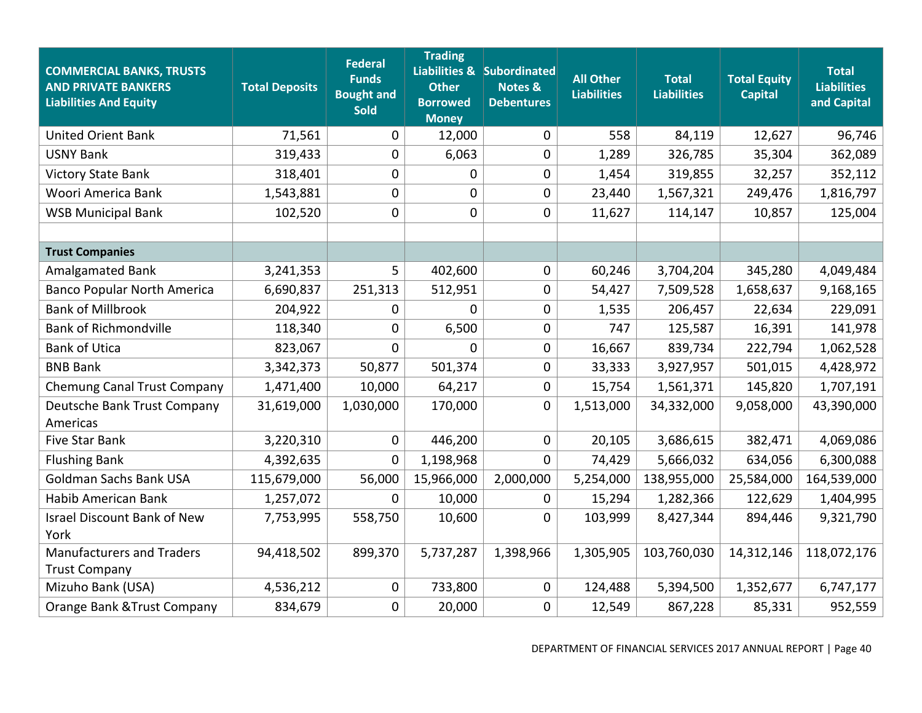| <b>COMMERCIAL BANKS, TRUSTS</b><br><b>AND PRIVATE BANKERS</b><br><b>Liabilities And Equity</b> | <b>Total Deposits</b> | <b>Federal</b><br><b>Funds</b><br><b>Bought and</b><br><b>Sold</b> | <b>Trading</b><br><b>Other</b><br><b>Borrowed</b><br><b>Money</b> | Liabilities & Subordinated<br><b>Notes &amp;</b><br><b>Debentures</b> | <b>All Other</b><br><b>Liabilities</b> | <b>Total</b><br><b>Liabilities</b> | <b>Total Equity</b><br><b>Capital</b> | <b>Total</b><br><b>Liabilities</b><br>and Capital |
|------------------------------------------------------------------------------------------------|-----------------------|--------------------------------------------------------------------|-------------------------------------------------------------------|-----------------------------------------------------------------------|----------------------------------------|------------------------------------|---------------------------------------|---------------------------------------------------|
| <b>United Orient Bank</b>                                                                      | 71,561                | 0                                                                  | 12,000                                                            | 0                                                                     | 558                                    | 84,119                             | 12,627                                | 96,746                                            |
| <b>USNY Bank</b>                                                                               | 319,433               | 0                                                                  | 6,063                                                             | 0                                                                     | 1,289                                  | 326,785                            | 35,304                                | 362,089                                           |
| <b>Victory State Bank</b>                                                                      | 318,401               | 0                                                                  | $\mathbf 0$                                                       | 0                                                                     | 1,454                                  | 319,855                            | 32,257                                | 352,112                                           |
| Woori America Bank                                                                             | 1,543,881             | 0                                                                  | 0                                                                 | 0                                                                     | 23,440                                 | 1,567,321                          | 249,476                               | 1,816,797                                         |
| <b>WSB Municipal Bank</b>                                                                      | 102,520               | 0                                                                  | 0                                                                 | 0                                                                     | 11,627                                 | 114,147                            | 10,857                                | 125,004                                           |
|                                                                                                |                       |                                                                    |                                                                   |                                                                       |                                        |                                    |                                       |                                                   |
| <b>Trust Companies</b>                                                                         |                       |                                                                    |                                                                   |                                                                       |                                        |                                    |                                       |                                                   |
| <b>Amalgamated Bank</b>                                                                        | 3,241,353             | 5                                                                  | 402,600                                                           | 0                                                                     | 60,246                                 | 3,704,204                          | 345,280                               | 4,049,484                                         |
| <b>Banco Popular North America</b>                                                             | 6,690,837             | 251,313                                                            | 512,951                                                           | 0                                                                     | 54,427                                 | 7,509,528                          | 1,658,637                             | 9,168,165                                         |
| <b>Bank of Millbrook</b>                                                                       | 204,922               | 0                                                                  | 0                                                                 | 0                                                                     | 1,535                                  | 206,457                            | 22,634                                | 229,091                                           |
| <b>Bank of Richmondville</b>                                                                   | 118,340               | 0                                                                  | 6,500                                                             | 0                                                                     | 747                                    | 125,587                            | 16,391                                | 141,978                                           |
| <b>Bank of Utica</b>                                                                           | 823,067               | 0                                                                  | $\Omega$                                                          | 0                                                                     | 16,667                                 | 839,734                            | 222,794                               | 1,062,528                                         |
| <b>BNB Bank</b>                                                                                | 3,342,373             | 50,877                                                             | 501,374                                                           | 0                                                                     | 33,333                                 | 3,927,957                          | 501,015                               | 4,428,972                                         |
| Chemung Canal Trust Company                                                                    | 1,471,400             | 10,000                                                             | 64,217                                                            | 0                                                                     | 15,754                                 | 1,561,371                          | 145,820                               | 1,707,191                                         |
| Deutsche Bank Trust Company<br>Americas                                                        | 31,619,000            | 1,030,000                                                          | 170,000                                                           | 0                                                                     | 1,513,000                              | 34,332,000                         | 9,058,000                             | 43,390,000                                        |
| <b>Five Star Bank</b>                                                                          | 3,220,310             | 0                                                                  | 446,200                                                           | 0                                                                     | 20,105                                 | 3,686,615                          | 382,471                               | 4,069,086                                         |
| <b>Flushing Bank</b>                                                                           | 4,392,635             | 0                                                                  | 1,198,968                                                         | 0                                                                     | 74,429                                 | 5,666,032                          | 634,056                               | 6,300,088                                         |
| <b>Goldman Sachs Bank USA</b>                                                                  | 115,679,000           | 56,000                                                             | 15,966,000                                                        | 2,000,000                                                             | 5,254,000                              | 138,955,000                        | 25,584,000                            | 164,539,000                                       |
| Habib American Bank                                                                            | 1,257,072             | 0                                                                  | 10,000                                                            | 0                                                                     | 15,294                                 | 1,282,366                          | 122,629                               | 1,404,995                                         |
| <b>Israel Discount Bank of New</b>                                                             | 7,753,995             | 558,750                                                            | 10,600                                                            | 0                                                                     | 103,999                                | 8,427,344                          | 894,446                               | 9,321,790                                         |
| York                                                                                           |                       |                                                                    |                                                                   |                                                                       |                                        |                                    |                                       |                                                   |
| <b>Manufacturers and Traders</b>                                                               | 94,418,502            | 899,370                                                            | 5,737,287                                                         | 1,398,966                                                             | 1,305,905                              | 103,760,030                        | 14,312,146                            | 118,072,176                                       |
| <b>Trust Company</b>                                                                           |                       |                                                                    |                                                                   |                                                                       |                                        |                                    |                                       |                                                   |
| Mizuho Bank (USA)                                                                              | 4,536,212             | 0                                                                  | 733,800                                                           | 0                                                                     | 124,488                                | 5,394,500                          | 1,352,677                             | 6,747,177                                         |
| Orange Bank & Trust Company                                                                    | 834,679               | 0                                                                  | 20,000                                                            | 0                                                                     | 12,549                                 | 867,228                            | 85,331                                | 952,559                                           |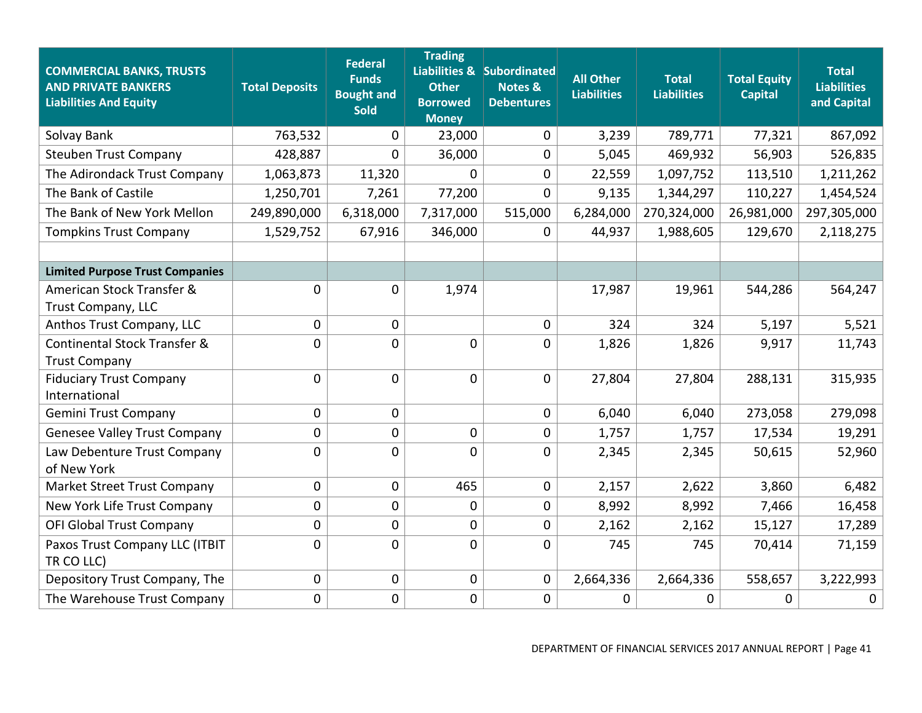| <b>COMMERCIAL BANKS, TRUSTS</b><br><b>AND PRIVATE BANKERS</b><br><b>Liabilities And Equity</b> | <b>Total Deposits</b> | <b>Federal</b><br><b>Funds</b><br><b>Bought and</b><br><b>Sold</b> | <b>Trading</b><br><b>Other</b><br><b>Borrowed</b><br><b>Money</b> | Liabilities & Subordinated<br>Notes &<br><b>Debentures</b> | <b>All Other</b><br><b>Liabilities</b> | <b>Total</b><br><b>Liabilities</b> | <b>Total Equity</b><br><b>Capital</b> | <b>Total</b><br><b>Liabilities</b><br>and Capital |
|------------------------------------------------------------------------------------------------|-----------------------|--------------------------------------------------------------------|-------------------------------------------------------------------|------------------------------------------------------------|----------------------------------------|------------------------------------|---------------------------------------|---------------------------------------------------|
| Solvay Bank                                                                                    | 763,532               | 0                                                                  | 23,000                                                            | 0                                                          | 3,239                                  | 789,771                            | 77,321                                | 867,092                                           |
| <b>Steuben Trust Company</b>                                                                   | 428,887               | 0                                                                  | 36,000                                                            | 0                                                          | 5,045                                  | 469,932                            | 56,903                                | 526,835                                           |
| The Adirondack Trust Company                                                                   | 1,063,873             | 11,320                                                             | 0                                                                 | 0                                                          | 22,559                                 | 1,097,752                          | 113,510                               | 1,211,262                                         |
| The Bank of Castile                                                                            | 1,250,701             | 7,261                                                              | 77,200                                                            | $\Omega$                                                   | 9,135                                  | 1,344,297                          | 110,227                               | 1,454,524                                         |
| The Bank of New York Mellon                                                                    | 249,890,000           | 6,318,000                                                          | 7,317,000                                                         | 515,000                                                    | 6,284,000                              | 270,324,000                        | 26,981,000                            | 297,305,000                                       |
| <b>Tompkins Trust Company</b>                                                                  | 1,529,752             | 67,916                                                             | 346,000                                                           | 0                                                          | 44,937                                 | 1,988,605                          | 129,670                               | 2,118,275                                         |
|                                                                                                |                       |                                                                    |                                                                   |                                                            |                                        |                                    |                                       |                                                   |
| <b>Limited Purpose Trust Companies</b>                                                         |                       |                                                                    |                                                                   |                                                            |                                        |                                    |                                       |                                                   |
| American Stock Transfer &                                                                      | 0                     | 0                                                                  | 1,974                                                             |                                                            | 17,987                                 | 19,961                             | 544,286                               | 564,247                                           |
| Trust Company, LLC                                                                             |                       |                                                                    |                                                                   |                                                            |                                        |                                    |                                       |                                                   |
| Anthos Trust Company, LLC                                                                      | $\mathbf 0$           | 0                                                                  |                                                                   | 0                                                          | 324                                    | 324                                | 5,197                                 | 5,521                                             |
| Continental Stock Transfer &                                                                   | 0                     | 0                                                                  | $\mathbf 0$                                                       | 0                                                          | 1,826                                  | 1,826                              | 9,917                                 | 11,743                                            |
| <b>Trust Company</b>                                                                           |                       |                                                                    |                                                                   |                                                            |                                        |                                    |                                       |                                                   |
| <b>Fiduciary Trust Company</b><br>International                                                | 0                     | 0                                                                  | 0                                                                 | 0                                                          | 27,804                                 | 27,804                             | 288,131                               | 315,935                                           |
| <b>Gemini Trust Company</b>                                                                    | $\mathbf 0$           | 0                                                                  |                                                                   | 0                                                          | 6,040                                  | 6,040                              | 273,058                               | 279,098                                           |
| <b>Genesee Valley Trust Company</b>                                                            | 0                     | 0                                                                  | $\mathbf 0$                                                       | 0                                                          | 1,757                                  | 1,757                              | 17,534                                | 19,291                                            |
| Law Debenture Trust Company<br>of New York                                                     | 0                     | 0                                                                  | 0                                                                 | 0                                                          | 2,345                                  | 2,345                              | 50,615                                | 52,960                                            |
| Market Street Trust Company                                                                    | $\mathbf 0$           | 0                                                                  | 465                                                               | 0                                                          | 2,157                                  | 2,622                              | 3,860                                 | 6,482                                             |
| New York Life Trust Company                                                                    | $\mathbf 0$           | 0                                                                  | 0                                                                 | 0                                                          | 8,992                                  | 8,992                              | 7,466                                 | 16,458                                            |
| <b>OFI Global Trust Company</b>                                                                | 0                     | 0                                                                  | $\mathbf 0$                                                       | 0                                                          | 2,162                                  | 2,162                              | 15,127                                | 17,289                                            |
| Paxos Trust Company LLC (ITBIT<br>TR CO LLC)                                                   | 0                     | 0                                                                  | 0                                                                 | 0                                                          | 745                                    | 745                                | 70,414                                | 71,159                                            |
| Depository Trust Company, The                                                                  | 0                     | 0                                                                  | 0                                                                 | 0                                                          | 2,664,336                              | 2,664,336                          | 558,657                               | 3,222,993                                         |
| The Warehouse Trust Company                                                                    | 0                     | 0                                                                  | 0                                                                 | 0                                                          | 0                                      | 0                                  | 0                                     | 0                                                 |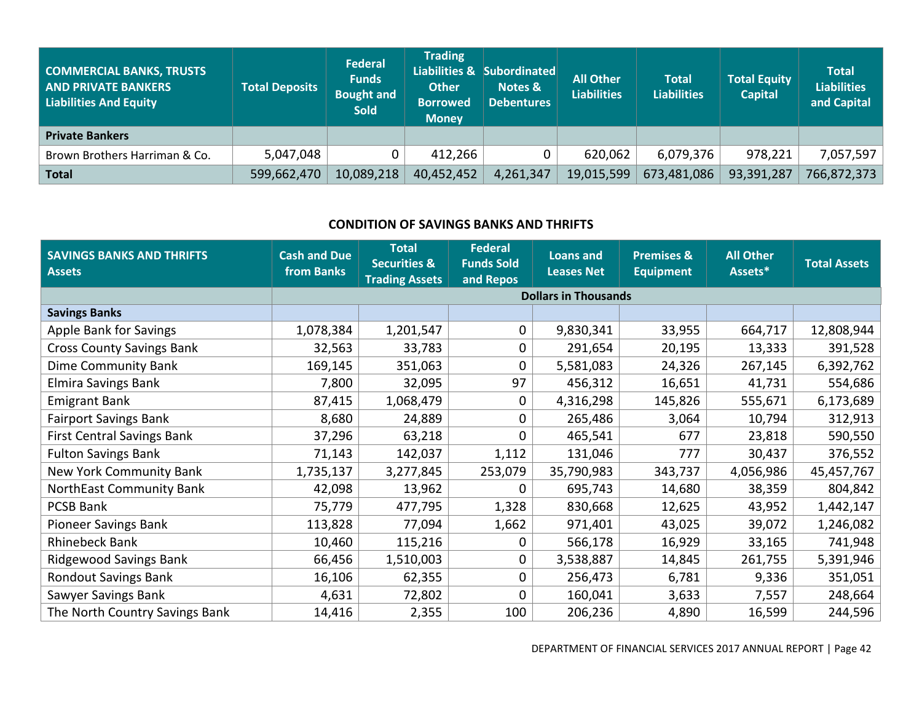| <b>COMMERCIAL BANKS, TRUSTS</b><br><b>AND PRIVATE BANKERS</b><br>Liabilities And Equity | <b>Total Deposits</b> | <b>Federal</b><br><b>Funds</b><br><b>Bought and</b><br><b>Sold</b> | <b>Trading</b><br><b>Other</b><br><b>Borrowed</b><br><b>Money</b> | Liabilities & Subordinated<br>Notes &<br><b>Debentures</b> | <b>All Other</b><br><b>Liabilities</b> | <b>Total</b><br><b>Liabilities</b> | <b>Total Equity</b><br><b>Capital</b> | <b>Total</b><br><b>Liabilities</b><br>and Capital |
|-----------------------------------------------------------------------------------------|-----------------------|--------------------------------------------------------------------|-------------------------------------------------------------------|------------------------------------------------------------|----------------------------------------|------------------------------------|---------------------------------------|---------------------------------------------------|
| <b>Private Bankers</b>                                                                  |                       |                                                                    |                                                                   |                                                            |                                        |                                    |                                       |                                                   |
| Brown Brothers Harriman & Co.                                                           | 5,047,048             |                                                                    | 412,266                                                           |                                                            | 620,062                                | 6,079,376                          | 978,221                               | 7,057,597                                         |
| Total                                                                                   | 599,662,470           | 10,089,218                                                         | 40,452,452                                                        | 4,261,347                                                  | 19,015,599                             | 673,481,086                        | 93,391,287                            | 766,872,373                                       |

# **CONDITION OF SAVINGS BANKS AND THRIFTS**

| <b>SAVINGS BANKS AND THRIFTS</b><br><b>Assets</b> | <b>Cash and Due</b><br>from Banks | <b>Total</b><br><b>Securities &amp;</b><br><b>Trading Assets</b> | <b>Federal</b><br><b>Funds Sold</b><br>and Repos | <b>Loans and</b><br><b>Leases Net</b> | <b>Premises &amp;</b><br><b>Equipment</b> | <b>All Other</b><br>Assets* | <b>Total Assets</b> |
|---------------------------------------------------|-----------------------------------|------------------------------------------------------------------|--------------------------------------------------|---------------------------------------|-------------------------------------------|-----------------------------|---------------------|
|                                                   |                                   |                                                                  |                                                  | <b>Dollars in Thousands</b>           |                                           |                             |                     |
| <b>Savings Banks</b>                              |                                   |                                                                  |                                                  |                                       |                                           |                             |                     |
| Apple Bank for Savings                            | 1,078,384                         | 1,201,547                                                        | 0                                                | 9,830,341                             | 33,955                                    | 664,717                     | 12,808,944          |
| <b>Cross County Savings Bank</b>                  | 32,563                            | 33,783                                                           | 0                                                | 291,654                               | 20,195                                    | 13,333                      | 391,528             |
| <b>Dime Community Bank</b>                        | 169,145                           | 351,063                                                          | 0                                                | 5,581,083                             | 24,326                                    | 267,145                     | 6,392,762           |
| Elmira Savings Bank                               | 7,800                             | 32,095                                                           | 97                                               | 456,312                               | 16,651                                    | 41,731                      | 554,686             |
| <b>Emigrant Bank</b>                              | 87,415                            | 1,068,479                                                        | 0                                                | 4,316,298                             | 145,826                                   | 555,671                     | 6,173,689           |
| <b>Fairport Savings Bank</b>                      | 8,680                             | 24,889                                                           | 0                                                | 265,486                               | 3,064                                     | 10,794                      | 312,913             |
| <b>First Central Savings Bank</b>                 | 37,296                            | 63,218                                                           | 0                                                | 465,541                               | 677                                       | 23,818                      | 590,550             |
| <b>Fulton Savings Bank</b>                        | 71,143                            | 142,037                                                          | 1,112                                            | 131,046                               | 777                                       | 30,437                      | 376,552             |
| New York Community Bank                           | 1,735,137                         | 3,277,845                                                        | 253,079                                          | 35,790,983                            | 343,737                                   | 4,056,986                   | 45,457,767          |
| <b>NorthEast Community Bank</b>                   | 42,098                            | 13,962                                                           | $\Omega$                                         | 695,743                               | 14,680                                    | 38,359                      | 804,842             |
| <b>PCSB Bank</b>                                  | 75,779                            | 477,795                                                          | 1,328                                            | 830,668                               | 12,625                                    | 43,952                      | 1,442,147           |
| <b>Pioneer Savings Bank</b>                       | 113,828                           | 77,094                                                           | 1,662                                            | 971,401                               | 43,025                                    | 39,072                      | 1,246,082           |
| <b>Rhinebeck Bank</b>                             | 10,460                            | 115,216                                                          | 0                                                | 566,178                               | 16,929                                    | 33,165                      | 741,948             |
| <b>Ridgewood Savings Bank</b>                     | 66,456                            | 1,510,003                                                        | 0                                                | 3,538,887                             | 14,845                                    | 261,755                     | 5,391,946           |
| <b>Rondout Savings Bank</b>                       | 16,106                            | 62,355                                                           | 0                                                | 256,473                               | 6,781                                     | 9,336                       | 351,051             |
| Sawyer Savings Bank                               | 4,631                             | 72,802                                                           | 0                                                | 160,041                               | 3,633                                     | 7,557                       | 248,664             |
| The North Country Savings Bank                    | 14,416                            | 2,355                                                            | 100                                              | 206,236                               | 4,890                                     | 16,599                      | 244,596             |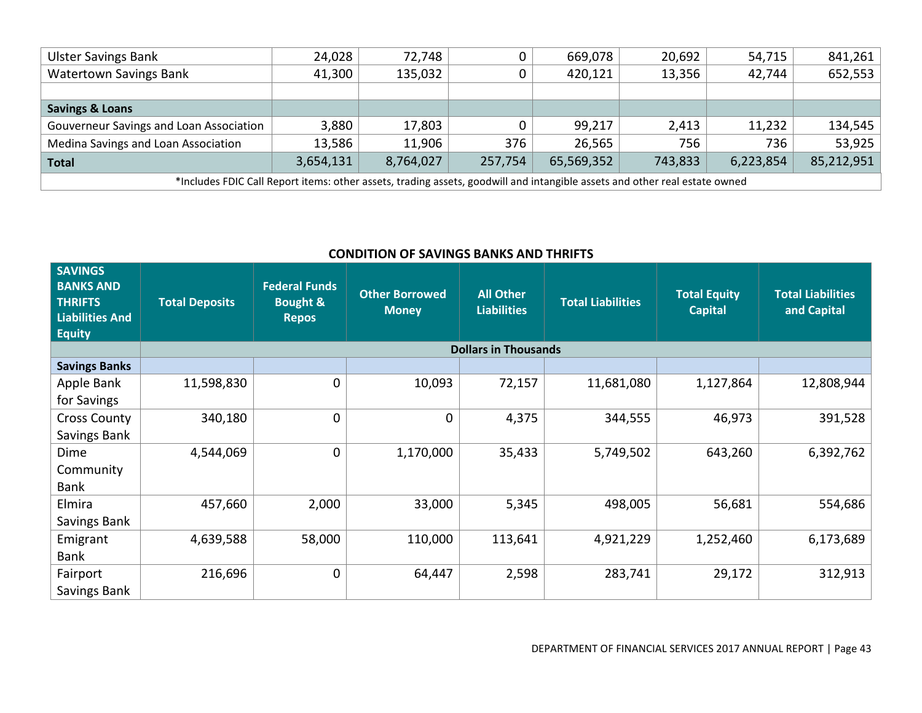| <b>Ulster Savings Bank</b>                                                                                                 | 24,028    | 72,748    |         | 669,078    | 20,692  | 54,715    | 841,261    |  |  |  |
|----------------------------------------------------------------------------------------------------------------------------|-----------|-----------|---------|------------|---------|-----------|------------|--|--|--|
| <b>Watertown Savings Bank</b>                                                                                              | 41,300    | 135,032   |         | 420,121    | 13,356  | 42,744    | 652,553    |  |  |  |
|                                                                                                                            |           |           |         |            |         |           |            |  |  |  |
| <b>Savings &amp; Loans</b>                                                                                                 |           |           |         |            |         |           |            |  |  |  |
| Gouverneur Savings and Loan Association                                                                                    | 3,880     | 17,803    |         | 99,217     | 2,413   | 11,232    | 134,545    |  |  |  |
| Medina Savings and Loan Association                                                                                        | 13,586    | 11,906    | 376     | 26,565     | 756     | 736       | 53,925     |  |  |  |
| <b>Total</b>                                                                                                               | 3,654,131 | 8,764,027 | 257,754 | 65,569,352 | 743,833 | 6,223,854 | 85,212,951 |  |  |  |
| *Includes FDIC Call Report items: other assets, trading assets, goodwill and intangible assets and other real estate owned |           |           |         |            |         |           |            |  |  |  |

# **CONDITION OF SAVINGS BANKS AND THRIFTS**

| <b>SAVINGS</b><br><b>BANKS AND</b><br><b>THRIFTS</b><br><b>Liabilities And</b><br><b>Equity</b> | <b>Total Deposits</b> | <b>Federal Funds</b><br><b>Bought &amp;</b><br><b>Repos</b> | <b>Other Borrowed</b><br><b>Money</b> | <b>All Other</b><br><b>Liabilities</b> | <b>Total Liabilities</b> | <b>Total Equity</b><br><b>Capital</b> | <b>Total Liabilities</b><br>and Capital |
|-------------------------------------------------------------------------------------------------|-----------------------|-------------------------------------------------------------|---------------------------------------|----------------------------------------|--------------------------|---------------------------------------|-----------------------------------------|
|                                                                                                 |                       |                                                             |                                       | <b>Dollars in Thousands</b>            |                          |                                       |                                         |
| <b>Savings Banks</b>                                                                            |                       |                                                             |                                       |                                        |                          |                                       |                                         |
| Apple Bank                                                                                      | 11,598,830            | 0                                                           | 10,093                                | 72,157                                 | 11,681,080               | 1,127,864                             | 12,808,944                              |
| for Savings                                                                                     |                       |                                                             |                                       |                                        |                          |                                       |                                         |
| <b>Cross County</b>                                                                             | 340,180               | 0                                                           | $\mathbf 0$                           | 4,375                                  | 344,555                  | 46,973                                | 391,528                                 |
| Savings Bank                                                                                    |                       |                                                             |                                       |                                        |                          |                                       |                                         |
| Dime                                                                                            | 4,544,069             | 0                                                           | 1,170,000                             | 35,433                                 | 5,749,502                | 643,260                               | 6,392,762                               |
| Community                                                                                       |                       |                                                             |                                       |                                        |                          |                                       |                                         |
| Bank                                                                                            |                       |                                                             |                                       |                                        |                          |                                       |                                         |
| Elmira                                                                                          | 457,660               | 2,000                                                       | 33,000                                | 5,345                                  | 498,005                  | 56,681                                | 554,686                                 |
| Savings Bank                                                                                    |                       |                                                             |                                       |                                        |                          |                                       |                                         |
| Emigrant                                                                                        | 4,639,588             | 58,000                                                      | 110,000                               | 113,641                                | 4,921,229                | 1,252,460                             | 6,173,689                               |
| Bank                                                                                            |                       |                                                             |                                       |                                        |                          |                                       |                                         |
| Fairport                                                                                        | 216,696               | 0                                                           | 64,447                                | 2,598                                  | 283,741                  | 29,172                                | 312,913                                 |
| Savings Bank                                                                                    |                       |                                                             |                                       |                                        |                          |                                       |                                         |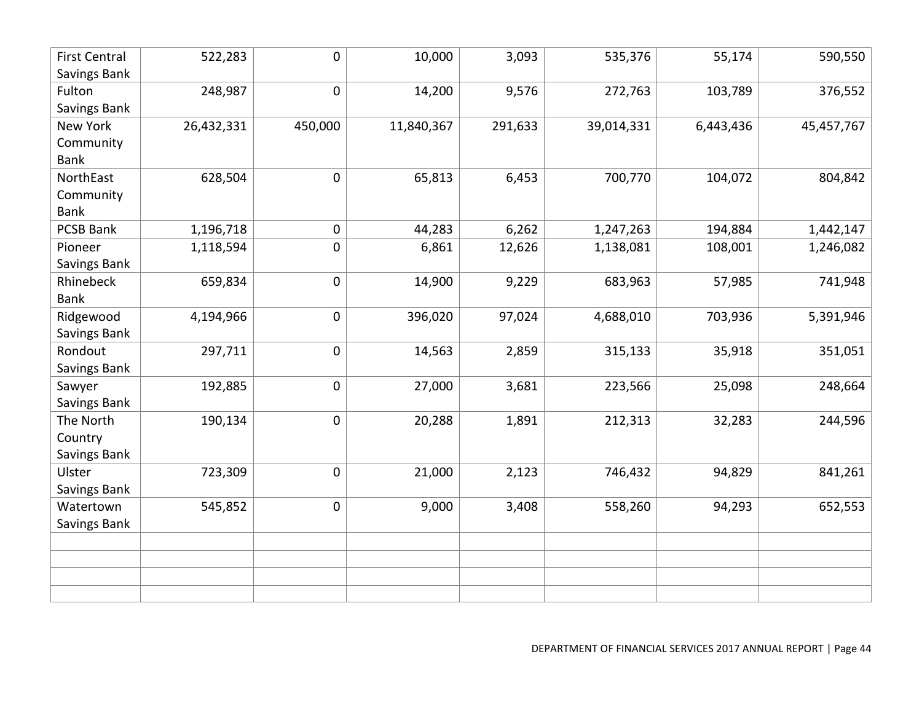| <b>First Central</b> | 522,283    | 0           | 10,000     | 3,093   | 535,376    | 55,174    | 590,550    |
|----------------------|------------|-------------|------------|---------|------------|-----------|------------|
| Savings Bank         |            |             |            |         |            |           |            |
| Fulton               | 248,987    | 0           | 14,200     | 9,576   | 272,763    | 103,789   | 376,552    |
| Savings Bank         |            |             |            |         |            |           |            |
| New York             | 26,432,331 | 450,000     | 11,840,367 | 291,633 | 39,014,331 | 6,443,436 | 45,457,767 |
| Community            |            |             |            |         |            |           |            |
| <b>Bank</b>          |            |             |            |         |            |           |            |
| NorthEast            | 628,504    | 0           | 65,813     | 6,453   | 700,770    | 104,072   | 804,842    |
| Community            |            |             |            |         |            |           |            |
| <b>Bank</b>          |            |             |            |         |            |           |            |
| <b>PCSB Bank</b>     | 1,196,718  | 0           | 44,283     | 6,262   | 1,247,263  | 194,884   | 1,442,147  |
| Pioneer              | 1,118,594  | 0           | 6,861      | 12,626  | 1,138,081  | 108,001   | 1,246,082  |
| Savings Bank         |            |             |            |         |            |           |            |
| Rhinebeck            | 659,834    | 0           | 14,900     | 9,229   | 683,963    | 57,985    | 741,948    |
| <b>Bank</b>          |            |             |            |         |            |           |            |
| Ridgewood            | 4,194,966  | 0           | 396,020    | 97,024  | 4,688,010  | 703,936   | 5,391,946  |
| Savings Bank         |            |             |            |         |            |           |            |
| Rondout              | 297,711    | $\mathbf 0$ | 14,563     | 2,859   | 315,133    | 35,918    | 351,051    |
| Savings Bank         |            |             |            |         |            |           |            |
| Sawyer               | 192,885    | $\pmb{0}$   | 27,000     | 3,681   | 223,566    | 25,098    | 248,664    |
| Savings Bank         |            |             |            |         |            |           |            |
| The North            | 190,134    | 0           | 20,288     | 1,891   | 212,313    | 32,283    | 244,596    |
| Country              |            |             |            |         |            |           |            |
| Savings Bank         |            |             |            |         |            |           |            |
| Ulster               | 723,309    | $\pmb{0}$   | 21,000     | 2,123   | 746,432    | 94,829    | 841,261    |
| Savings Bank         |            |             |            |         |            |           |            |
| Watertown            | 545,852    | 0           | 9,000      | 3,408   | 558,260    | 94,293    | 652,553    |
| Savings Bank         |            |             |            |         |            |           |            |
|                      |            |             |            |         |            |           |            |
|                      |            |             |            |         |            |           |            |
|                      |            |             |            |         |            |           |            |
|                      |            |             |            |         |            |           |            |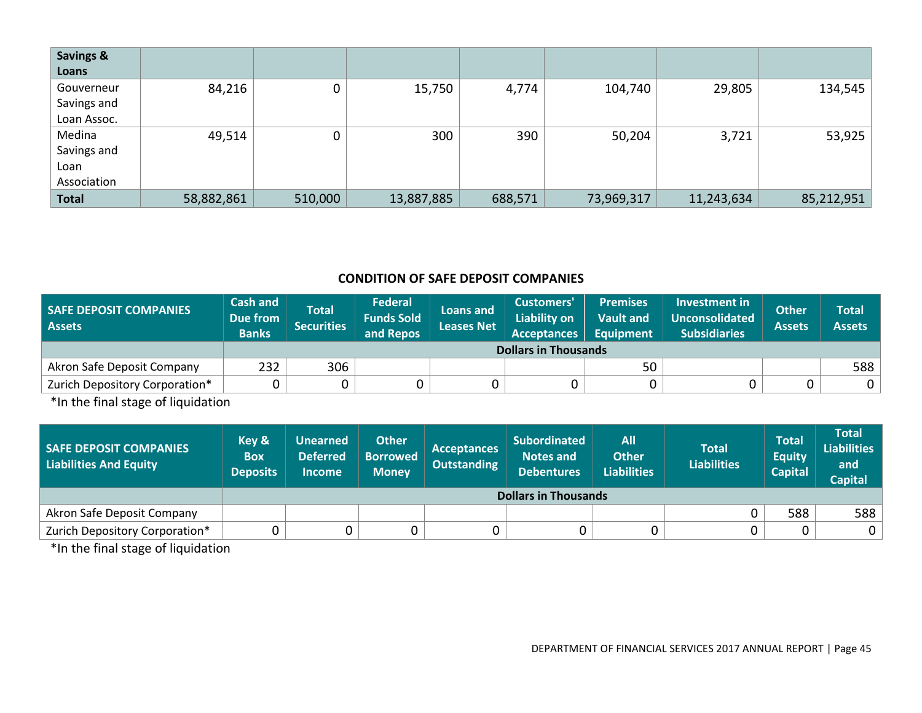| <b>Savings &amp;</b> |            |         |            |         |            |            |            |
|----------------------|------------|---------|------------|---------|------------|------------|------------|
| Loans                |            |         |            |         |            |            |            |
| Gouverneur           | 84,216     | 0       | 15,750     | 4,774   | 104,740    | 29,805     | 134,545    |
| Savings and          |            |         |            |         |            |            |            |
| Loan Assoc.          |            |         |            |         |            |            |            |
| Medina               | 49,514     | 0       | 300        | 390     | 50,204     | 3,721      | 53,925     |
| Savings and          |            |         |            |         |            |            |            |
| Loan                 |            |         |            |         |            |            |            |
| Association          |            |         |            |         |            |            |            |
| <b>Total</b>         | 58,882,861 | 510,000 | 13,887,885 | 688,571 | 73,969,317 | 11,243,634 | 85,212,951 |

# **CONDITION OF SAFE DEPOSIT COMPANIES**

| <b>SAFE DEPOSIT COMPANIES</b><br><b>Assets</b> | <b>Cash and</b><br>Due from<br><b>Banks</b> | <b>Total</b><br><b>Securities</b> | <b>Federal</b><br><b>Funds Sold</b><br>and Repos | Loans and<br><b>Leases Net</b> | Customers'<br><b>Liability on</b><br><b>Acceptances</b> | <b>Premises</b><br><b>Vault and</b><br><b>Equipment</b> | Investment in<br><b>Unconsolidated</b><br><b>Subsidiaries</b> | <b>Other</b><br><b>Assets</b> | Total<br><b>Assets</b> |
|------------------------------------------------|---------------------------------------------|-----------------------------------|--------------------------------------------------|--------------------------------|---------------------------------------------------------|---------------------------------------------------------|---------------------------------------------------------------|-------------------------------|------------------------|
|                                                |                                             | <b>Dollars in Thousands</b>       |                                                  |                                |                                                         |                                                         |                                                               |                               |                        |
| Akron Safe Deposit Company                     | 232                                         | 306                               |                                                  |                                |                                                         | 50                                                      |                                                               |                               | 588                    |
| Zurich Depository Corporation*                 |                                             |                                   |                                                  |                                |                                                         |                                                         |                                                               |                               | 0 <sup>1</sup>         |

\*In the final stage of liquidation

| <b>SAFE DEPOSIT COMPANIES</b><br>Liabilities And Equity | Key &<br><b>Box</b><br><b>Deposits</b> | <b>Unearned</b><br><b>Deferred</b><br><b>Income</b> | <b>Other</b><br><b>Borrowed</b><br><b>Money</b> | <b>Acceptances</b><br><b>Outstanding</b> | <b>Subordinated</b><br><b>Notes and</b><br><b>Debentures</b> | <b>All</b><br><b>Other</b><br><b>Liabilities</b> | <b>Total</b><br><b>Liabilities</b> | Total<br><b>Equity</b><br><b>Capital</b> | Total<br><b>Liabilities</b><br>and<br><b>Capital</b> |  |  |
|---------------------------------------------------------|----------------------------------------|-----------------------------------------------------|-------------------------------------------------|------------------------------------------|--------------------------------------------------------------|--------------------------------------------------|------------------------------------|------------------------------------------|------------------------------------------------------|--|--|
|                                                         |                                        | <b>Dollars in Thousands</b>                         |                                                 |                                          |                                                              |                                                  |                                    |                                          |                                                      |  |  |
| Akron Safe Deposit Company                              |                                        |                                                     |                                                 |                                          |                                                              |                                                  |                                    | 588                                      | 588                                                  |  |  |
| Zurich Depository Corporation*                          |                                        |                                                     | 0                                               |                                          | 0                                                            |                                                  |                                    |                                          | $\mathbf 0$                                          |  |  |

\*In the final stage of liquidation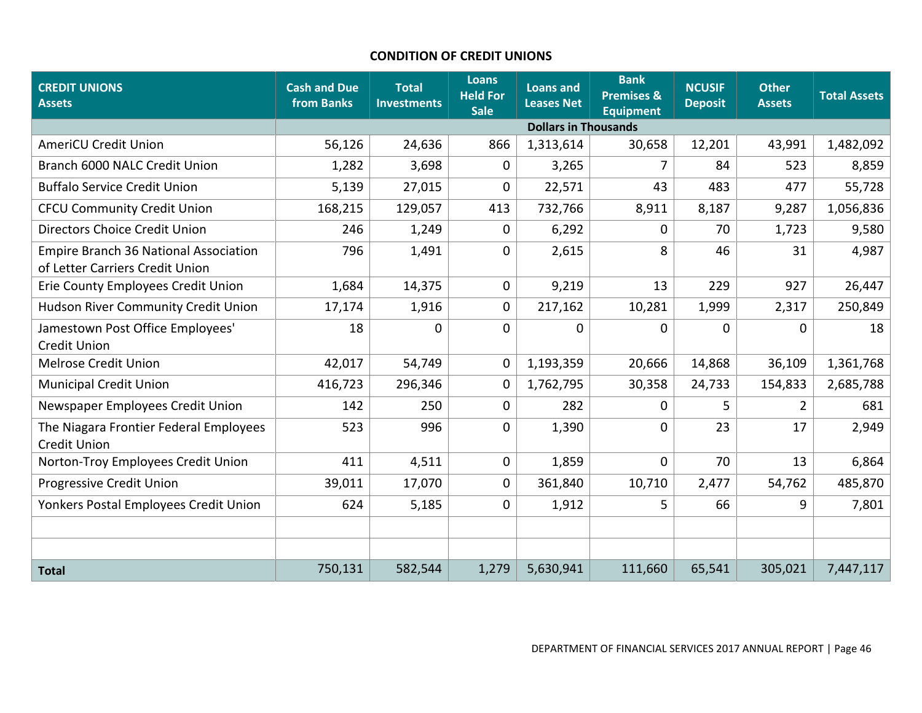### **CONDITION OF CREDIT UNIONS**

| <b>CREDIT UNIONS</b><br><b>Assets</b>                                           | <b>Cash and Due</b><br>from Banks | <b>Total</b><br><b>Investments</b> | <b>Loans</b><br><b>Held For</b><br><b>Sale</b> | <b>Loans and</b><br><b>Leases Net</b> | <b>Bank</b><br><b>Premises &amp;</b><br><b>Equipment</b> | <b>NCUSIF</b><br><b>Deposit</b> | <b>Other</b><br><b>Assets</b> | <b>Total Assets</b> |
|---------------------------------------------------------------------------------|-----------------------------------|------------------------------------|------------------------------------------------|---------------------------------------|----------------------------------------------------------|---------------------------------|-------------------------------|---------------------|
|                                                                                 |                                   |                                    |                                                | <b>Dollars in Thousands</b>           |                                                          |                                 |                               |                     |
| <b>AmeriCU Credit Union</b>                                                     | 56,126                            | 24,636                             | 866                                            | 1,313,614                             | 30,658                                                   | 12,201                          | 43,991                        | 1,482,092           |
| Branch 6000 NALC Credit Union                                                   | 1,282                             | 3,698                              | 0                                              | 3,265                                 | $\overline{7}$                                           | 84                              | 523                           | 8,859               |
| <b>Buffalo Service Credit Union</b>                                             | 5,139                             | 27,015                             | 0                                              | 22,571                                | 43                                                       | 483                             | 477                           | 55,728              |
| <b>CFCU Community Credit Union</b>                                              | 168,215                           | 129,057                            | 413                                            | 732,766                               | 8,911                                                    | 8,187                           | 9,287                         | 1,056,836           |
| Directors Choice Credit Union                                                   | 246                               | 1,249                              | 0                                              | 6,292                                 | $\mathbf 0$                                              | 70                              | 1,723                         | 9,580               |
| <b>Empire Branch 36 National Association</b><br>of Letter Carriers Credit Union | 796                               | 1,491                              | 0                                              | 2,615                                 | 8                                                        | 46                              | 31                            | 4,987               |
| Erie County Employees Credit Union                                              | 1,684                             | 14,375                             | 0                                              | 9,219                                 | 13                                                       | 229                             | 927                           | 26,447              |
| Hudson River Community Credit Union                                             | 17,174                            | 1,916                              | 0                                              | 217,162                               | 10,281                                                   | 1,999                           | 2,317                         | 250,849             |
| Jamestown Post Office Employees'<br><b>Credit Union</b>                         | 18                                | $\mathbf 0$                        | $\mathbf 0$                                    | 0                                     | 0                                                        | 0                               | 0                             | 18                  |
| <b>Melrose Credit Union</b>                                                     | 42,017                            | 54,749                             | 0                                              | 1,193,359                             | 20,666                                                   | 14,868                          | 36,109                        | 1,361,768           |
| <b>Municipal Credit Union</b>                                                   | 416,723                           | 296,346                            | $\mathbf 0$                                    | 1,762,795                             | 30,358                                                   | 24,733                          | 154,833                       | 2,685,788           |
| Newspaper Employees Credit Union                                                | 142                               | 250                                | 0                                              | 282                                   | $\mathbf 0$                                              | 5                               | 2                             | 681                 |
| The Niagara Frontier Federal Employees<br><b>Credit Union</b>                   | 523                               | 996                                | $\mathbf 0$                                    | 1,390                                 | $\Omega$                                                 | 23                              | 17                            | 2,949               |
| Norton-Troy Employees Credit Union                                              | 411                               | 4,511                              | 0                                              | 1,859                                 | $\mathbf 0$                                              | 70                              | 13                            | 6,864               |
| Progressive Credit Union                                                        | 39,011                            | 17,070                             | $\mathbf 0$                                    | 361,840                               | 10,710                                                   | 2,477                           | 54,762                        | 485,870             |
| Yonkers Postal Employees Credit Union                                           | 624                               | 5,185                              | 0                                              | 1,912                                 | 5                                                        | 66                              | 9                             | 7,801               |
|                                                                                 |                                   |                                    |                                                |                                       |                                                          |                                 |                               |                     |
|                                                                                 |                                   |                                    |                                                |                                       |                                                          |                                 |                               |                     |
| <b>Total</b>                                                                    | 750,131                           | 582,544                            | 1,279                                          | 5,630,941                             | 111,660                                                  | 65,541                          | 305,021                       | 7,447,117           |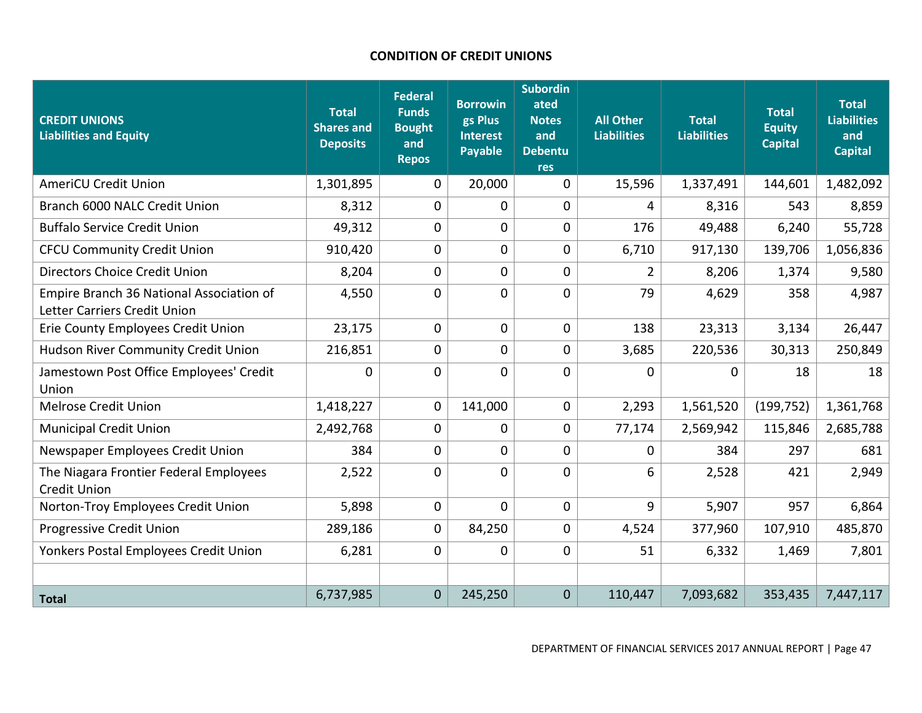# **CONDITION OF CREDIT UNIONS**

| <b>CREDIT UNIONS</b><br><b>Liabilities and Equity</b>                    | <b>Total</b><br><b>Shares and</b><br><b>Deposits</b> | <b>Federal</b><br><b>Funds</b><br><b>Bought</b><br>and<br><b>Repos</b> | <b>Borrowin</b><br>gs Plus<br><b>Interest</b><br><b>Payable</b> | Subordin<br>ated<br><b>Notes</b><br>and<br><b>Debentu</b><br><b>res</b> | <b>All Other</b><br><b>Liabilities</b> | <b>Total</b><br><b>Liabilities</b> | <b>Total</b><br><b>Equity</b><br><b>Capital</b> | <b>Total</b><br><b>Liabilities</b><br>and<br><b>Capital</b> |
|--------------------------------------------------------------------------|------------------------------------------------------|------------------------------------------------------------------------|-----------------------------------------------------------------|-------------------------------------------------------------------------|----------------------------------------|------------------------------------|-------------------------------------------------|-------------------------------------------------------------|
| <b>AmeriCU Credit Union</b>                                              | 1,301,895                                            | 0                                                                      | 20,000                                                          | $\mathbf 0$                                                             | 15,596                                 | 1,337,491                          | 144,601                                         | 1,482,092                                                   |
| Branch 6000 NALC Credit Union                                            | 8,312                                                | 0                                                                      | 0                                                               | 0                                                                       | 4                                      | 8,316                              | 543                                             | 8,859                                                       |
| <b>Buffalo Service Credit Union</b>                                      | 49,312                                               | 0                                                                      | 0                                                               | 0                                                                       | 176                                    | 49,488                             | 6,240                                           | 55,728                                                      |
| <b>CFCU Community Credit Union</b>                                       | 910,420                                              | 0                                                                      | 0                                                               | 0                                                                       | 6,710                                  | 917,130                            | 139,706                                         | 1,056,836                                                   |
| Directors Choice Credit Union                                            | 8,204                                                | 0                                                                      | $\mathbf 0$                                                     | 0                                                                       | $\overline{2}$                         | 8,206                              | 1,374                                           | 9,580                                                       |
| Empire Branch 36 National Association of<br>Letter Carriers Credit Union | 4,550                                                | 0                                                                      | 0                                                               | $\mathbf 0$                                                             | 79                                     | 4,629                              | 358                                             | 4,987                                                       |
| Erie County Employees Credit Union                                       | 23,175                                               | 0                                                                      | 0                                                               | 0                                                                       | 138                                    | 23,313                             | 3,134                                           | 26,447                                                      |
| Hudson River Community Credit Union                                      | 216,851                                              | 0                                                                      | 0                                                               | 0                                                                       | 3,685                                  | 220,536                            | 30,313                                          | 250,849                                                     |
| Jamestown Post Office Employees' Credit<br>Union                         | 0                                                    | 0                                                                      | 0                                                               | $\mathbf 0$                                                             | $\Omega$                               | $\Omega$                           | 18                                              | 18                                                          |
| <b>Melrose Credit Union</b>                                              | 1,418,227                                            | 0                                                                      | 141,000                                                         | 0                                                                       | 2,293                                  | 1,561,520                          | (199, 752)                                      | 1,361,768                                                   |
| <b>Municipal Credit Union</b>                                            | 2,492,768                                            | 0                                                                      | 0                                                               | 0                                                                       | 77,174                                 | 2,569,942                          | 115,846                                         | 2,685,788                                                   |
| Newspaper Employees Credit Union                                         | 384                                                  | 0                                                                      | $\mathbf 0$                                                     | 0                                                                       | 0                                      | 384                                | 297                                             | 681                                                         |
| The Niagara Frontier Federal Employees<br><b>Credit Union</b>            | 2,522                                                | 0                                                                      | $\mathbf 0$                                                     | 0                                                                       | 6                                      | 2,528                              | 421                                             | 2,949                                                       |
| Norton-Troy Employees Credit Union                                       | 5,898                                                | 0                                                                      | $\mathbf 0$                                                     | $\mathbf 0$                                                             | 9                                      | 5,907                              | 957                                             | 6,864                                                       |
| Progressive Credit Union                                                 | 289,186                                              | 0                                                                      | 84,250                                                          | 0                                                                       | 4,524                                  | 377,960                            | 107,910                                         | 485,870                                                     |
| Yonkers Postal Employees Credit Union                                    | 6,281                                                | 0                                                                      | $\mathbf 0$                                                     | 0                                                                       | 51                                     | 6,332                              | 1,469                                           | 7,801                                                       |
|                                                                          |                                                      |                                                                        |                                                                 |                                                                         |                                        |                                    |                                                 |                                                             |
| <b>Total</b>                                                             | 6,737,985                                            | $\mathbf 0$                                                            | 245,250                                                         | $\overline{0}$                                                          | 110,447                                | 7,093,682                          | 353,435                                         | 7,447,117                                                   |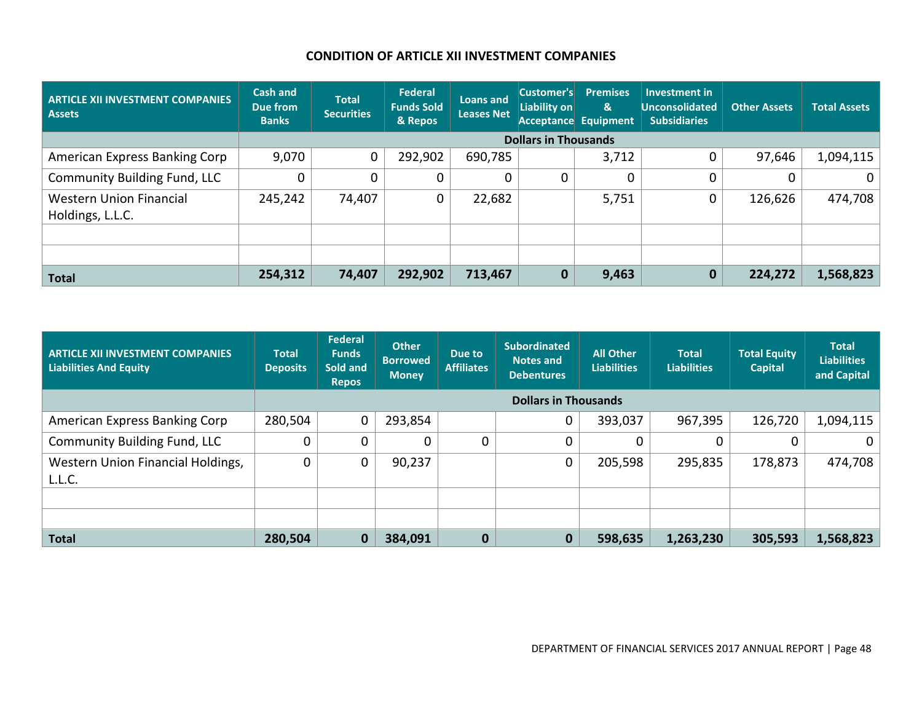# **CONDITION OF ARTICLE XII INVESTMENT COMPANIES**

| <b>ARTICLE XII INVESTMENT COMPANIES</b><br><b>Assets</b> | Cash and<br>Due from<br><b>Banks</b> | <b>Total</b><br><b>Securities</b> | Federal<br><b>Funds Sold</b><br>& Repos | <b>Loans and</b><br><b>Leases Net</b> | Customer's<br>Liability on  | <b>Premises</b><br>&<br><b>Acceptance Equipment</b> | <b>Investment in</b><br><b>Unconsolidated</b><br><b>Subsidiaries</b> | <b>Other Assets</b> | <b>Total Assets</b> |
|----------------------------------------------------------|--------------------------------------|-----------------------------------|-----------------------------------------|---------------------------------------|-----------------------------|-----------------------------------------------------|----------------------------------------------------------------------|---------------------|---------------------|
|                                                          |                                      |                                   |                                         |                                       | <b>Dollars in Thousands</b> |                                                     |                                                                      |                     |                     |
| American Express Banking Corp                            | 9,070                                | $\mathbf 0$                       | 292,902                                 | 690,785                               |                             | 3,712                                               |                                                                      | 97,646              | 1,094,115           |
| <b>Community Building Fund, LLC</b>                      | 0                                    | 0                                 | 0                                       |                                       | 0                           | 0                                                   |                                                                      |                     | 0                   |
| <b>Western Union Financial</b><br>Holdings, L.L.C.       | 245,242                              | 74,407                            | $\mathbf 0$                             | 22,682                                |                             | 5,751                                               |                                                                      | 126,626             | 474,708             |
|                                                          |                                      |                                   |                                         |                                       |                             |                                                     |                                                                      |                     |                     |
|                                                          |                                      |                                   |                                         |                                       |                             |                                                     |                                                                      |                     |                     |
| <b>Total</b>                                             | 254,312                              | 74,407                            | 292,902                                 | 713,467                               | $\mathbf 0$                 | 9,463                                               |                                                                      | 224,272             | 1,568,823           |

| <b>ARTICLE XII INVESTMENT COMPANIES</b><br>Liabilities And Equity | <b>Total</b><br><b>Deposits</b> | Federal<br><b>Funds</b><br>Sold and<br><b>Repos</b> | <b>Other</b><br><b>Borrowed</b><br><b>Money</b> | Due to<br><b>Affiliates</b> | <b>Subordinated</b><br><b>Notes and</b><br><b>Debentures</b> | <b>All Other</b><br><b>Liabilities</b> | <b>Total</b><br><b>Liabilities</b> | <b>Total Equity</b><br><b>Capital</b> | <b>Total</b><br><b>Liabilities</b><br>and Capital |
|-------------------------------------------------------------------|---------------------------------|-----------------------------------------------------|-------------------------------------------------|-----------------------------|--------------------------------------------------------------|----------------------------------------|------------------------------------|---------------------------------------|---------------------------------------------------|
|                                                                   |                                 |                                                     |                                                 |                             | <b>Dollars in Thousands</b>                                  |                                        |                                    |                                       |                                                   |
| American Express Banking Corp                                     | 280,504                         | 0                                                   | 293,854                                         |                             | 0                                                            | 393,037                                | 967,395                            | 126,720                               | 1,094,115                                         |
| <b>Community Building Fund, LLC</b>                               | $\Omega$                        | $\Omega$                                            | 0                                               | 0                           | 0                                                            | $\Omega$                               | 0                                  |                                       | $\mathbf{0}$                                      |
| Western Union Financial Holdings,<br>L.L.C.                       | 0                               | 0                                                   | 90,237                                          |                             | 0                                                            | 205,598                                | 295,835                            | 178,873                               | 474,708                                           |
|                                                                   |                                 |                                                     |                                                 |                             |                                                              |                                        |                                    |                                       |                                                   |
|                                                                   |                                 |                                                     |                                                 |                             |                                                              |                                        |                                    |                                       |                                                   |
| <b>Total</b>                                                      | 280,504                         | $\bf{0}$                                            | 384,091                                         | $\bf{0}$                    | $\mathbf 0$                                                  | 598,635                                | 1,263,230                          | 305,593                               | 1,568,823                                         |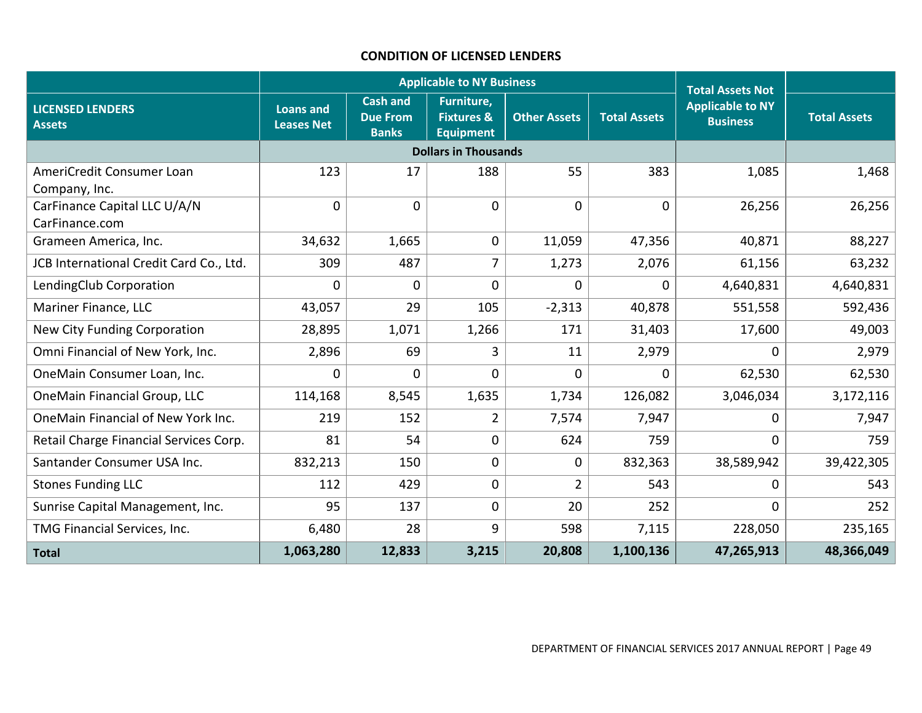#### **CONDITION OF LICENSED LENDERS**

|                                                |                                       |                                                    | <b>Applicable to NY Business</b>                        |                     |                     | <b>Total Assets Not</b>                    |                     |
|------------------------------------------------|---------------------------------------|----------------------------------------------------|---------------------------------------------------------|---------------------|---------------------|--------------------------------------------|---------------------|
| <b>LICENSED LENDERS</b><br><b>Assets</b>       | <b>Loans and</b><br><b>Leases Net</b> | <b>Cash and</b><br><b>Due From</b><br><b>Banks</b> | Furniture,<br><b>Fixtures &amp;</b><br><b>Equipment</b> | <b>Other Assets</b> | <b>Total Assets</b> | <b>Applicable to NY</b><br><b>Business</b> | <b>Total Assets</b> |
|                                                |                                       |                                                    | <b>Dollars in Thousands</b>                             |                     |                     |                                            |                     |
| AmeriCredit Consumer Loan<br>Company, Inc.     | 123                                   | 17                                                 | 188                                                     | 55                  | 383                 | 1,085                                      | 1,468               |
| CarFinance Capital LLC U/A/N<br>CarFinance.com | $\mathbf 0$                           | $\mathbf 0$                                        | $\mathbf 0$                                             | $\mathbf 0$         | $\mathbf 0$         | 26,256                                     | 26,256              |
| Grameen America, Inc.                          | 34,632                                | 1,665                                              | $\mathbf 0$                                             | 11,059              | 47,356              | 40,871                                     | 88,227              |
| JCB International Credit Card Co., Ltd.        | 309                                   | 487                                                | 7                                                       | 1,273               | 2,076               | 61,156                                     | 63,232              |
| LendingClub Corporation                        | $\overline{0}$                        | $\overline{0}$                                     | $\mathbf 0$                                             | 0                   | $\Omega$            | 4,640,831                                  | 4,640,831           |
| Mariner Finance, LLC                           | 43,057                                | 29                                                 | 105                                                     | $-2,313$            | 40,878              | 551,558                                    | 592,436             |
| New City Funding Corporation                   | 28,895                                | 1,071                                              | 1,266                                                   | 171                 | 31,403              | 17,600                                     | 49,003              |
| Omni Financial of New York, Inc.               | 2,896                                 | 69                                                 | 3                                                       | 11                  | 2,979               | $\Omega$                                   | 2,979               |
| OneMain Consumer Loan, Inc.                    | $\mathbf 0$                           | $\overline{0}$                                     | $\mathbf 0$                                             | 0                   | 0                   | 62,530                                     | 62,530              |
| OneMain Financial Group, LLC                   | 114,168                               | 8,545                                              | 1,635                                                   | 1,734               | 126,082             | 3,046,034                                  | 3,172,116           |
| OneMain Financial of New York Inc.             | 219                                   | 152                                                | $\overline{2}$                                          | 7,574               | 7,947               | 0                                          | 7,947               |
| Retail Charge Financial Services Corp.         | 81                                    | 54                                                 | $\mathbf 0$                                             | 624                 | 759                 | 0                                          | 759                 |
| Santander Consumer USA Inc.                    | 832,213                               | 150                                                | $\mathbf 0$                                             | 0                   | 832,363             | 38,589,942                                 | 39,422,305          |
| <b>Stones Funding LLC</b>                      | 112                                   | 429                                                | $\pmb{0}$                                               | $\overline{2}$      | 543                 | 0                                          | 543                 |
| Sunrise Capital Management, Inc.               | 95                                    | 137                                                | $\mathbf 0$                                             | 20                  | 252                 | 0                                          | 252                 |
| TMG Financial Services, Inc.                   | 6,480                                 | 28                                                 | 9                                                       | 598                 | 7,115               | 228,050                                    | 235,165             |
| <b>Total</b>                                   | 1,063,280                             | 12,833                                             | 3,215                                                   | 20,808              | 1,100,136           | 47,265,913                                 | 48,366,049          |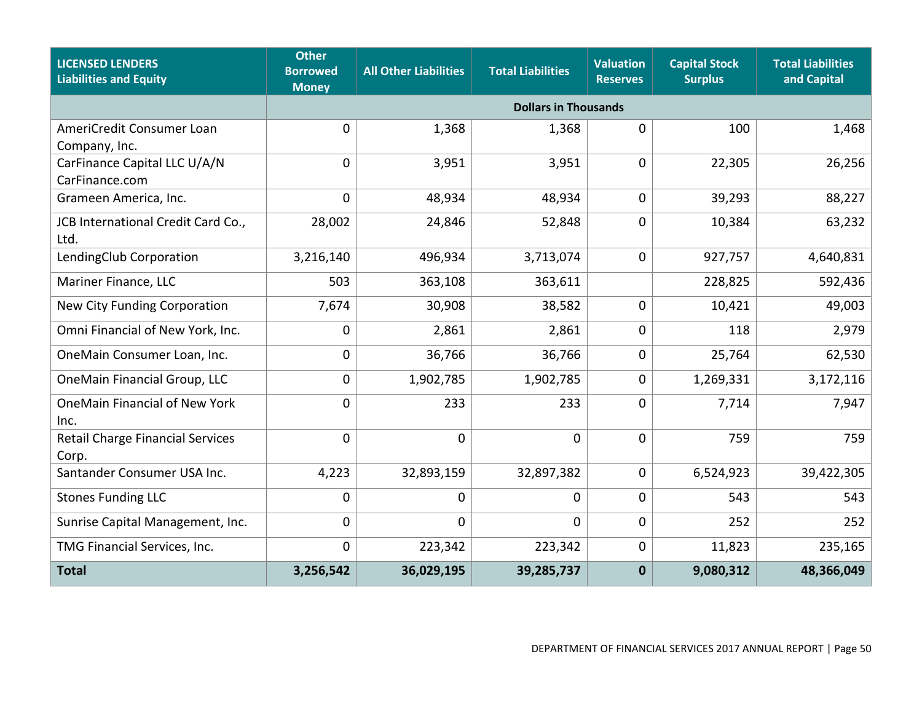| <b>LICENSED LENDERS</b><br><b>Liabilities and Equity</b> | <b>Other</b><br><b>Borrowed</b><br><b>Money</b> | <b>All Other Liabilities</b> | <b>Total Liabilities</b>    | <b>Valuation</b><br><b>Reserves</b> | <b>Capital Stock</b><br><b>Surplus</b> | <b>Total Liabilities</b><br>and Capital |
|----------------------------------------------------------|-------------------------------------------------|------------------------------|-----------------------------|-------------------------------------|----------------------------------------|-----------------------------------------|
|                                                          |                                                 |                              | <b>Dollars in Thousands</b> |                                     |                                        |                                         |
| AmeriCredit Consumer Loan<br>Company, Inc.               | 0                                               | 1,368                        | 1,368                       | $\mathbf 0$                         | 100                                    | 1,468                                   |
| CarFinance Capital LLC U/A/N<br>CarFinance.com           | 0                                               | 3,951                        | 3,951                       | $\mathbf 0$                         | 22,305                                 | 26,256                                  |
| Grameen America, Inc.                                    | 0                                               | 48,934                       | 48,934                      | $\mathbf 0$                         | 39,293                                 | 88,227                                  |
| JCB International Credit Card Co.,<br>Ltd.               | 28,002                                          | 24,846                       | 52,848                      | $\mathbf 0$                         | 10,384                                 | 63,232                                  |
| LendingClub Corporation                                  | 3,216,140                                       | 496,934                      | 3,713,074                   | $\mathbf 0$                         | 927,757                                | 4,640,831                               |
| Mariner Finance, LLC                                     | 503                                             | 363,108                      | 363,611                     |                                     | 228,825                                | 592,436                                 |
| <b>New City Funding Corporation</b>                      | 7,674                                           | 30,908                       | 38,582                      | $\mathbf 0$                         | 10,421                                 | 49,003                                  |
| Omni Financial of New York, Inc.                         | 0                                               | 2,861                        | 2,861                       | $\mathbf 0$                         | 118                                    | 2,979                                   |
| OneMain Consumer Loan, Inc.                              | 0                                               | 36,766                       | 36,766                      | $\Omega$                            | 25,764                                 | 62,530                                  |
| OneMain Financial Group, LLC                             | 0                                               | 1,902,785                    | 1,902,785                   | $\mathbf 0$                         | 1,269,331                              | 3,172,116                               |
| OneMain Financial of New York<br>Inc.                    | 0                                               | 233                          | 233                         | $\mathbf 0$                         | 7,714                                  | 7,947                                   |
| <b>Retail Charge Financial Services</b><br>Corp.         | $\Omega$                                        | $\mathbf 0$                  | $\mathbf{0}$                | $\Omega$                            | 759                                    | 759                                     |
| Santander Consumer USA Inc.                              | 4,223                                           | 32,893,159                   | 32,897,382                  | 0                                   | 6,524,923                              | 39,422,305                              |
| <b>Stones Funding LLC</b>                                | 0                                               | 0                            | 0                           | 0                                   | 543                                    | 543                                     |
| Sunrise Capital Management, Inc.                         | 0                                               | $\mathbf 0$                  | $\mathbf 0$                 | $\mathbf 0$                         | 252                                    | 252                                     |
| TMG Financial Services, Inc.                             | 0                                               | 223,342                      | 223,342                     | $\mathbf 0$                         | 11,823                                 | 235,165                                 |
| <b>Total</b>                                             | 3,256,542                                       | 36,029,195                   | 39,285,737                  | $\mathbf 0$                         | 9,080,312                              | 48,366,049                              |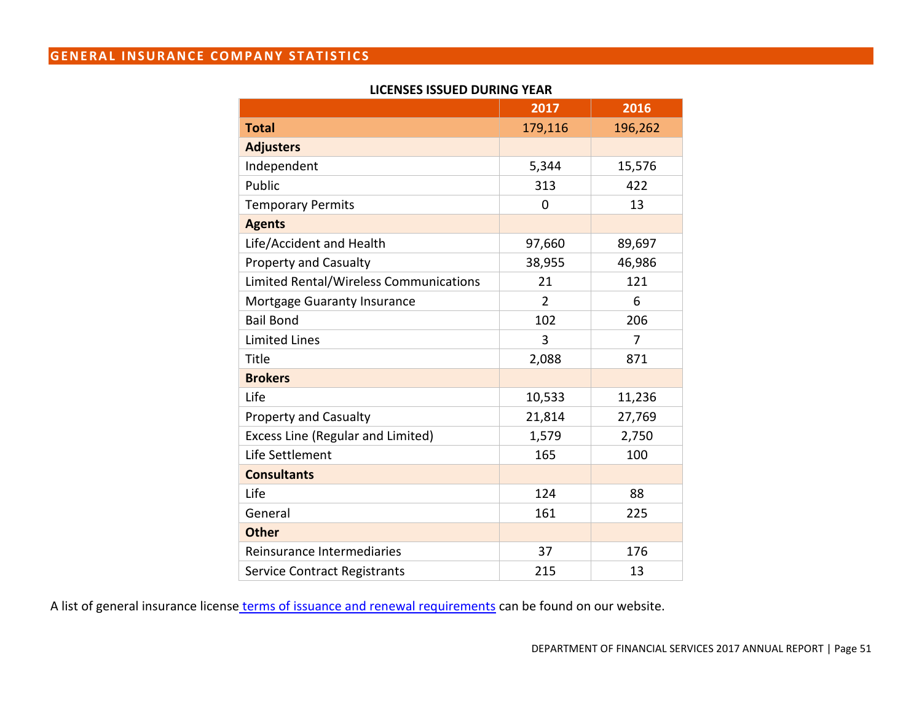# **GENERAL INSURANCE COMPANY STATISTICS**

#### **LICENSES ISSUED DURING YEAR**

|                                        | 2017          | 2016    |
|----------------------------------------|---------------|---------|
| <b>Total</b>                           | 179,116       | 196,262 |
| <b>Adjusters</b>                       |               |         |
| Independent                            | 5,344         | 15,576  |
| Public                                 | 313           | 422     |
| <b>Temporary Permits</b>               | $\Omega$      | 13      |
| <b>Agents</b>                          |               |         |
| Life/Accident and Health               | 97,660        | 89,697  |
| <b>Property and Casualty</b>           | 38,955        | 46,986  |
| Limited Rental/Wireless Communications | 21            | 121     |
| Mortgage Guaranty Insurance            | $\mathcal{P}$ | 6       |
| <b>Bail Bond</b>                       | 102           | 206     |
| <b>Limited Lines</b>                   | 3             | 7       |
| Title                                  | 2,088         | 871     |
| <b>Brokers</b>                         |               |         |
| Life                                   | 10,533        | 11,236  |
| <b>Property and Casualty</b>           | 21,814        | 27,769  |
| Excess Line (Regular and Limited)      | 1,579         | 2,750   |
| Life Settlement                        | 165           | 100     |
| <b>Consultants</b>                     |               |         |
| Life                                   | 124           | 88      |
| General                                | 161           | 225     |
| <b>Other</b>                           |               |         |
| Reinsurance Intermediaries             | 37            | 176     |
| Service Contract Registrants           | 215           | 13      |

A list of general insurance license [terms of issuance and renewal requirements](http://dfsdev.banking.nysb.gov/reportpub/annualrep_license_renewal.htm) can be found on our website.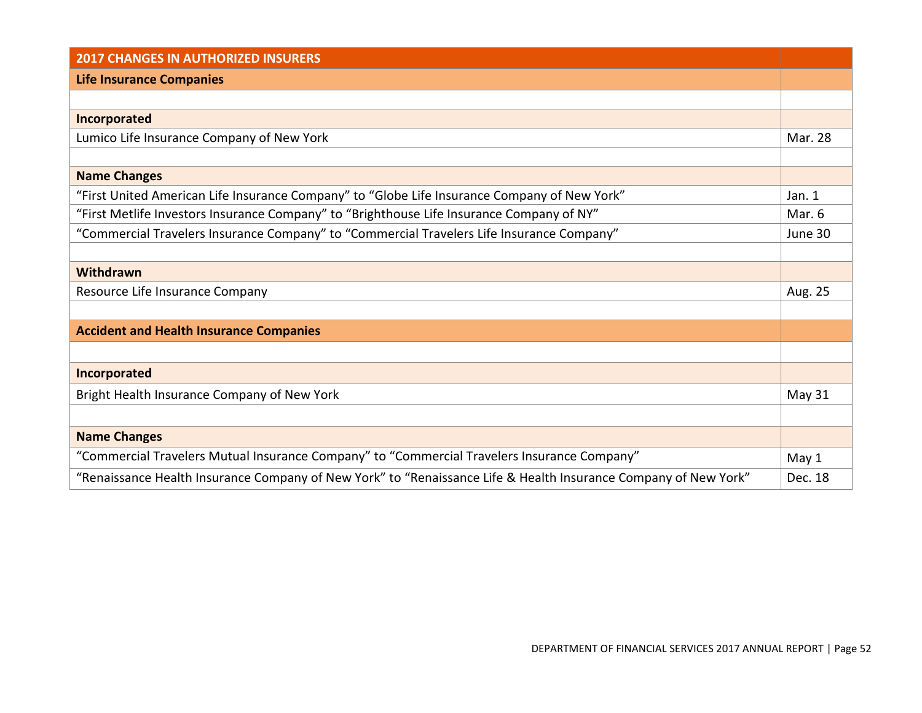| <b>2017 CHANGES IN AUTHORIZED INSURERS</b>                                                                      |         |
|-----------------------------------------------------------------------------------------------------------------|---------|
| <b>Life Insurance Companies</b>                                                                                 |         |
|                                                                                                                 |         |
| Incorporated                                                                                                    |         |
| Lumico Life Insurance Company of New York                                                                       | Mar. 28 |
|                                                                                                                 |         |
| <b>Name Changes</b>                                                                                             |         |
| "First United American Life Insurance Company" to "Globe Life Insurance Company of New York"                    | Jan. 1  |
| "First Metlife Investors Insurance Company" to "Brighthouse Life Insurance Company of NY"                       | Mar. 6  |
| "Commercial Travelers Insurance Company" to "Commercial Travelers Life Insurance Company"                       | June 30 |
|                                                                                                                 |         |
| Withdrawn                                                                                                       |         |
| Resource Life Insurance Company                                                                                 | Aug. 25 |
|                                                                                                                 |         |
| <b>Accident and Health Insurance Companies</b>                                                                  |         |
|                                                                                                                 |         |
| Incorporated                                                                                                    |         |
| Bright Health Insurance Company of New York                                                                     | May 31  |
|                                                                                                                 |         |
| <b>Name Changes</b>                                                                                             |         |
| "Commercial Travelers Mutual Insurance Company" to "Commercial Travelers Insurance Company"                     | May 1   |
| "Renaissance Health Insurance Company of New York" to "Renaissance Life & Health Insurance Company of New York" | Dec. 18 |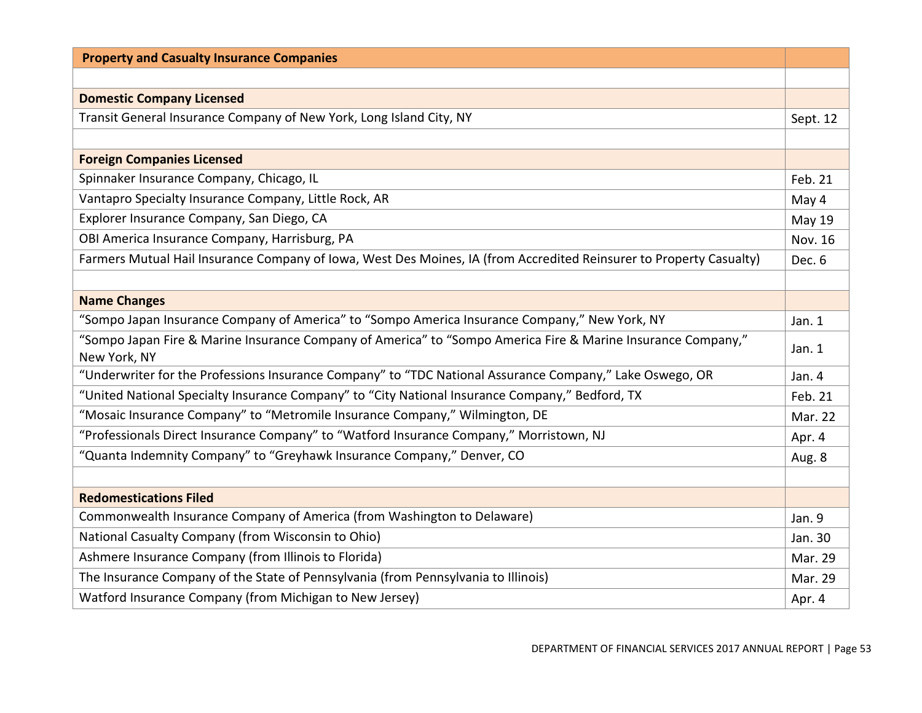| <b>Property and Casualty Insurance Companies</b>                                                                             |               |
|------------------------------------------------------------------------------------------------------------------------------|---------------|
|                                                                                                                              |               |
| <b>Domestic Company Licensed</b>                                                                                             |               |
| Transit General Insurance Company of New York, Long Island City, NY                                                          | Sept. 12      |
|                                                                                                                              |               |
| <b>Foreign Companies Licensed</b>                                                                                            |               |
| Spinnaker Insurance Company, Chicago, IL                                                                                     | Feb. 21       |
| Vantapro Specialty Insurance Company, Little Rock, AR                                                                        | May 4         |
| Explorer Insurance Company, San Diego, CA                                                                                    | <b>May 19</b> |
| OBI America Insurance Company, Harrisburg, PA                                                                                | Nov. 16       |
| Farmers Mutual Hail Insurance Company of Iowa, West Des Moines, IA (from Accredited Reinsurer to Property Casualty)          | Dec. 6        |
|                                                                                                                              |               |
| <b>Name Changes</b>                                                                                                          |               |
| "Sompo Japan Insurance Company of America" to "Sompo America Insurance Company," New York, NY                                | Jan. $1$      |
| "Sompo Japan Fire & Marine Insurance Company of America" to "Sompo America Fire & Marine Insurance Company,"<br>New York, NY | Jan. 1        |
| "Underwriter for the Professions Insurance Company" to "TDC National Assurance Company," Lake Oswego, OR                     | Jan. 4        |
| "United National Specialty Insurance Company" to "City National Insurance Company," Bedford, TX                              | Feb. 21       |
| "Mosaic Insurance Company" to "Metromile Insurance Company," Wilmington, DE                                                  | Mar. 22       |
| "Professionals Direct Insurance Company" to "Watford Insurance Company," Morristown, NJ                                      | Apr. 4        |
| "Quanta Indemnity Company" to "Greyhawk Insurance Company," Denver, CO                                                       | Aug. 8        |
|                                                                                                                              |               |
| <b>Redomestications Filed</b>                                                                                                |               |
| Commonwealth Insurance Company of America (from Washington to Delaware)                                                      | Jan. 9        |
| National Casualty Company (from Wisconsin to Ohio)                                                                           | Jan. 30       |
| Ashmere Insurance Company (from Illinois to Florida)                                                                         | Mar. 29       |
| The Insurance Company of the State of Pennsylvania (from Pennsylvania to Illinois)                                           | Mar. 29       |
| Watford Insurance Company (from Michigan to New Jersey)                                                                      | Apr. 4        |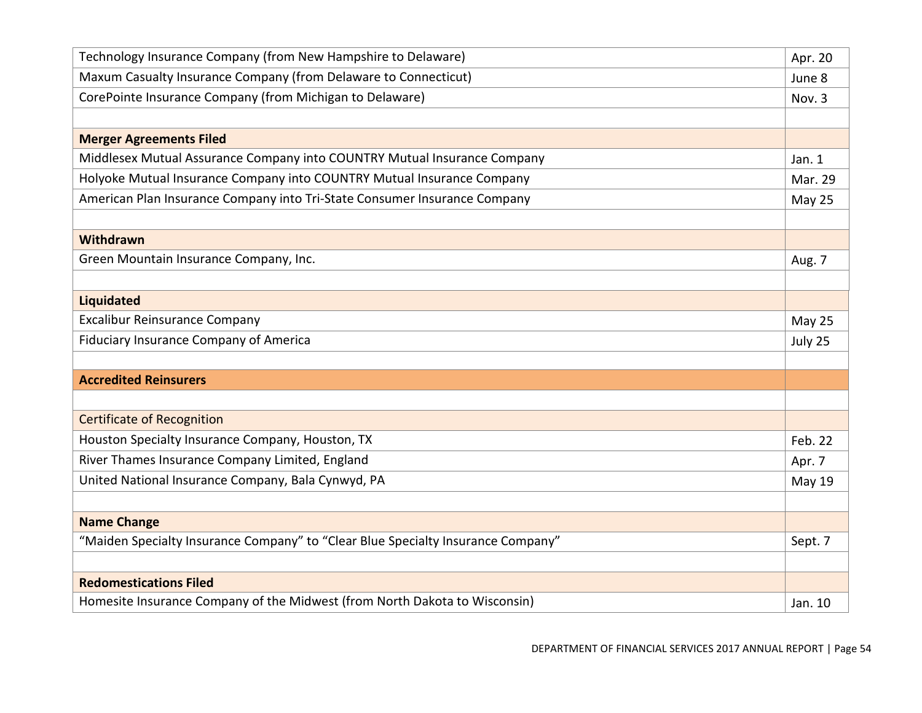| Technology Insurance Company (from New Hampshire to Delaware)                    | Apr. 20       |
|----------------------------------------------------------------------------------|---------------|
| Maxum Casualty Insurance Company (from Delaware to Connecticut)                  | June 8        |
| CorePointe Insurance Company (from Michigan to Delaware)                         | Nov. 3        |
|                                                                                  |               |
| <b>Merger Agreements Filed</b>                                                   |               |
| Middlesex Mutual Assurance Company into COUNTRY Mutual Insurance Company         | Jan. 1        |
| Holyoke Mutual Insurance Company into COUNTRY Mutual Insurance Company           | Mar. 29       |
| American Plan Insurance Company into Tri-State Consumer Insurance Company        | May 25        |
|                                                                                  |               |
| Withdrawn                                                                        |               |
| Green Mountain Insurance Company, Inc.                                           | Aug. 7        |
|                                                                                  |               |
| <b>Liquidated</b>                                                                |               |
| <b>Excalibur Reinsurance Company</b>                                             | May 25        |
| Fiduciary Insurance Company of America                                           | July 25       |
|                                                                                  |               |
| <b>Accredited Reinsurers</b>                                                     |               |
|                                                                                  |               |
| <b>Certificate of Recognition</b>                                                |               |
| Houston Specialty Insurance Company, Houston, TX                                 | Feb. 22       |
| River Thames Insurance Company Limited, England                                  | Apr. 7        |
| United National Insurance Company, Bala Cynwyd, PA                               | <b>May 19</b> |
|                                                                                  |               |
| <b>Name Change</b>                                                               |               |
| "Maiden Specialty Insurance Company" to "Clear Blue Specialty Insurance Company" | Sept. 7       |
|                                                                                  |               |
| <b>Redomestications Filed</b>                                                    |               |
| Homesite Insurance Company of the Midwest (from North Dakota to Wisconsin)       | Jan. 10       |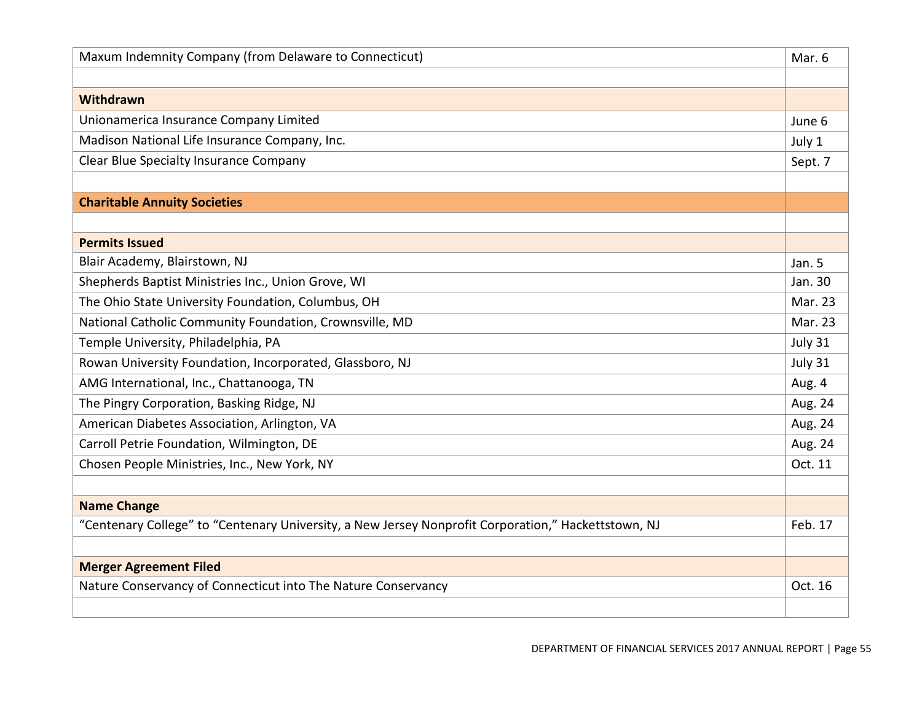| Maxum Indemnity Company (from Delaware to Connecticut)                                              | Mar. 6  |
|-----------------------------------------------------------------------------------------------------|---------|
|                                                                                                     |         |
| Withdrawn                                                                                           |         |
| Unionamerica Insurance Company Limited                                                              | June 6  |
| Madison National Life Insurance Company, Inc.                                                       | July 1  |
| <b>Clear Blue Specialty Insurance Company</b>                                                       | Sept. 7 |
|                                                                                                     |         |
| <b>Charitable Annuity Societies</b>                                                                 |         |
|                                                                                                     |         |
| <b>Permits Issued</b>                                                                               |         |
| Blair Academy, Blairstown, NJ                                                                       | Jan. 5  |
| Shepherds Baptist Ministries Inc., Union Grove, WI                                                  | Jan. 30 |
| The Ohio State University Foundation, Columbus, OH                                                  | Mar. 23 |
| National Catholic Community Foundation, Crownsville, MD                                             | Mar. 23 |
| Temple University, Philadelphia, PA                                                                 | July 31 |
| Rowan University Foundation, Incorporated, Glassboro, NJ                                            | July 31 |
| AMG International, Inc., Chattanooga, TN                                                            | Aug. 4  |
| The Pingry Corporation, Basking Ridge, NJ                                                           | Aug. 24 |
| American Diabetes Association, Arlington, VA                                                        | Aug. 24 |
| Carroll Petrie Foundation, Wilmington, DE                                                           | Aug. 24 |
| Chosen People Ministries, Inc., New York, NY                                                        | Oct. 11 |
|                                                                                                     |         |
| <b>Name Change</b>                                                                                  |         |
| "Centenary College" to "Centenary University, a New Jersey Nonprofit Corporation," Hackettstown, NJ | Feb. 17 |
|                                                                                                     |         |
| <b>Merger Agreement Filed</b>                                                                       |         |
| Nature Conservancy of Connecticut into The Nature Conservancy                                       | Oct. 16 |
|                                                                                                     |         |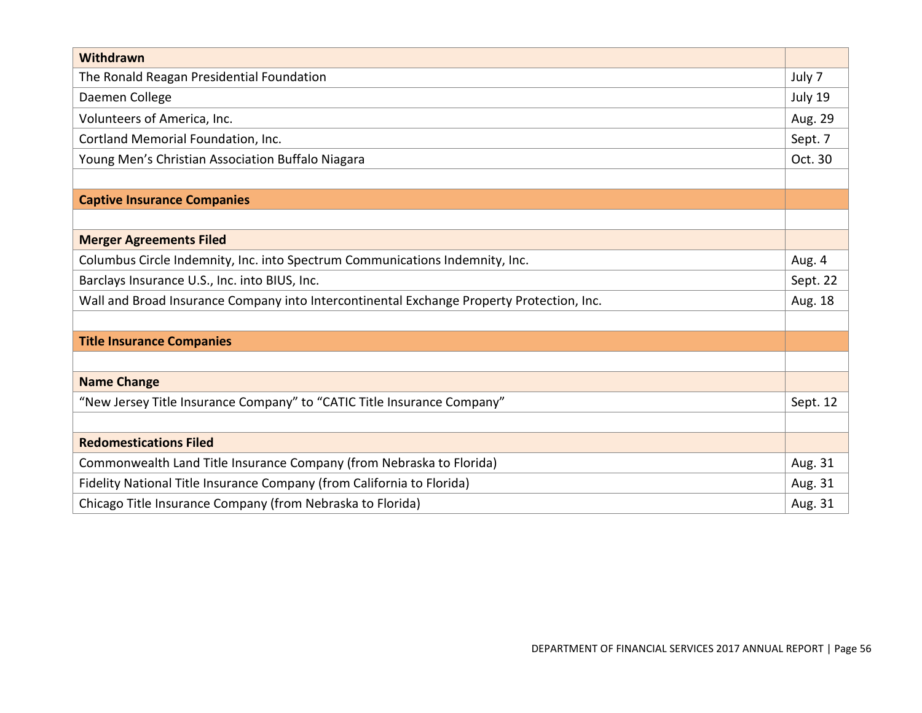| Withdrawn                                                                                 |          |
|-------------------------------------------------------------------------------------------|----------|
| The Ronald Reagan Presidential Foundation                                                 | July 7   |
| Daemen College                                                                            | July 19  |
| Volunteers of America, Inc.                                                               | Aug. 29  |
| Cortland Memorial Foundation, Inc.                                                        | Sept. 7  |
| Young Men's Christian Association Buffalo Niagara                                         | Oct. 30  |
|                                                                                           |          |
| <b>Captive Insurance Companies</b>                                                        |          |
|                                                                                           |          |
| <b>Merger Agreements Filed</b>                                                            |          |
| Columbus Circle Indemnity, Inc. into Spectrum Communications Indemnity, Inc.              | Aug. 4   |
| Barclays Insurance U.S., Inc. into BIUS, Inc.                                             | Sept. 22 |
| Wall and Broad Insurance Company into Intercontinental Exchange Property Protection, Inc. | Aug. 18  |
|                                                                                           |          |
| <b>Title Insurance Companies</b>                                                          |          |
|                                                                                           |          |
| <b>Name Change</b>                                                                        |          |
| "New Jersey Title Insurance Company" to "CATIC Title Insurance Company"                   | Sept. 12 |
|                                                                                           |          |
| <b>Redomestications Filed</b>                                                             |          |
| Commonwealth Land Title Insurance Company (from Nebraska to Florida)                      | Aug. 31  |
| Fidelity National Title Insurance Company (from California to Florida)                    | Aug. 31  |
| Chicago Title Insurance Company (from Nebraska to Florida)                                | Aug. 31  |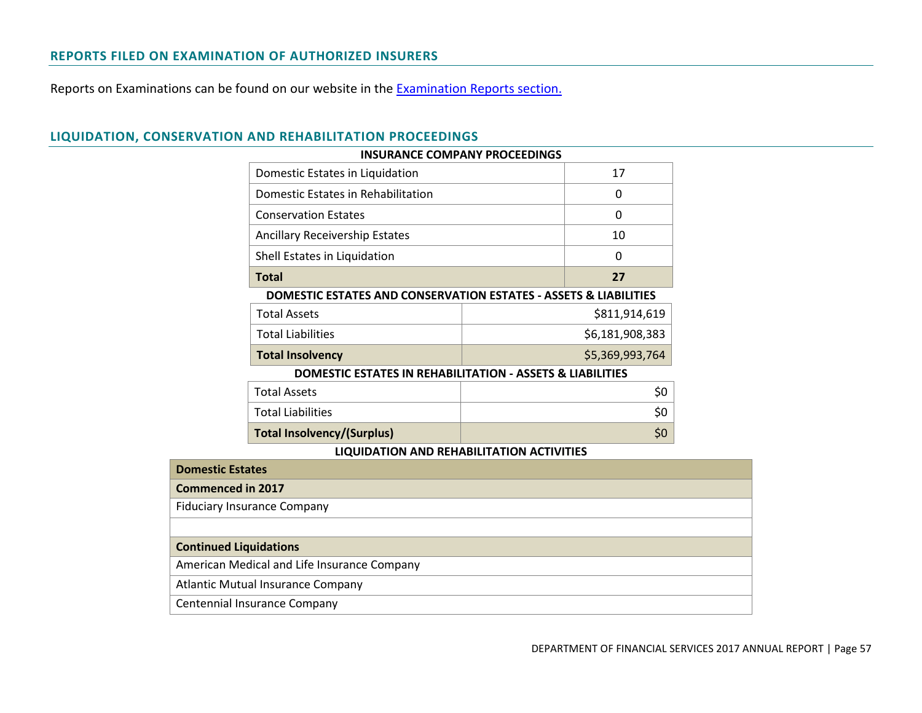### **REPORTS FILED ON EXAMINATION OF AUTHORIZED INSURERS**

Reports on Examinations can be found on our website in the [Examination Reports section.](http://www.dfs.ny.gov/insurance/ex_index.htm)

|                                                                             | <b>INSURANCE COMPANY PROCEEDINGS</b> |                 |
|-----------------------------------------------------------------------------|--------------------------------------|-----------------|
| Domestic Estates in Liquidation                                             |                                      | 17              |
| Domestic Estates in Rehabilitation                                          |                                      | 0               |
| <b>Conservation Estates</b>                                                 |                                      | 0               |
| <b>Ancillary Receivership Estates</b>                                       |                                      | 10              |
| Shell Estates in Liquidation                                                |                                      | 0               |
| <b>Total</b>                                                                |                                      | 27              |
| <b>DOMESTIC ESTATES AND CONSERVATION ESTATES - ASSETS &amp; LIABILITIES</b> |                                      |                 |
| <b>Total Assets</b>                                                         |                                      | \$811,914,619   |
| <b>Total Liabilities</b>                                                    |                                      | \$6,181,908,383 |
| <b>Total Insolvency</b>                                                     |                                      | \$5,369,993,764 |
| DOMESTIC ESTATES IN REHABILITATION - ASSETS & LIABILITIES                   |                                      |                 |
| <b>Total Assets</b>                                                         |                                      | \$0             |
| <b>Total Liabilities</b>                                                    |                                      | \$0             |
| <b>Total Insolvency/(Surplus)</b>                                           |                                      | \$0             |
| HOHIDATION AND REHARIHTATION ACTIVITIES                                     |                                      |                 |

# **LIQUIDATION, CONSERVATION AND REHABILITATION PROCEEDINGS**

| LIQUIDATION AND NETIADIEITATION ACTIVITIES  |
|---------------------------------------------|
| <b>Domestic Estates</b>                     |
| <b>Commenced in 2017</b>                    |
| <b>Fiduciary Insurance Company</b>          |
|                                             |
| <b>Continued Liquidations</b>               |
| American Medical and Life Insurance Company |
| <b>Atlantic Mutual Insurance Company</b>    |
|                                             |

Centennial Insurance Company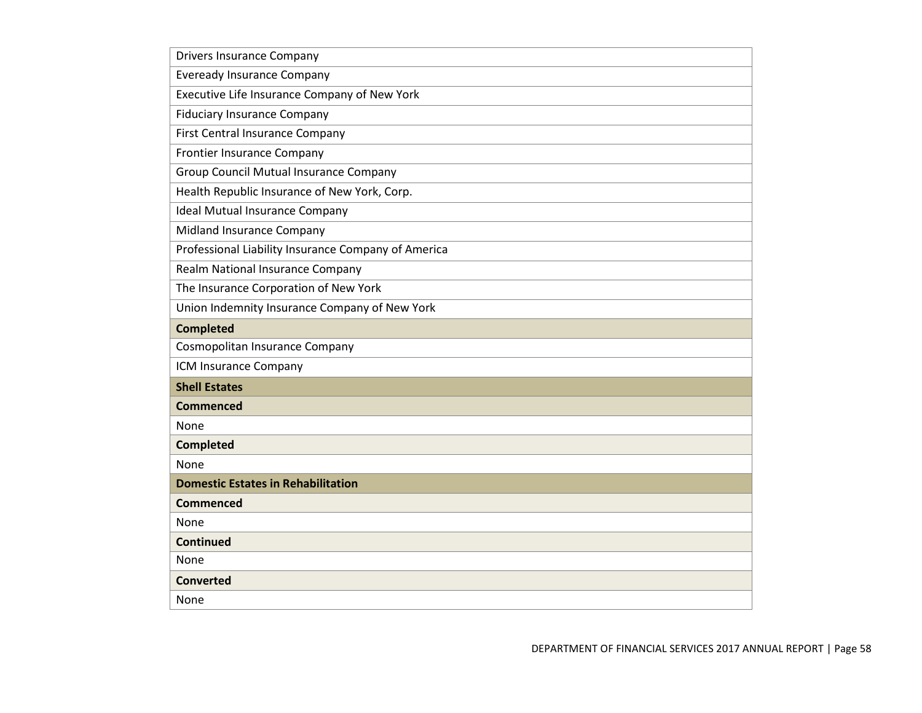| <b>Drivers Insurance Company</b>                    |
|-----------------------------------------------------|
| <b>Eveready Insurance Company</b>                   |
| Executive Life Insurance Company of New York        |
| <b>Fiduciary Insurance Company</b>                  |
| First Central Insurance Company                     |
| Frontier Insurance Company                          |
| Group Council Mutual Insurance Company              |
| Health Republic Insurance of New York, Corp.        |
| <b>Ideal Mutual Insurance Company</b>               |
| Midland Insurance Company                           |
| Professional Liability Insurance Company of America |
| Realm National Insurance Company                    |
| The Insurance Corporation of New York               |
| Union Indemnity Insurance Company of New York       |
| <b>Completed</b>                                    |
| Cosmopolitan Insurance Company                      |
| ICM Insurance Company                               |
| <b>Shell Estates</b>                                |
| <b>Commenced</b>                                    |
| None                                                |
| <b>Completed</b>                                    |
| None                                                |
| <b>Domestic Estates in Rehabilitation</b>           |
| <b>Commenced</b>                                    |
| None                                                |
| <b>Continued</b>                                    |
| None                                                |
| <b>Converted</b>                                    |
| None                                                |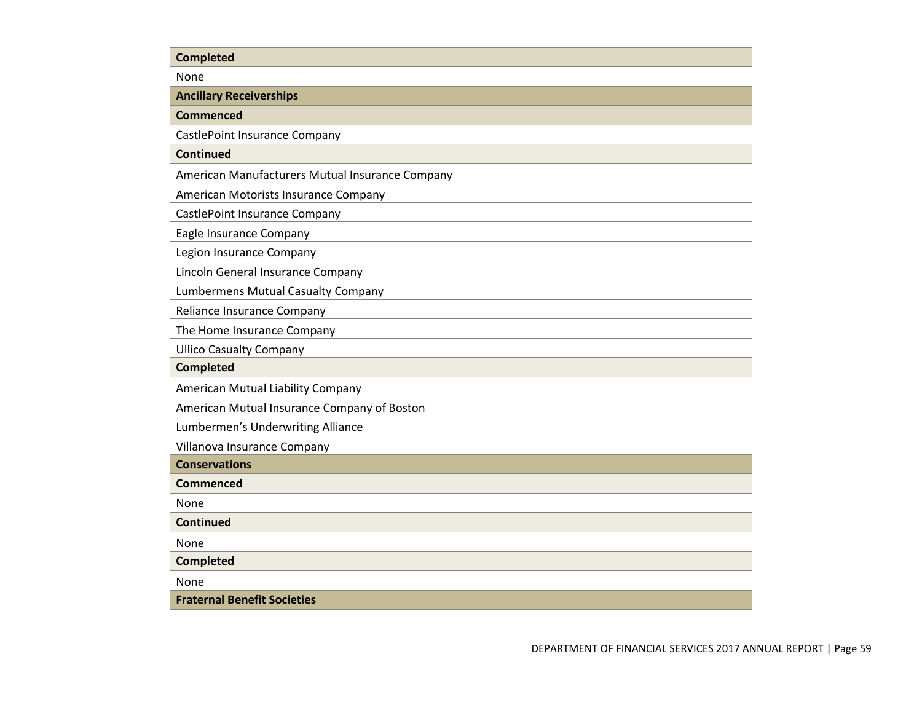| <b>Completed</b>                                |
|-------------------------------------------------|
| None                                            |
| <b>Ancillary Receiverships</b>                  |
| <b>Commenced</b>                                |
| CastlePoint Insurance Company                   |
| <b>Continued</b>                                |
| American Manufacturers Mutual Insurance Company |
| American Motorists Insurance Company            |
| CastlePoint Insurance Company                   |
| Eagle Insurance Company                         |
| Legion Insurance Company                        |
| Lincoln General Insurance Company               |
| <b>Lumbermens Mutual Casualty Company</b>       |
| Reliance Insurance Company                      |
| The Home Insurance Company                      |
| <b>Ullico Casualty Company</b>                  |
| <b>Completed</b>                                |
| American Mutual Liability Company               |
| American Mutual Insurance Company of Boston     |
| Lumbermen's Underwriting Alliance               |
| Villanova Insurance Company                     |
| <b>Conservations</b>                            |
| <b>Commenced</b>                                |
| None                                            |
| <b>Continued</b>                                |
| None                                            |
| <b>Completed</b>                                |
| None                                            |
| <b>Fraternal Benefit Societies</b>              |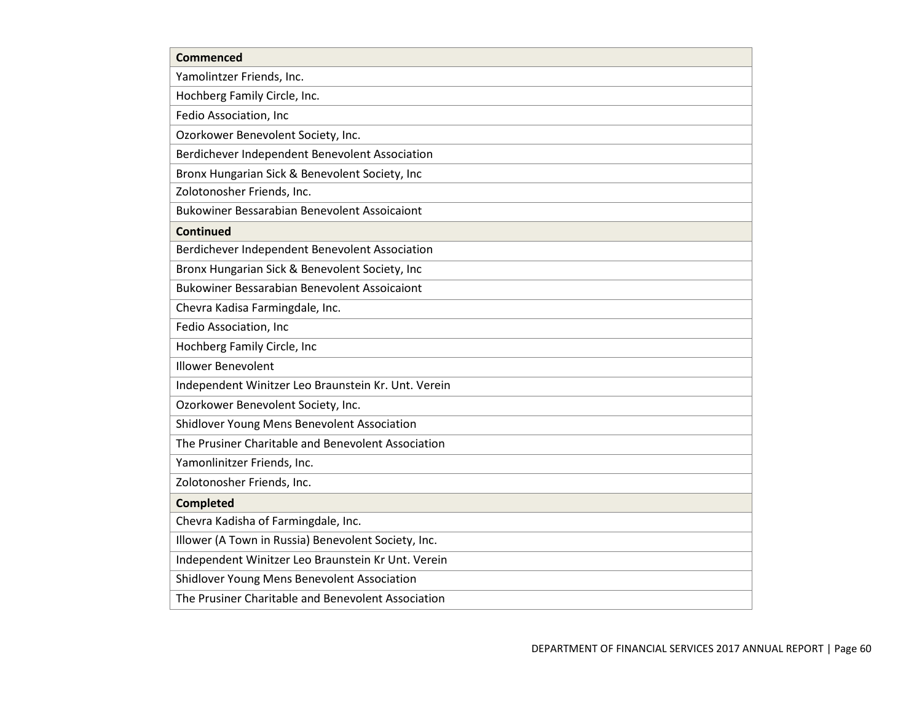| <b>Commenced</b>                                    |
|-----------------------------------------------------|
| Yamolintzer Friends, Inc.                           |
| Hochberg Family Circle, Inc.                        |
| Fedio Association, Inc                              |
| Ozorkower Benevolent Society, Inc.                  |
| Berdichever Independent Benevolent Association      |
| Bronx Hungarian Sick & Benevolent Society, Inc      |
| Zolotonosher Friends, Inc.                          |
| <b>Bukowiner Bessarabian Benevolent Assoicaiont</b> |
| <b>Continued</b>                                    |
| Berdichever Independent Benevolent Association      |
| Bronx Hungarian Sick & Benevolent Society, Inc      |
| <b>Bukowiner Bessarabian Benevolent Assoicaiont</b> |
| Chevra Kadisa Farmingdale, Inc.                     |
| Fedio Association, Inc                              |
| Hochberg Family Circle, Inc                         |
| <b>Illower Benevolent</b>                           |
| Independent Winitzer Leo Braunstein Kr. Unt. Verein |
| Ozorkower Benevolent Society, Inc.                  |
| Shidlover Young Mens Benevolent Association         |
| The Prusiner Charitable and Benevolent Association  |
| Yamonlinitzer Friends, Inc.                         |
| Zolotonosher Friends, Inc.                          |
| <b>Completed</b>                                    |
| Chevra Kadisha of Farmingdale, Inc.                 |
| Illower (A Town in Russia) Benevolent Society, Inc. |
| Independent Winitzer Leo Braunstein Kr Unt. Verein  |
| Shidlover Young Mens Benevolent Association         |
| The Prusiner Charitable and Benevolent Association  |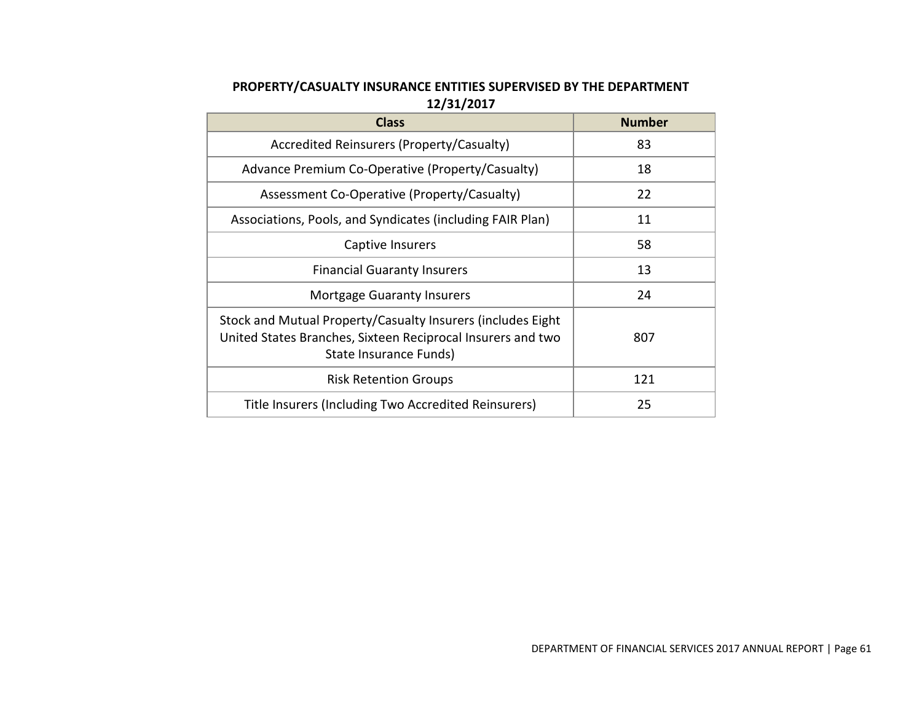# **PROPERTY/CASUALTY INSURANCE ENTITIES SUPERVISED BY THE DEPARTMENT 12/31/2017**

| <b>Class</b>                                                                                                                                          | <b>Number</b> |
|-------------------------------------------------------------------------------------------------------------------------------------------------------|---------------|
| Accredited Reinsurers (Property/Casualty)                                                                                                             | 83            |
| Advance Premium Co-Operative (Property/Casualty)                                                                                                      | 18            |
| Assessment Co-Operative (Property/Casualty)                                                                                                           | 22            |
| Associations, Pools, and Syndicates (including FAIR Plan)                                                                                             | 11            |
| Captive Insurers                                                                                                                                      | 58            |
| <b>Financial Guaranty Insurers</b>                                                                                                                    | 13            |
| <b>Mortgage Guaranty Insurers</b>                                                                                                                     | 24            |
| Stock and Mutual Property/Casualty Insurers (includes Eight)<br>United States Branches, Sixteen Reciprocal Insurers and two<br>State Insurance Funds) | 807           |
| <b>Risk Retention Groups</b>                                                                                                                          | 121           |
| Title Insurers (Including Two Accredited Reinsurers)                                                                                                  | 25            |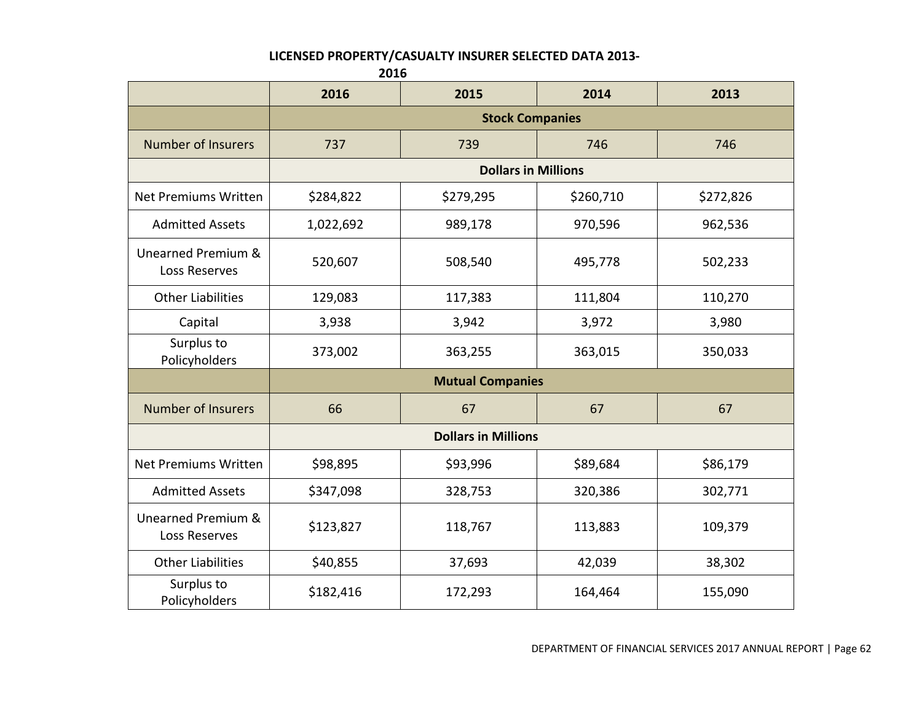#### **LICENSED PROPERTY/CASUALTY INSURER SELECTED DATA 2013-**

**2016 2016 2015 2014 2013 Stock Companies** Number of Insurers 237 739 746 746 **Dollars in Millions** Net Premiums Written  $\vert$  \$284,822  $\vert$  \$279,295  $\vert$  \$260,710  $\vert$  \$272,826 Admitted Assets 1,022,692 1989,178 970,596 970,596 Unearned Premium & dirica Fremanica (1990,607 | 508,540 | 495,778 | 502,233<br>Loss Reserves Other Liabilities 129,083 117,383 111,804 110,270 Capital | 3,938 | 3,942 | 3,972 | 3,980 Surplus to Policyholders | 373,002 | 363,255 | 363,015 | 350,033  **Mutual Companies** Number of Insurers 1 66 66 67 57 67 67 67 67 67  **Dollars in Millions** Net Premiums Written  $\vert$  \$98,895  $\vert$  \$93,996  $\vert$  \$89,684  $\vert$  \$86,179 Admitted Assets | \$347,098 | 328,753 | 320,386 | 302,771 Unearned Premium & dinca Fremanica (\* 118,767 118,767 113,883 109,379 kos Reserves Other Liabilities | \$40,855 | 37,693 | 42,039 | 38,302 Surplus to Policyholders \$182,416 172,293 164,464 155,090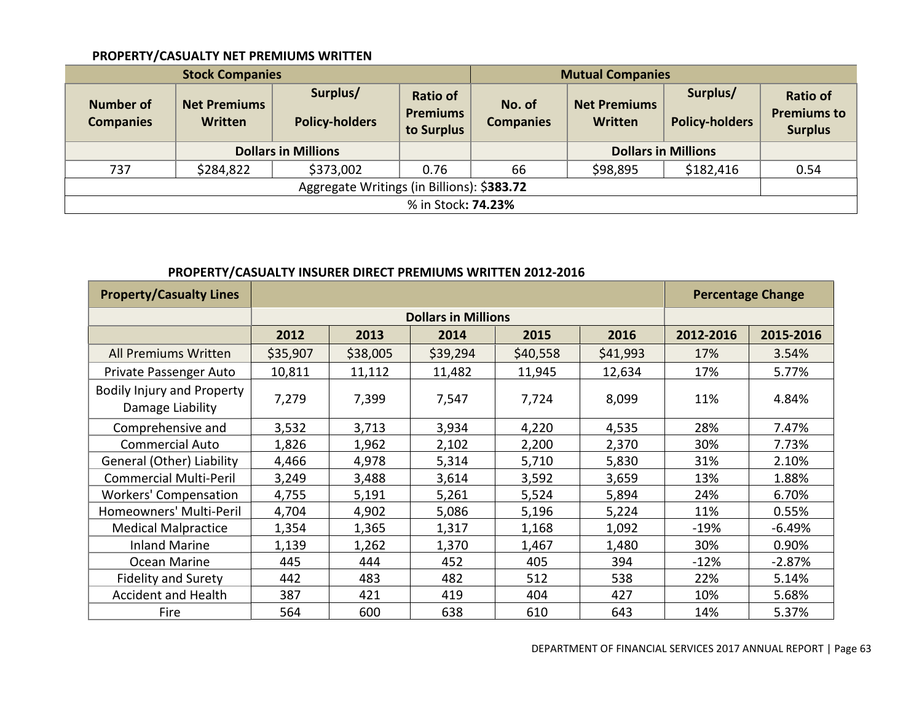### **PROPERTY/CASUALTY NET PREMIUMS WRITTEN**

|                                            | <b>Stock Companies</b>                |                                   | <b>Mutual Companies</b>                          |                            |                                                                     |           |                                                         |
|--------------------------------------------|---------------------------------------|-----------------------------------|--------------------------------------------------|----------------------------|---------------------------------------------------------------------|-----------|---------------------------------------------------------|
| <b>Number of</b><br><b>Companies</b>       | <b>Net Premiums</b><br><b>Written</b> | Surplus/<br><b>Policy-holders</b> | <b>Ratio of</b><br><b>Premiums</b><br>to Surplus | No. of<br><b>Companies</b> | Surplus/<br><b>Net Premiums</b><br>Written<br><b>Policy-holders</b> |           | <b>Ratio of</b><br><b>Premiums to</b><br><b>Surplus</b> |
|                                            |                                       | <b>Dollars in Millions</b>        |                                                  |                            | <b>Dollars in Millions</b>                                          |           |                                                         |
| 737                                        | \$284,822                             | \$373,002                         | 0.76                                             | 66                         | \$98,895                                                            | \$182,416 | 0.54                                                    |
| Aggregate Writings (in Billions): \$383.72 |                                       |                                   |                                                  |                            |                                                                     |           |                                                         |
| % in Stock: 74.23%                         |                                       |                                   |                                                  |                            |                                                                     |           |                                                         |

# **PROPERTY/CASUALTY INSURER DIRECT PREMIUMS WRITTEN 2012-2016**

| <b>Property/Casualty Lines</b>                        |          |          |                            |          |          |           | <b>Percentage Change</b> |
|-------------------------------------------------------|----------|----------|----------------------------|----------|----------|-----------|--------------------------|
|                                                       |          |          | <b>Dollars in Millions</b> |          |          |           |                          |
|                                                       | 2012     | 2013     | 2014                       | 2015     | 2016     | 2012-2016 | 2015-2016                |
| All Premiums Written                                  | \$35,907 | \$38,005 | \$39,294                   | \$40,558 | \$41,993 | 17%       | 3.54%                    |
| Private Passenger Auto                                | 10,811   | 11,112   | 11,482                     | 11,945   | 12,634   | 17%       | 5.77%                    |
| <b>Bodily Injury and Property</b><br>Damage Liability | 7,279    | 7,399    | 7,547                      | 7,724    | 8,099    | 11%       | 4.84%                    |
| Comprehensive and                                     | 3,532    | 3,713    | 3,934                      | 4,220    | 4,535    | 28%       | 7.47%                    |
| <b>Commercial Auto</b>                                | 1,826    | 1,962    | 2,102                      | 2,200    | 2,370    | 30%       | 7.73%                    |
| General (Other) Liability                             | 4,466    | 4,978    | 5,314                      | 5,710    | 5,830    | 31%       | 2.10%                    |
| <b>Commercial Multi-Peril</b>                         | 3,249    | 3,488    | 3,614                      | 3,592    | 3,659    | 13%       | 1.88%                    |
| Workers' Compensation                                 | 4,755    | 5,191    | 5,261                      | 5,524    | 5,894    | 24%       | 6.70%                    |
| Homeowners' Multi-Peril                               | 4,704    | 4,902    | 5,086                      | 5,196    | 5,224    | 11%       | 0.55%                    |
| <b>Medical Malpractice</b>                            | 1,354    | 1,365    | 1,317                      | 1,168    | 1,092    | $-19%$    | $-6.49%$                 |
| <b>Inland Marine</b>                                  | 1,139    | 1,262    | 1,370                      | 1,467    | 1,480    | 30%       | 0.90%                    |
| Ocean Marine                                          | 445      | 444      | 452                        | 405      | 394      | $-12%$    | $-2.87%$                 |
| <b>Fidelity and Surety</b>                            | 442      | 483      | 482                        | 512      | 538      | 22%       | 5.14%                    |
| <b>Accident and Health</b>                            | 387      | 421      | 419                        | 404      | 427      | 10%       | 5.68%                    |
| Fire                                                  | 564      | 600      | 638                        | 610      | 643      | 14%       | 5.37%                    |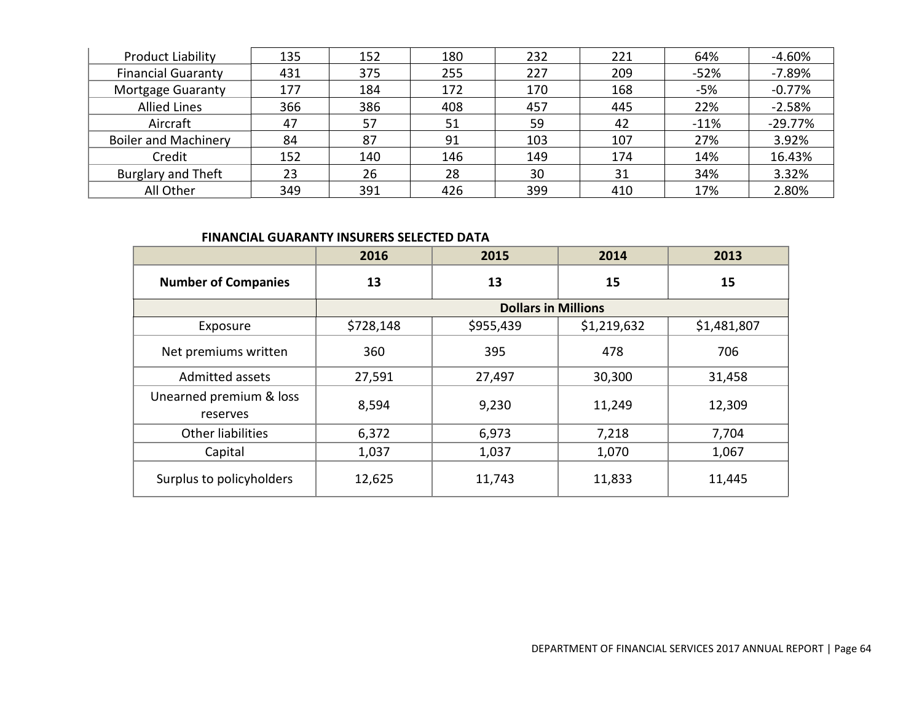| <b>Product Liability</b>    | 135 | 152 | 180 | 232 | 221 | 64%    | -4.60%    |
|-----------------------------|-----|-----|-----|-----|-----|--------|-----------|
| <b>Financial Guaranty</b>   | 431 | 375 | 255 | 227 | 209 | $-52%$ | $-7.89%$  |
| <b>Mortgage Guaranty</b>    | 177 | 184 | 172 | 170 | 168 | $-5%$  | $-0.77%$  |
| <b>Allied Lines</b>         | 366 | 386 | 408 | 457 | 445 | 22%    | $-2.58%$  |
| Aircraft                    | 47  | 57  | 51  | 59  | 42  | $-11%$ | $-29.77%$ |
| <b>Boiler and Machinery</b> | 84  | 87  | 91  | 103 | 107 | 27%    | 3.92%     |
| Credit                      | 152 | 140 | 146 | 149 | 174 | 14%    | 16.43%    |
| <b>Burglary and Theft</b>   | 23  | 26  | 28  | 30  | 31  | 34%    | 3.32%     |
| All Other                   | 349 | 391 | 426 | 399 | 410 | 17%    | 2.80%     |

### **FINANCIAL GUARANTY INSURERS SELECTED DATA**

|                                     | 2016      | 2015                       | 2014        | 2013        |
|-------------------------------------|-----------|----------------------------|-------------|-------------|
| <b>Number of Companies</b>          | 13        | 13                         | 15          | 15          |
|                                     |           | <b>Dollars in Millions</b> |             |             |
| Exposure                            | \$728,148 | \$955,439                  | \$1,219,632 | \$1,481,807 |
| Net premiums written                | 360       | 395                        | 478         | 706         |
| Admitted assets                     | 27,591    | 27,497                     | 30,300      | 31,458      |
| Unearned premium & loss<br>reserves | 8,594     | 9,230                      | 11,249      | 12,309      |
| Other liabilities                   | 6,372     | 6,973                      | 7,218       | 7,704       |
| Capital                             | 1,037     | 1,037                      | 1,070       | 1,067       |
| Surplus to policyholders            | 12,625    | 11,743                     | 11,833      | 11,445      |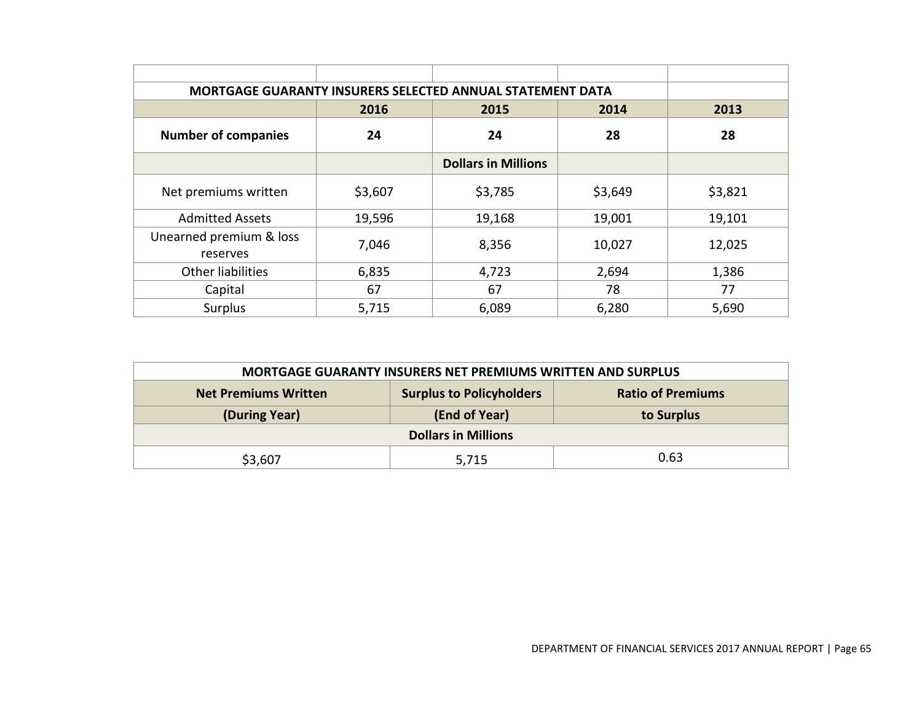| MORTGAGE GUARANTY INSURERS SELECTED ANNUAL STATEMENT DATA |         |                            |         |         |
|-----------------------------------------------------------|---------|----------------------------|---------|---------|
|                                                           | 2016    | 2015                       | 2014    | 2013    |
| <b>Number of companies</b>                                | 24      | 24                         | 28      | 28      |
|                                                           |         | <b>Dollars in Millions</b> |         |         |
| Net premiums written                                      | \$3,607 | \$3,785                    | \$3,649 | \$3,821 |
| <b>Admitted Assets</b>                                    | 19,596  | 19,168                     | 19,001  | 19,101  |
| Unearned premium & loss<br>reserves                       | 7,046   | 8,356                      | 10,027  | 12,025  |
| <b>Other liabilities</b>                                  | 6,835   | 4,723                      | 2,694   | 1,386   |
| Capital                                                   | 67      | 67                         | 78      | 77      |
| Surplus                                                   | 5,715   | 6,089                      | 6,280   | 5,690   |

| <b>MORTGAGE GUARANTY INSURERS NET PREMIUMS WRITTEN AND SURPLUS</b>                         |  |  |  |  |  |
|--------------------------------------------------------------------------------------------|--|--|--|--|--|
| <b>Surplus to Policyholders</b><br><b>Ratio of Premiums</b><br><b>Net Premiums Written</b> |  |  |  |  |  |
| (End of Year)<br>(During Year)<br>to Surplus                                               |  |  |  |  |  |
| <b>Dollars in Millions</b>                                                                 |  |  |  |  |  |
| 0.63<br>\$3,607<br>5,715                                                                   |  |  |  |  |  |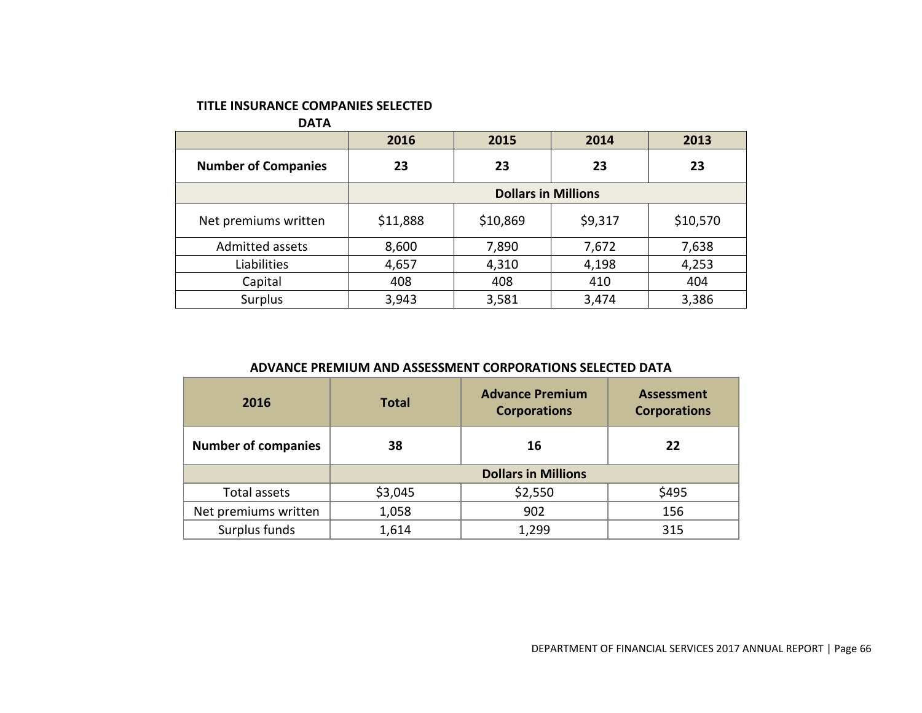### **TITLE INSURANCE COMPANIES SELECTED**

**DATA**

|                            | 2016                       | 2015     | 2014    | 2013     |
|----------------------------|----------------------------|----------|---------|----------|
| <b>Number of Companies</b> | 23                         | 23       | 23      | 23       |
|                            | <b>Dollars in Millions</b> |          |         |          |
| Net premiums written       | \$11,888                   | \$10,869 | \$9,317 | \$10,570 |
| Admitted assets            | 8,600                      | 7,890    | 7,672   | 7,638    |
| Liabilities                | 4,657                      | 4,310    | 4,198   | 4,253    |
| Capital                    | 408                        | 408      | 410     | 404      |
| Surplus                    | 3,943                      | 3,581    | 3,474   | 3,386    |

### **ADVANCE PREMIUM AND ASSESSMENT CORPORATIONS SELECTED DATA**

| 2016                       | <b>Total</b>               | <b>Advance Premium</b><br><b>Corporations</b> | <b>Assessment</b><br><b>Corporations</b> |  |
|----------------------------|----------------------------|-----------------------------------------------|------------------------------------------|--|
| <b>Number of companies</b> | 38                         | 16                                            | 22                                       |  |
|                            | <b>Dollars in Millions</b> |                                               |                                          |  |
| Total assets               | \$3,045                    | \$2,550                                       | \$495                                    |  |
| Net premiums written       | 1,058                      | 902                                           | 156                                      |  |
| Surplus funds              | 1,614                      | 1,299                                         | 315                                      |  |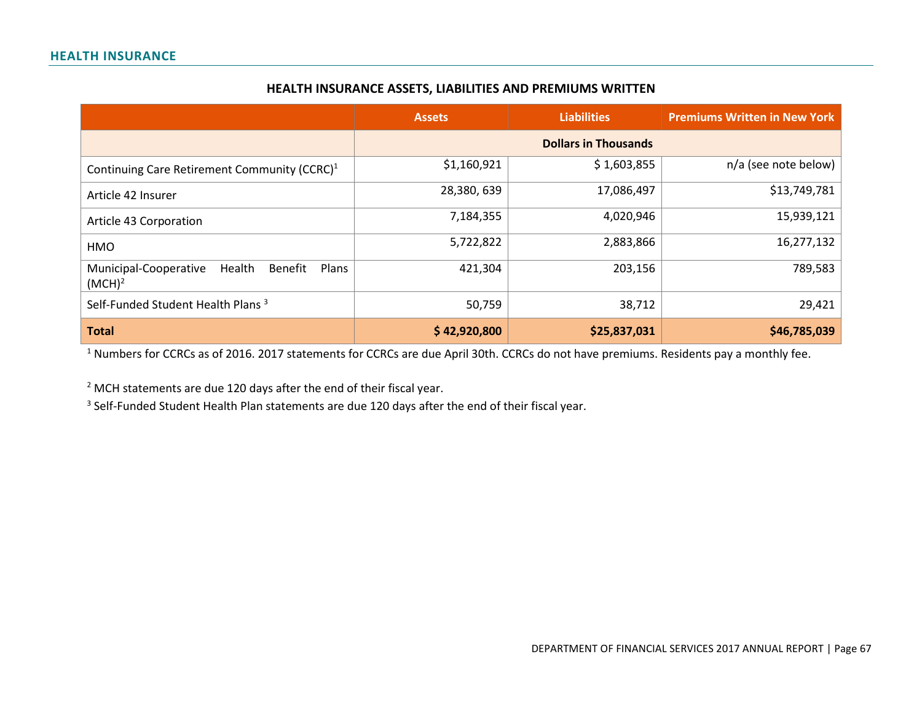#### **HEALTH INSURANCE ASSETS, LIABILITIES AND PREMIUMS WRITTEN**

|                                                                           | <b>Assets</b> | <b>Liabilities</b>          | <b>Premiums Written in New York</b> |
|---------------------------------------------------------------------------|---------------|-----------------------------|-------------------------------------|
|                                                                           |               | <b>Dollars in Thousands</b> |                                     |
| Continuing Care Retirement Community (CCRC) <sup>1</sup>                  | \$1,160,921   | \$1,603,855                 | n/a (see note below)                |
| Article 42 Insurer                                                        | 28,380,639    | 17,086,497                  | \$13,749,781                        |
| Article 43 Corporation                                                    | 7,184,355     | 4,020,946                   | 15,939,121                          |
| HMO                                                                       | 5,722,822     | 2,883,866                   | 16,277,132                          |
| Health<br>Municipal-Cooperative<br>Benefit<br>Plans<br>(MCH) <sup>2</sup> | 421,304       | 203,156                     | 789,583                             |
| Self-Funded Student Health Plans <sup>3</sup>                             | 50,759        | 38,712                      | 29,421                              |
| <b>Total</b>                                                              | \$42,920,800  | \$25,837,031                | \$46,785,039                        |

 $1$  Numbers for CCRCs as of 2016. 2017 statements for CCRCs are due April 30th. CCRCs do not have premiums. Residents pay a monthly fee.

<sup>2</sup> MCH statements are due 120 days after the end of their fiscal year.

<sup>3</sup> Self-Funded Student Health Plan statements are due 120 days after the end of their fiscal year.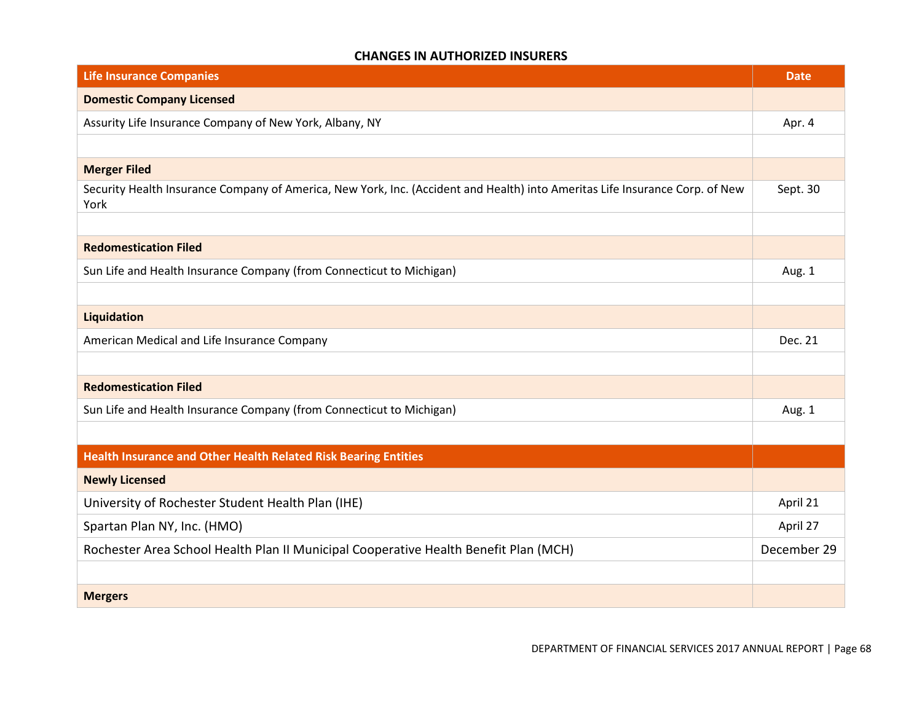### **CHANGES IN AUTHORIZED INSURERS**

| <b>Life Insurance Companies</b>                                                                                                      | <b>Date</b> |
|--------------------------------------------------------------------------------------------------------------------------------------|-------------|
| <b>Domestic Company Licensed</b>                                                                                                     |             |
| Assurity Life Insurance Company of New York, Albany, NY                                                                              | Apr. 4      |
|                                                                                                                                      |             |
| <b>Merger Filed</b>                                                                                                                  |             |
| Security Health Insurance Company of America, New York, Inc. (Accident and Health) into Ameritas Life Insurance Corp. of New<br>York | Sept. 30    |
|                                                                                                                                      |             |
| <b>Redomestication Filed</b>                                                                                                         |             |
| Sun Life and Health Insurance Company (from Connecticut to Michigan)                                                                 | Aug. 1      |
|                                                                                                                                      |             |
| Liquidation                                                                                                                          |             |
| American Medical and Life Insurance Company                                                                                          | Dec. 21     |
|                                                                                                                                      |             |
| <b>Redomestication Filed</b>                                                                                                         |             |
| Sun Life and Health Insurance Company (from Connecticut to Michigan)                                                                 | Aug. 1      |
|                                                                                                                                      |             |
| Health Insurance and Other Health Related Risk Bearing Entities                                                                      |             |
| <b>Newly Licensed</b>                                                                                                                |             |
| University of Rochester Student Health Plan (IHE)                                                                                    | April 21    |
| Spartan Plan NY, Inc. (HMO)                                                                                                          | April 27    |
| Rochester Area School Health Plan II Municipal Cooperative Health Benefit Plan (MCH)                                                 | December 29 |
|                                                                                                                                      |             |
| <b>Mergers</b>                                                                                                                       |             |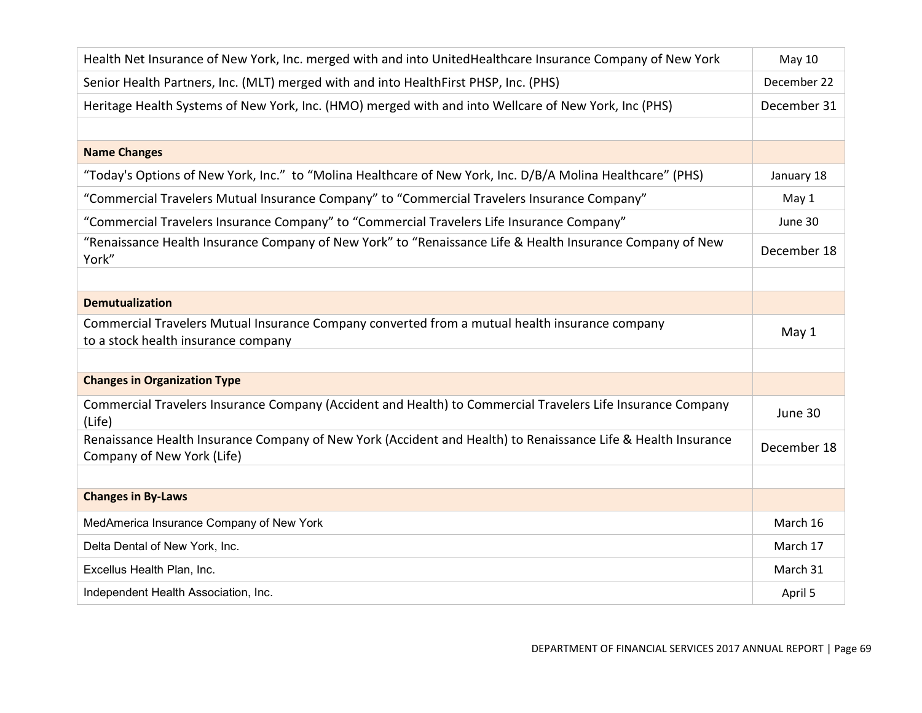| Health Net Insurance of New York, Inc. merged with and into UnitedHealthcare Insurance Company of New York                                  | May 10      |
|---------------------------------------------------------------------------------------------------------------------------------------------|-------------|
| Senior Health Partners, Inc. (MLT) merged with and into HealthFirst PHSP, Inc. (PHS)                                                        | December 22 |
| Heritage Health Systems of New York, Inc. (HMO) merged with and into Wellcare of New York, Inc (PHS)                                        | December 31 |
|                                                                                                                                             |             |
| <b>Name Changes</b>                                                                                                                         |             |
| "Today's Options of New York, Inc." to "Molina Healthcare of New York, Inc. D/B/A Molina Healthcare" (PHS)                                  | January 18  |
| "Commercial Travelers Mutual Insurance Company" to "Commercial Travelers Insurance Company"                                                 | May 1       |
| "Commercial Travelers Insurance Company" to "Commercial Travelers Life Insurance Company"                                                   | June 30     |
| "Renaissance Health Insurance Company of New York" to "Renaissance Life & Health Insurance Company of New<br>York"                          | December 18 |
|                                                                                                                                             |             |
| <b>Demutualization</b>                                                                                                                      |             |
| Commercial Travelers Mutual Insurance Company converted from a mutual health insurance company<br>to a stock health insurance company       | May 1       |
|                                                                                                                                             |             |
| <b>Changes in Organization Type</b>                                                                                                         |             |
| Commercial Travelers Insurance Company (Accident and Health) to Commercial Travelers Life Insurance Company<br>(Life)                       | June 30     |
| Renaissance Health Insurance Company of New York (Accident and Health) to Renaissance Life & Health Insurance<br>Company of New York (Life) | December 18 |
|                                                                                                                                             |             |
| <b>Changes in By-Laws</b>                                                                                                                   |             |
| MedAmerica Insurance Company of New York                                                                                                    | March 16    |
| Delta Dental of New York, Inc.                                                                                                              | March 17    |
| Excellus Health Plan, Inc.                                                                                                                  | March 31    |
| Independent Health Association, Inc.                                                                                                        | April 5     |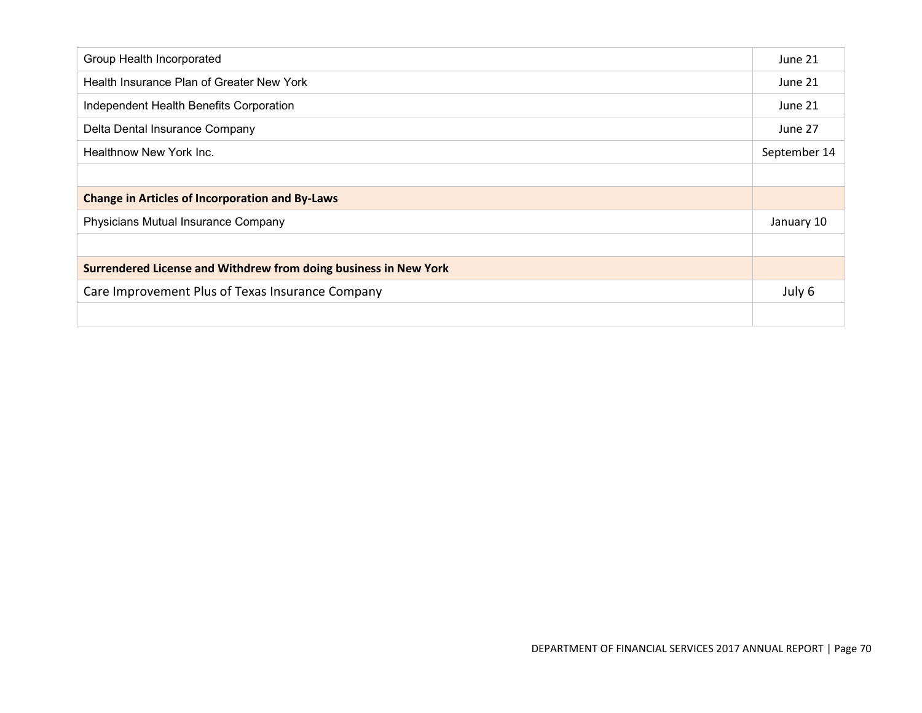| Group Health Incorporated                                        | June 21      |
|------------------------------------------------------------------|--------------|
| Health Insurance Plan of Greater New York                        | June 21      |
| Independent Health Benefits Corporation                          | June 21      |
| Delta Dental Insurance Company                                   | June 27      |
| Healthnow New York Inc.                                          | September 14 |
|                                                                  |              |
| <b>Change in Articles of Incorporation and By-Laws</b>           |              |
| Physicians Mutual Insurance Company                              | January 10   |
|                                                                  |              |
| Surrendered License and Withdrew from doing business in New York |              |
| Care Improvement Plus of Texas Insurance Company                 | July 6       |
|                                                                  |              |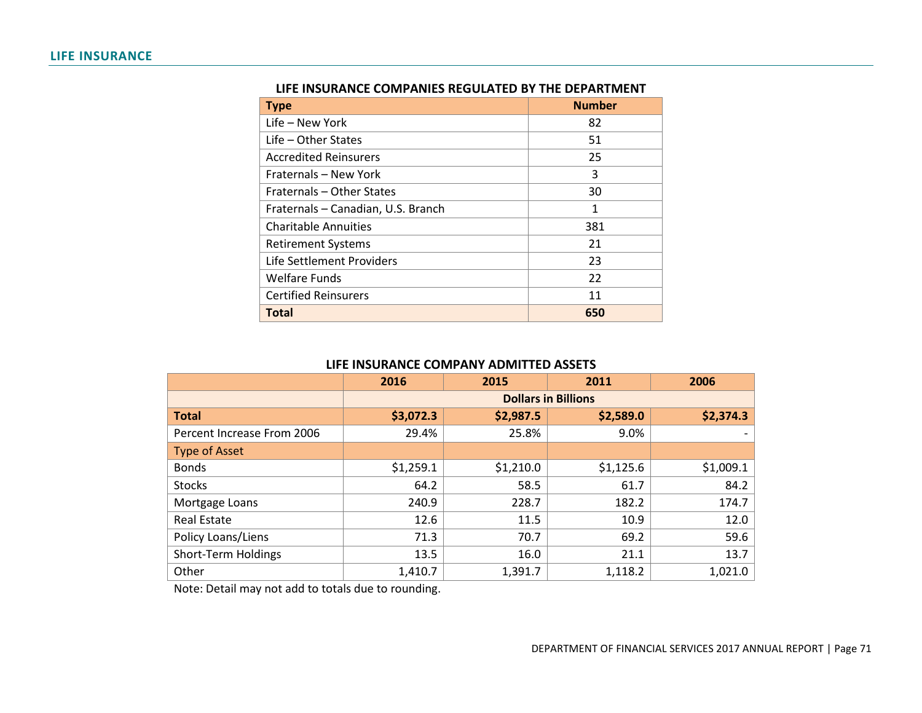| <b>Type</b>                        | <b>Number</b> |
|------------------------------------|---------------|
| Life - New York                    | 82            |
| $Life - Other States$              | 51            |
| <b>Accredited Reinsurers</b>       | 25            |
| Fraternals – New York              | 3             |
| Fraternals - Other States          | 30            |
| Fraternals - Canadian, U.S. Branch | 1             |
| <b>Charitable Annuities</b>        | 381           |
| <b>Retirement Systems</b>          | 21            |
| Life Settlement Providers          | 23            |
| <b>Welfare Funds</b>               | 22            |
| <b>Certified Reinsurers</b>        | 11            |
| <b>Total</b>                       | 650           |

#### **LIFE INSURANCE COMPANIES REGULATED BY THE DEPARTMENT**

### **LIFE INSURANCE COMPANY ADMITTED ASSETS**

|                            | 2016                       | 2015      | 2011      | 2006      |
|----------------------------|----------------------------|-----------|-----------|-----------|
|                            | <b>Dollars in Billions</b> |           |           |           |
| <b>Total</b>               | \$3,072.3                  | \$2,987.5 | \$2,589.0 | \$2,374.3 |
| Percent Increase From 2006 | 29.4%                      | 25.8%     | 9.0%      |           |
| <b>Type of Asset</b>       |                            |           |           |           |
| <b>Bonds</b>               | \$1,259.1                  | \$1,210.0 | \$1,125.6 | \$1,009.1 |
| <b>Stocks</b>              | 64.2                       | 58.5      | 61.7      | 84.2      |
| Mortgage Loans             | 240.9                      | 228.7     | 182.2     | 174.7     |
| <b>Real Estate</b>         | 12.6                       | 11.5      | 10.9      | 12.0      |
| Policy Loans/Liens         | 71.3                       | 70.7      | 69.2      | 59.6      |
| Short-Term Holdings        | 13.5                       | 16.0      | 21.1      | 13.7      |
| Other                      | 1,410.7                    | 1,391.7   | 1,118.2   | 1,021.0   |

Note: Detail may not add to totals due to rounding.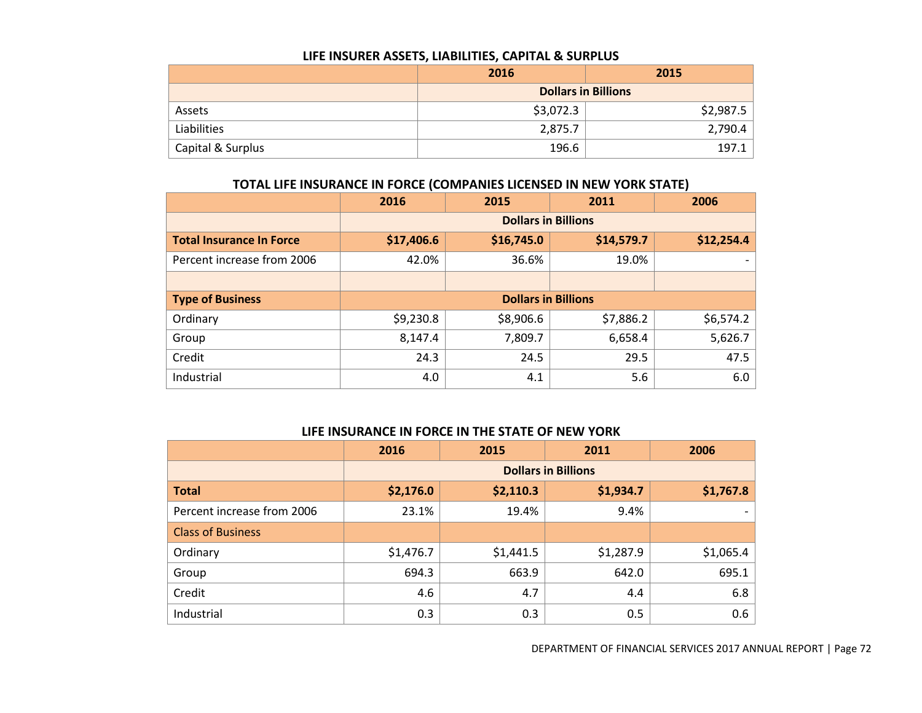#### **LIFE INSURER ASSETS, LIABILITIES, CAPITAL & SURPLUS**

|                   | 2016                       | 2015      |  |  |
|-------------------|----------------------------|-----------|--|--|
|                   | <b>Dollars in Billions</b> |           |  |  |
| Assets            | \$3,072.3                  | \$2,987.5 |  |  |
| Liabilities       | 2,875.7                    | 2,790.4   |  |  |
| Capital & Surplus | 196.6                      | 197       |  |  |

# **TOTAL LIFE INSURANCE IN FORCE (COMPANIES LICENSED IN NEW YORK STATE)**

|                                 | 2016                       | 2015       | 2011       | 2006       |
|---------------------------------|----------------------------|------------|------------|------------|
|                                 | <b>Dollars in Billions</b> |            |            |            |
| <b>Total Insurance In Force</b> | \$17,406.6                 | \$16,745.0 | \$14,579.7 | \$12,254.4 |
| Percent increase from 2006      | 42.0%                      | 36.6%      | 19.0%      |            |
|                                 |                            |            |            |            |
| <b>Type of Business</b>         | <b>Dollars in Billions</b> |            |            |            |
| Ordinary                        | \$9,230.8                  | \$8,906.6  | \$7,886.2  | \$6,574.2  |
| Group                           | 8,147.4                    | 7,809.7    | 6,658.4    | 5,626.7    |
| Credit                          | 24.3                       | 24.5       | 29.5       | 47.5       |
| Industrial                      | 4.0                        | 4.1        | 5.6        | $6.0\,$    |

### **LIFE INSURANCE IN FORCE IN THE STATE OF NEW YORK**

|                            | 2016                       | 2015      | 2011      | 2006      |
|----------------------------|----------------------------|-----------|-----------|-----------|
|                            | <b>Dollars in Billions</b> |           |           |           |
| <b>Total</b>               | \$2,176.0                  | \$2,110.3 | \$1,934.7 | \$1,767.8 |
| Percent increase from 2006 | 23.1%                      | 19.4%     | 9.4%      |           |
| <b>Class of Business</b>   |                            |           |           |           |
| Ordinary                   | \$1,476.7                  | \$1,441.5 | \$1,287.9 | \$1,065.4 |
| Group                      | 694.3                      | 663.9     | 642.0     | 695.1     |
| Credit                     | 4.6                        | 4.7       | 4.4       | 6.8       |
| Industrial                 | 0.3                        | 0.3       | 0.5       | 0.6       |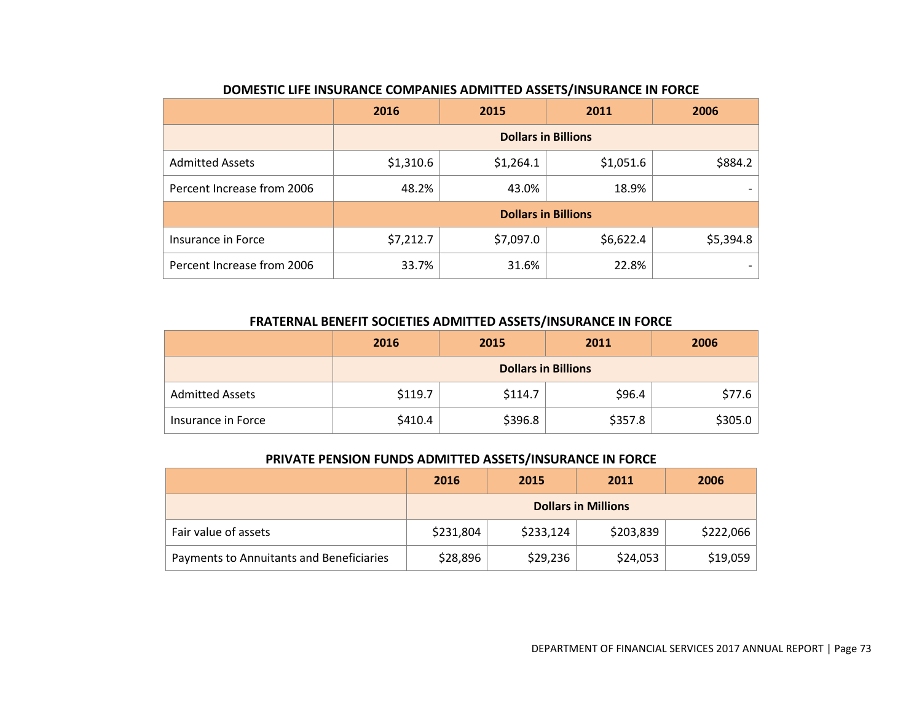|                            | 2016                       | 2015      | 2011                       | 2006      |
|----------------------------|----------------------------|-----------|----------------------------|-----------|
|                            | <b>Dollars in Billions</b> |           |                            |           |
| <b>Admitted Assets</b>     | \$1,310.6                  | \$1,264.1 | \$1,051.6                  | \$884.2   |
| Percent Increase from 2006 | 48.2%                      | 43.0%     | 18.9%                      |           |
|                            |                            |           | <b>Dollars in Billions</b> |           |
| Insurance in Force         | \$7,212.7                  | \$7,097.0 | \$6,622.4                  | \$5,394.8 |
| Percent Increase from 2006 | 33.7%                      | 31.6%     | 22.8%                      |           |

# **DOMESTIC LIFE INSURANCE COMPANIES ADMITTED ASSETS/INSURANCE IN FORCE**

### **FRATERNAL BENEFIT SOCIETIES ADMITTED ASSETS/INSURANCE IN FORCE**

|                        | 2016                       | 2015    | 2011    | 2006    |
|------------------------|----------------------------|---------|---------|---------|
|                        | <b>Dollars in Billions</b> |         |         |         |
| <b>Admitted Assets</b> | \$119.7                    | \$114.7 | \$96.4  | \$77.6  |
| Insurance in Force     | \$410.4                    | \$396.8 | \$357.8 | \$305.0 |

### **PRIVATE PENSION FUNDS ADMITTED ASSETS/INSURANCE IN FORCE**

|                                          | 2016                       | 2015      | 2011      | 2006      |
|------------------------------------------|----------------------------|-----------|-----------|-----------|
|                                          | <b>Dollars in Millions</b> |           |           |           |
| Fair value of assets                     | \$231,804                  | \$233,124 | \$203,839 | \$222,066 |
| Payments to Annuitants and Beneficiaries | \$28,896                   | \$29,236  | \$24,053  | \$19,059  |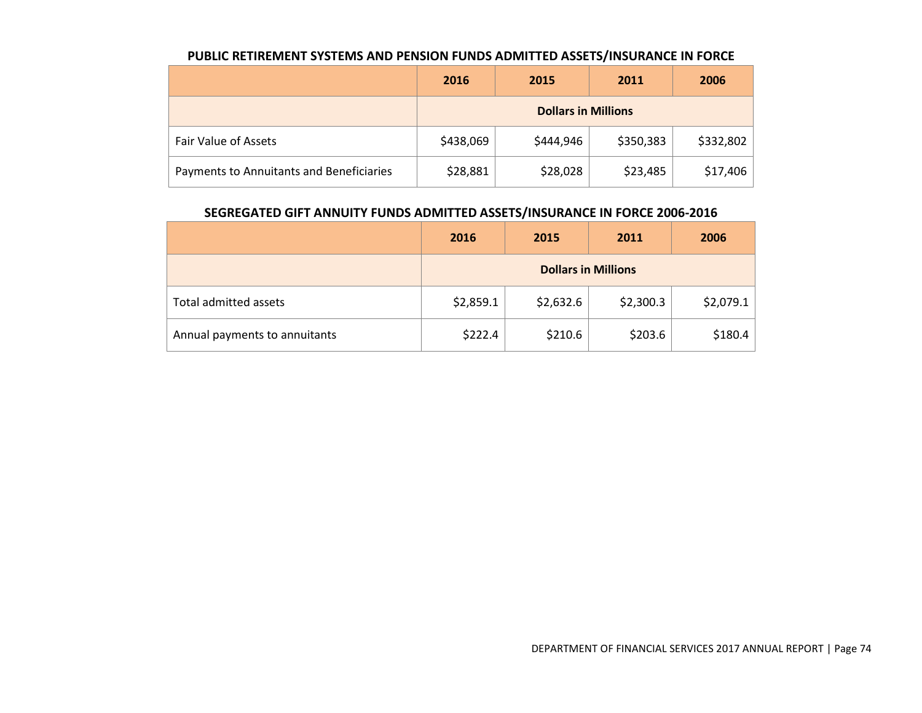|                                          | 2016      | 2015                       | 2011      | 2006      |
|------------------------------------------|-----------|----------------------------|-----------|-----------|
|                                          |           | <b>Dollars in Millions</b> |           |           |
| Fair Value of Assets                     | \$438,069 | \$444,946                  | \$350,383 | \$332,802 |
| Payments to Annuitants and Beneficiaries | \$28,881  | \$28,028                   | \$23,485  | \$17,406  |

### **PUBLIC RETIREMENT SYSTEMS AND PENSION FUNDS ADMITTED ASSETS/INSURANCE IN FORCE**

### **SEGREGATED GIFT ANNUITY FUNDS ADMITTED ASSETS/INSURANCE IN FORCE 2006-2016**

|                               | 2016      | 2015                       | 2011      | 2006      |
|-------------------------------|-----------|----------------------------|-----------|-----------|
|                               |           | <b>Dollars in Millions</b> |           |           |
| Total admitted assets         | \$2,859.1 | \$2,632.6                  | \$2,300.3 | \$2,079.1 |
| Annual payments to annuitants | \$222.4   | \$210.6                    | \$203.6   | \$180.4   |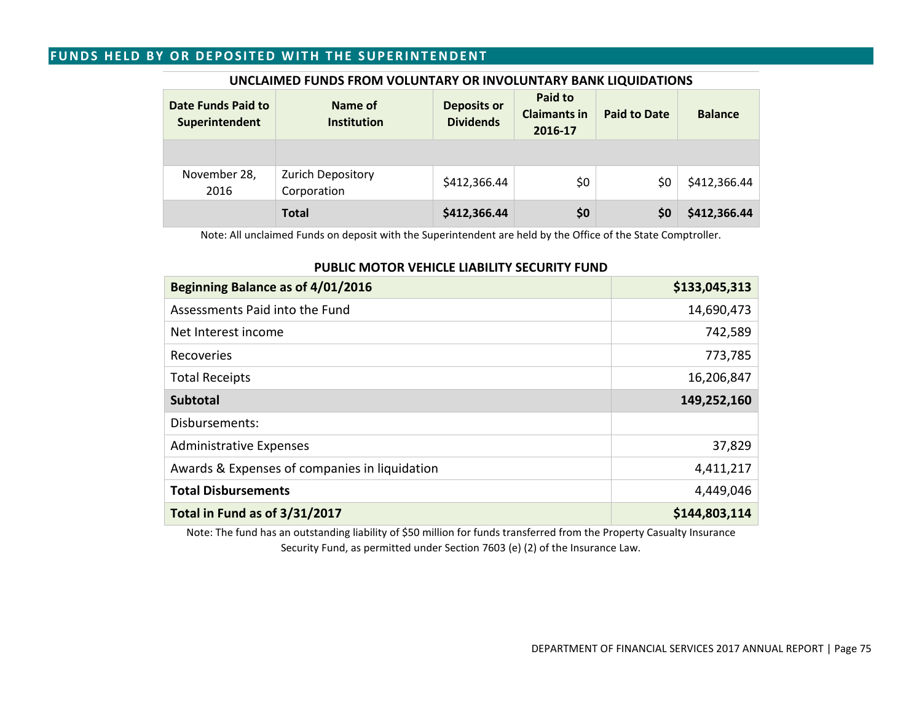### **FUNDS HELD BY OR DEPOSITED WITH THE SUPERINTENDENT**

| Date Funds Paid to<br>Superintendent | Name of<br><b>Institution</b>           | <b>Deposits or</b><br><b>Dividends</b> | Paid to<br><b>Claimants in</b><br>2016-17 | <b>Paid to Date</b> | <b>Balance</b> |
|--------------------------------------|-----------------------------------------|----------------------------------------|-------------------------------------------|---------------------|----------------|
|                                      |                                         |                                        |                                           |                     |                |
| November 28,<br>2016                 | <b>Zurich Depository</b><br>Corporation | \$412,366.44                           | \$0                                       | SO.                 | \$412,366.44   |
|                                      | <b>Total</b>                            | \$412,366.44                           | \$0                                       | \$0                 | \$412,366.44   |

#### **UNCLAIMED FUNDS FROM VOLUNTARY OR INVOLUNTARY BANK LIQUIDATIONS**

Note: All unclaimed Funds on deposit with the Superintendent are held by the Office of the State Comptroller.

#### **PUBLIC MOTOR VEHICLE LIABILITY SECURITY FUND**

| Beginning Balance as of 4/01/2016             | \$133,045,313 |
|-----------------------------------------------|---------------|
| Assessments Paid into the Fund                | 14,690,473    |
| Net Interest income                           | 742,589       |
| Recoveries                                    | 773,785       |
| <b>Total Receipts</b>                         | 16,206,847    |
| <b>Subtotal</b>                               | 149,252,160   |
| Disbursements:                                |               |
| <b>Administrative Expenses</b>                | 37,829        |
| Awards & Expenses of companies in liquidation | 4,411,217     |
| <b>Total Disbursements</b>                    | 4,449,046     |
| Total in Fund as of 3/31/2017                 | \$144,803,114 |

Note: The fund has an outstanding liability of \$50 million for funds transferred from the Property Casualty Insurance Security Fund, as permitted under Section 7603 (e) (2) of the Insurance Law.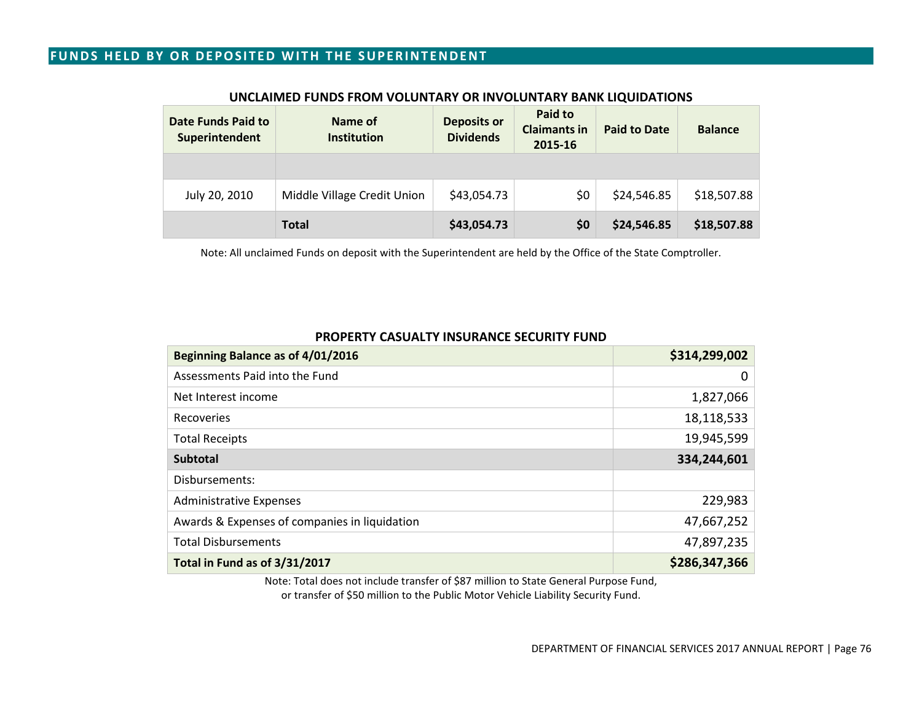### **FUNDS HELD BY OR DEPOSITED WITH THE SUPERINTENDENT**

| Date Funds Paid to<br>Superintendent | Name of<br><b>Institution</b> | <b>Deposits or</b><br><b>Dividends</b> | Paid to<br><b>Claimants in</b><br>2015-16 | <b>Paid to Date</b> | <b>Balance</b> |
|--------------------------------------|-------------------------------|----------------------------------------|-------------------------------------------|---------------------|----------------|
|                                      |                               |                                        |                                           |                     |                |
| July 20, 2010                        | Middle Village Credit Union   | \$43,054.73                            | \$0                                       | \$24,546.85         | \$18,507.88    |
|                                      | <b>Total</b>                  | \$43,054.73                            | \$0                                       | \$24,546.85         | \$18,507.88    |

#### **UNCLAIMED FUNDS FROM VOLUNTARY OR INVOLUNTARY BANK LIQUIDATIONS**

Note: All unclaimed Funds on deposit with the Superintendent are held by the Office of the State Comptroller.

#### **PROPERTY CASUALTY INSURANCE SECURITY FUND**

| Beginning Balance as of 4/01/2016             | \$314,299,002 |
|-----------------------------------------------|---------------|
| Assessments Paid into the Fund                | 0             |
| Net Interest income                           | 1,827,066     |
| Recoveries                                    | 18,118,533    |
| <b>Total Receipts</b>                         | 19,945,599    |
| <b>Subtotal</b>                               | 334,244,601   |
| Disbursements:                                |               |
| <b>Administrative Expenses</b>                | 229,983       |
| Awards & Expenses of companies in liquidation | 47,667,252    |
| <b>Total Disbursements</b>                    | 47,897,235    |
| Total in Fund as of 3/31/2017                 | \$286,347,366 |

Note: Total does not include transfer of \$87 million to State General Purpose Fund, or transfer of \$50 million to the Public Motor Vehicle Liability Security Fund.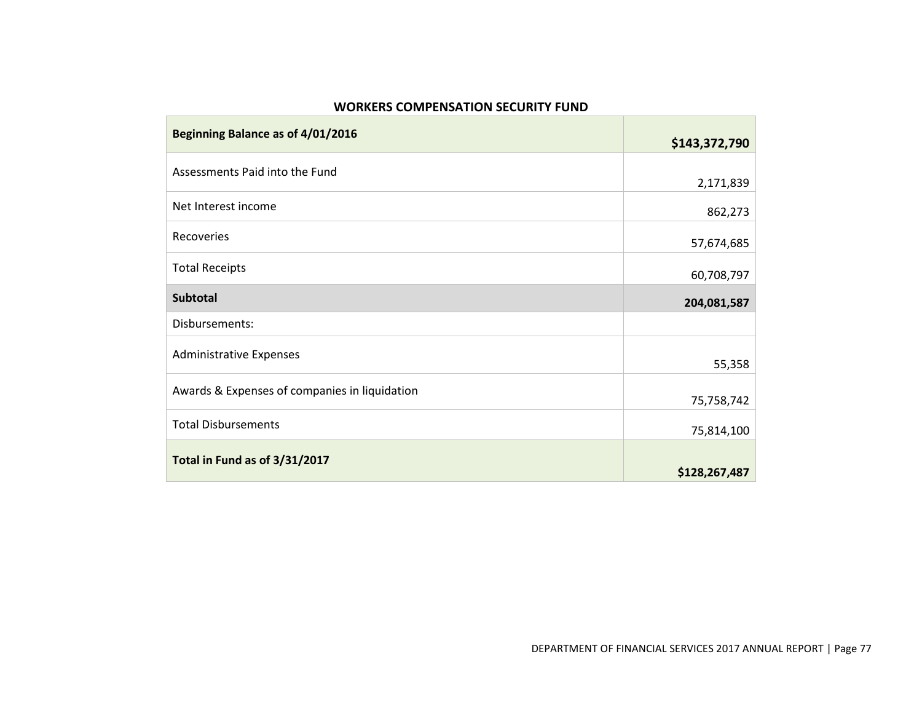### **WORKERS COMPENSATION SECURITY FUND**

**COL** 

| Beginning Balance as of 4/01/2016             | \$143,372,790 |
|-----------------------------------------------|---------------|
| Assessments Paid into the Fund                | 2,171,839     |
| Net Interest income                           | 862,273       |
| Recoveries                                    | 57,674,685    |
| <b>Total Receipts</b>                         | 60,708,797    |
| <b>Subtotal</b>                               | 204,081,587   |
| Disbursements:                                |               |
| <b>Administrative Expenses</b>                | 55,358        |
| Awards & Expenses of companies in liquidation | 75,758,742    |
| <b>Total Disbursements</b>                    | 75,814,100    |
| Total in Fund as of 3/31/2017                 | \$128,267,487 |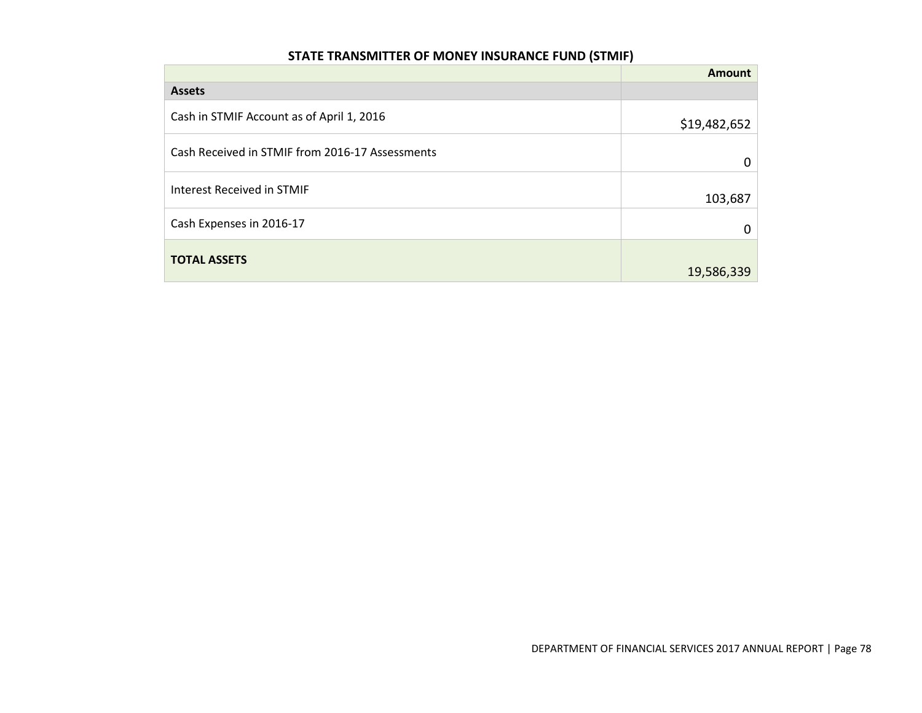# **STATE TRANSMITTER OF MONEY INSURANCE FUND (STMIF)**

|                                                 | Amount       |
|-------------------------------------------------|--------------|
| <b>Assets</b>                                   |              |
| Cash in STMIF Account as of April 1, 2016       | \$19,482,652 |
| Cash Received in STMIF from 2016-17 Assessments | Ω            |
| Interest Received in STMIF                      | 103,687      |
| Cash Expenses in 2016-17                        |              |
| <b>TOTAL ASSETS</b>                             | 19,586,339   |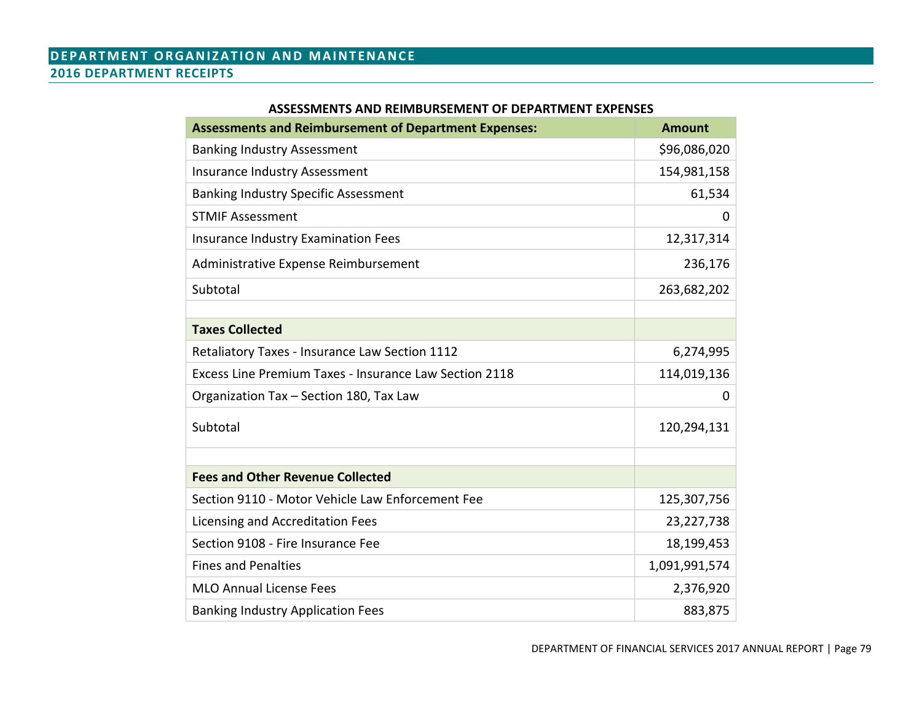# **DEPARTMENT ORGANIZATION AND MAINTENANCE 2016 DEPARTMENT RECEIPTS**

| <b>Assessments and Reimbursement of Department Expenses:</b> | <b>Amount</b> |
|--------------------------------------------------------------|---------------|
| <b>Banking Industry Assessment</b>                           | \$96,086,020  |
| <b>Insurance Industry Assessment</b>                         | 154,981,158   |
| <b>Banking Industry Specific Assessment</b>                  | 61,534        |
| <b>STMIF Assessment</b>                                      | 0             |
| <b>Insurance Industry Examination Fees</b>                   | 12,317,314    |
| Administrative Expense Reimbursement                         | 236,176       |
| Subtotal                                                     | 263,682,202   |
|                                                              |               |
| <b>Taxes Collected</b>                                       |               |
| Retaliatory Taxes - Insurance Law Section 1112               | 6,274,995     |
| Excess Line Premium Taxes - Insurance Law Section 2118       | 114,019,136   |
| Organization Tax - Section 180, Tax Law                      | 0             |
| Subtotal                                                     | 120,294,131   |
| <b>Fees and Other Revenue Collected</b>                      |               |
| Section 9110 - Motor Vehicle Law Enforcement Fee             | 125,307,756   |
| Licensing and Accreditation Fees                             | 23,227,738    |
| Section 9108 - Fire Insurance Fee                            | 18,199,453    |
| <b>Fines and Penalties</b>                                   | 1,091,991,574 |
|                                                              |               |
| <b>MLO Annual License Fees</b>                               | 2,376,920     |
| <b>Banking Industry Application Fees</b>                     | 883,875       |

## **ASSESSMENTS AND REIMBURSEMENT OF DEPARTMENT EXPENSES**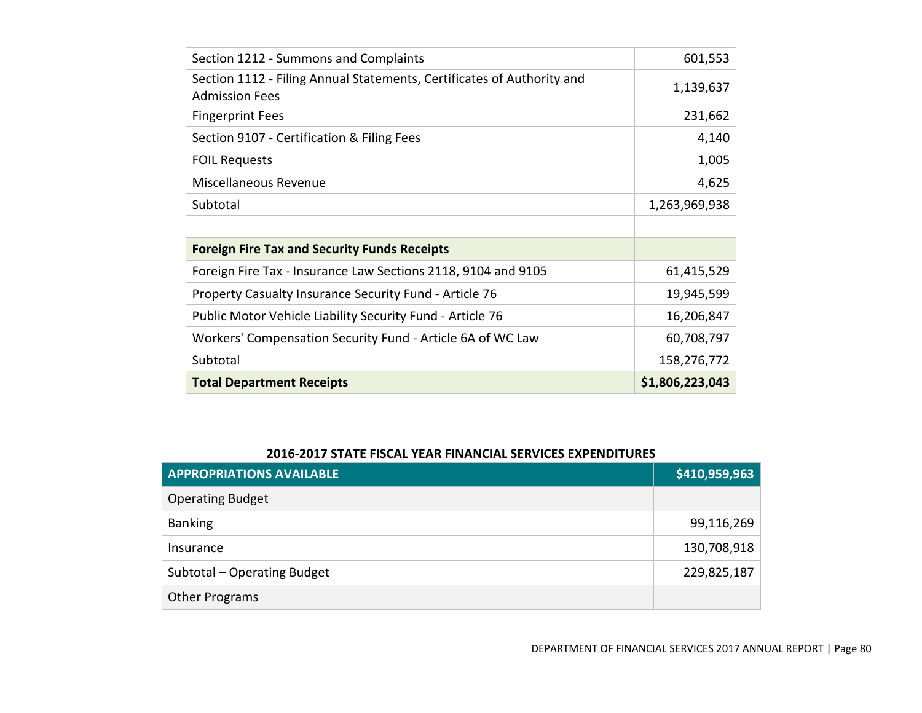| Section 1212 - Summons and Complaints                                                           | 601,553         |
|-------------------------------------------------------------------------------------------------|-----------------|
| Section 1112 - Filing Annual Statements, Certificates of Authority and<br><b>Admission Fees</b> | 1,139,637       |
| <b>Fingerprint Fees</b>                                                                         | 231,662         |
| Section 9107 - Certification & Filing Fees                                                      | 4,140           |
| <b>FOIL Requests</b>                                                                            | 1,005           |
| Miscellaneous Revenue                                                                           | 4,625           |
| Subtotal                                                                                        | 1,263,969,938   |
|                                                                                                 |                 |
| <b>Foreign Fire Tax and Security Funds Receipts</b>                                             |                 |
| Foreign Fire Tax - Insurance Law Sections 2118, 9104 and 9105                                   | 61,415,529      |
| Property Casualty Insurance Security Fund - Article 76                                          | 19,945,599      |
| Public Motor Vehicle Liability Security Fund - Article 76                                       | 16,206,847      |
| Workers' Compensation Security Fund - Article 6A of WC Law                                      | 60,708,797      |
| Subtotal                                                                                        | 158,276,772     |
| <b>Total Department Receipts</b>                                                                | \$1,806,223,043 |

# **2016-2017 STATE FISCAL YEAR FINANCIAL SERVICES EXPENDITURES**

| <b>APPROPRIATIONS AVAILABLE</b> | \$410,959,963 |
|---------------------------------|---------------|
| <b>Operating Budget</b>         |               |
| <b>Banking</b>                  | 99,116,269    |
| Insurance                       | 130,708,918   |
| Subtotal - Operating Budget     | 229,825,187   |
| <b>Other Programs</b>           |               |